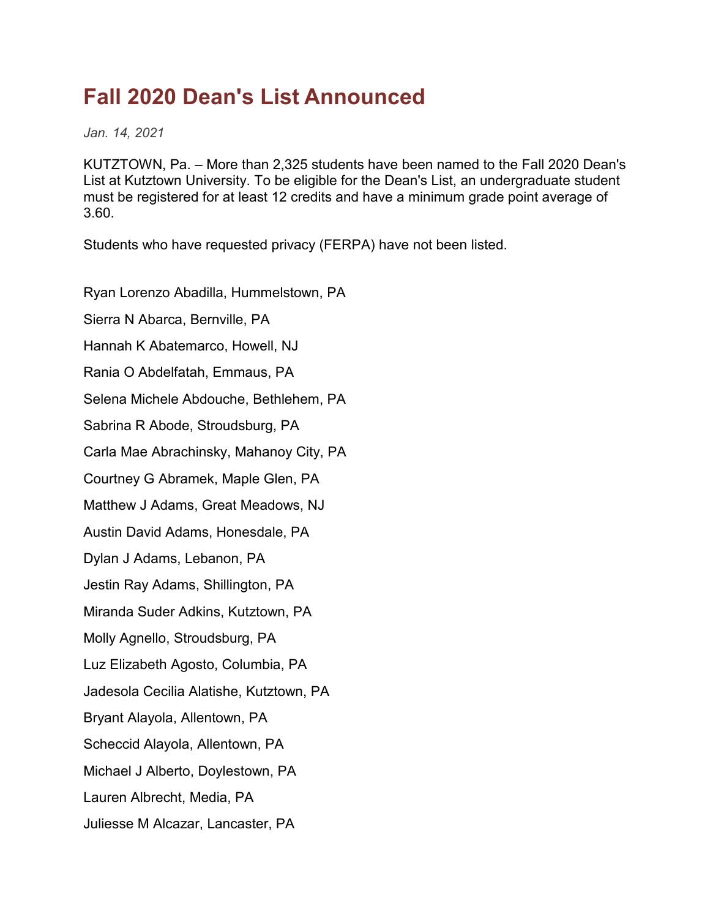## **Fall 2020 Dean's List Announced**

*Jan. 14, 2021*

KUTZTOWN, Pa. – More than 2,325 students have been named to the Fall 2020 Dean's List at Kutztown University. To be eligible for the Dean's List, an undergraduate student must be registered for at least 12 credits and have a minimum grade point average of 3.60.

Students who have requested privacy (FERPA) have not been listed.

Ryan Lorenzo Abadilla, Hummelstown, PA Sierra N Abarca, Bernville, PA Hannah K Abatemarco, Howell, NJ Rania O Abdelfatah, Emmaus, PA Selena Michele Abdouche, Bethlehem, PA Sabrina R Abode, Stroudsburg, PA Carla Mae Abrachinsky, Mahanoy City, PA Courtney G Abramek, Maple Glen, PA Matthew J Adams, Great Meadows, NJ Austin David Adams, Honesdale, PA Dylan J Adams, Lebanon, PA Jestin Ray Adams, Shillington, PA Miranda Suder Adkins, Kutztown, PA Molly Agnello, Stroudsburg, PA Luz Elizabeth Agosto, Columbia, PA Jadesola Cecilia Alatishe, Kutztown, PA Bryant Alayola, Allentown, PA Scheccid Alayola, Allentown, PA Michael J Alberto, Doylestown, PA Lauren Albrecht, Media, PA Juliesse M Alcazar, Lancaster, PA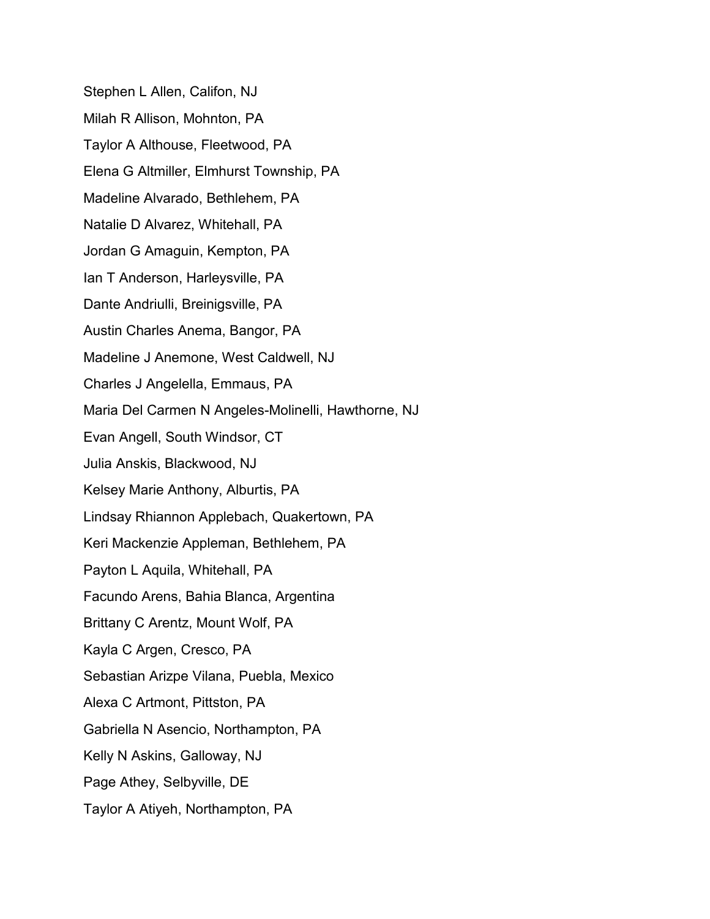Stephen L Allen, Califon, NJ Milah R Allison, Mohnton, PA Taylor A Althouse, Fleetwood, PA Elena G Altmiller, Elmhurst Township, PA Madeline Alvarado, Bethlehem, PA Natalie D Alvarez, Whitehall, PA Jordan G Amaguin, Kempton, PA Ian T Anderson, Harleysville, PA Dante Andriulli, Breinigsville, PA Austin Charles Anema, Bangor, PA Madeline J Anemone, West Caldwell, NJ Charles J Angelella, Emmaus, PA Maria Del Carmen N Angeles-Molinelli, Hawthorne, NJ Evan Angell, South Windsor, CT Julia Anskis, Blackwood, NJ Kelsey Marie Anthony, Alburtis, PA Lindsay Rhiannon Applebach, Quakertown, PA Keri Mackenzie Appleman, Bethlehem, PA Payton L Aquila, Whitehall, PA Facundo Arens, Bahia Blanca, Argentina Brittany C Arentz, Mount Wolf, PA Kayla C Argen, Cresco, PA Sebastian Arizpe Vilana, Puebla, Mexico Alexa C Artmont, Pittston, PA Gabriella N Asencio, Northampton, PA Kelly N Askins, Galloway, NJ Page Athey, Selbyville, DE Taylor A Atiyeh, Northampton, PA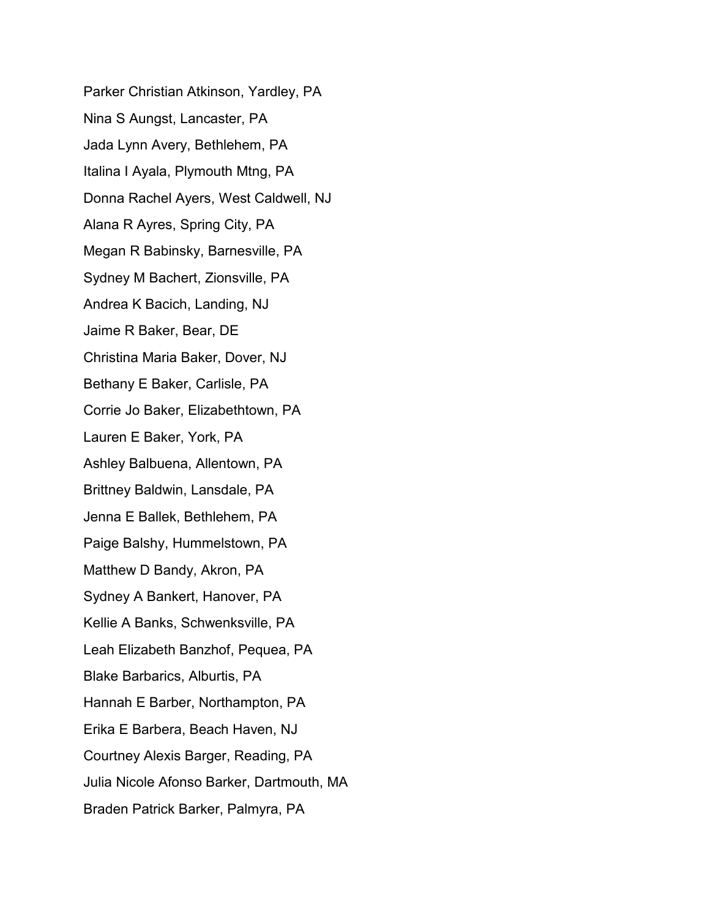Parker Christian Atkinson, Yardley, PA Nina S Aungst, Lancaster, PA Jada Lynn Avery, Bethlehem, PA Italina I Ayala, Plymouth Mtng, PA Donna Rachel Ayers, West Caldwell, NJ Alana R Ayres, Spring City, PA Megan R Babinsky, Barnesville, PA Sydney M Bachert, Zionsville, PA Andrea K Bacich, Landing, NJ Jaime R Baker, Bear, DE Christina Maria Baker, Dover, NJ Bethany E Baker, Carlisle, PA Corrie Jo Baker, Elizabethtown, PA Lauren E Baker, York, PA Ashley Balbuena, Allentown, PA Brittney Baldwin, Lansdale, PA Jenna E Ballek, Bethlehem, PA Paige Balshy, Hummelstown, PA Matthew D Bandy, Akron, PA Sydney A Bankert, Hanover, PA Kellie A Banks, Schwenksville, PA Leah Elizabeth Banzhof, Pequea, PA Blake Barbarics, Alburtis, PA Hannah E Barber, Northampton, PA Erika E Barbera, Beach Haven, NJ Courtney Alexis Barger, Reading, PA Julia Nicole Afonso Barker, Dartmouth, MA Braden Patrick Barker, Palmyra, PA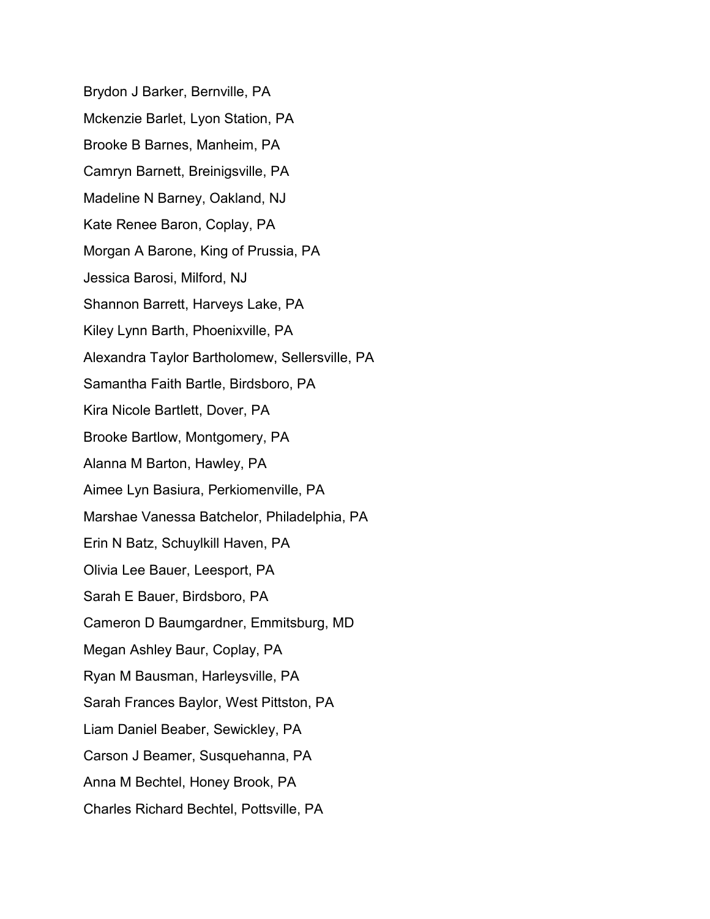Brydon J Barker, Bernville, PA Mckenzie Barlet, Lyon Station, PA Brooke B Barnes, Manheim, PA Camryn Barnett, Breinigsville, PA Madeline N Barney, Oakland, NJ Kate Renee Baron, Coplay, PA Morgan A Barone, King of Prussia, PA Jessica Barosi, Milford, NJ Shannon Barrett, Harveys Lake, PA Kiley Lynn Barth, Phoenixville, PA Alexandra Taylor Bartholomew, Sellersville, PA Samantha Faith Bartle, Birdsboro, PA Kira Nicole Bartlett, Dover, PA Brooke Bartlow, Montgomery, PA Alanna M Barton, Hawley, PA Aimee Lyn Basiura, Perkiomenville, PA Marshae Vanessa Batchelor, Philadelphia, PA Erin N Batz, Schuylkill Haven, PA Olivia Lee Bauer, Leesport, PA Sarah E Bauer, Birdsboro, PA Cameron D Baumgardner, Emmitsburg, MD Megan Ashley Baur, Coplay, PA Ryan M Bausman, Harleysville, PA Sarah Frances Baylor, West Pittston, PA Liam Daniel Beaber, Sewickley, PA Carson J Beamer, Susquehanna, PA Anna M Bechtel, Honey Brook, PA Charles Richard Bechtel, Pottsville, PA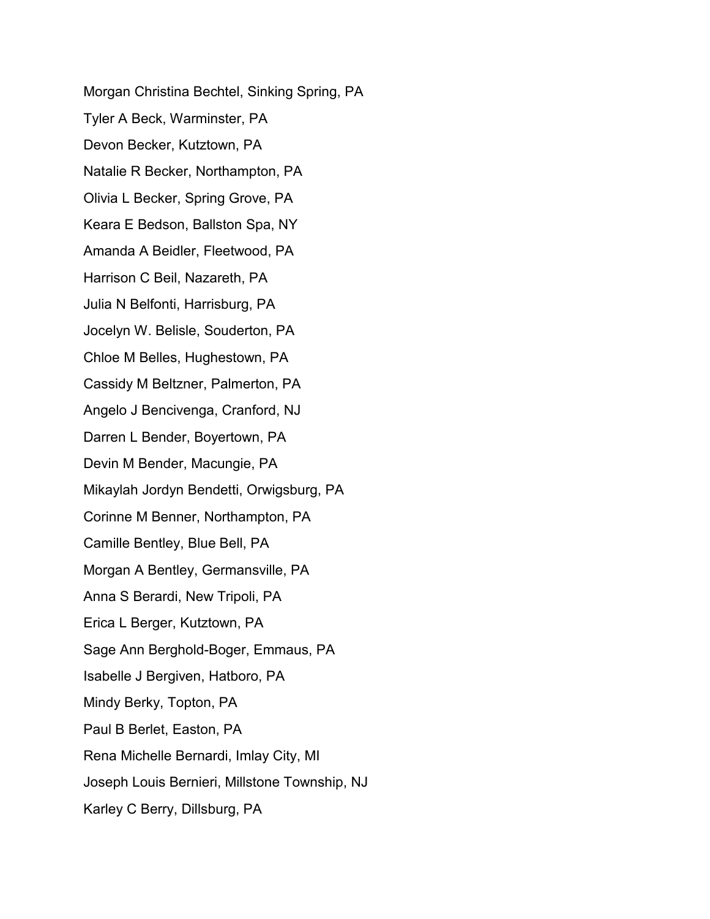Morgan Christina Bechtel, Sinking Spring, PA Tyler A Beck, Warminster, PA Devon Becker, Kutztown, PA Natalie R Becker, Northampton, PA Olivia L Becker, Spring Grove, PA Keara E Bedson, Ballston Spa, NY Amanda A Beidler, Fleetwood, PA Harrison C Beil, Nazareth, PA Julia N Belfonti, Harrisburg, PA Jocelyn W. Belisle, Souderton, PA Chloe M Belles, Hughestown, PA Cassidy M Beltzner, Palmerton, PA Angelo J Bencivenga, Cranford, NJ Darren L Bender, Boyertown, PA Devin M Bender, Macungie, PA Mikaylah Jordyn Bendetti, Orwigsburg, PA Corinne M Benner, Northampton, PA Camille Bentley, Blue Bell, PA Morgan A Bentley, Germansville, PA Anna S Berardi, New Tripoli, PA Erica L Berger, Kutztown, PA Sage Ann Berghold-Boger, Emmaus, PA Isabelle J Bergiven, Hatboro, PA Mindy Berky, Topton, PA Paul B Berlet, Easton, PA Rena Michelle Bernardi, Imlay City, MI Joseph Louis Bernieri, Millstone Township, NJ Karley C Berry, Dillsburg, PA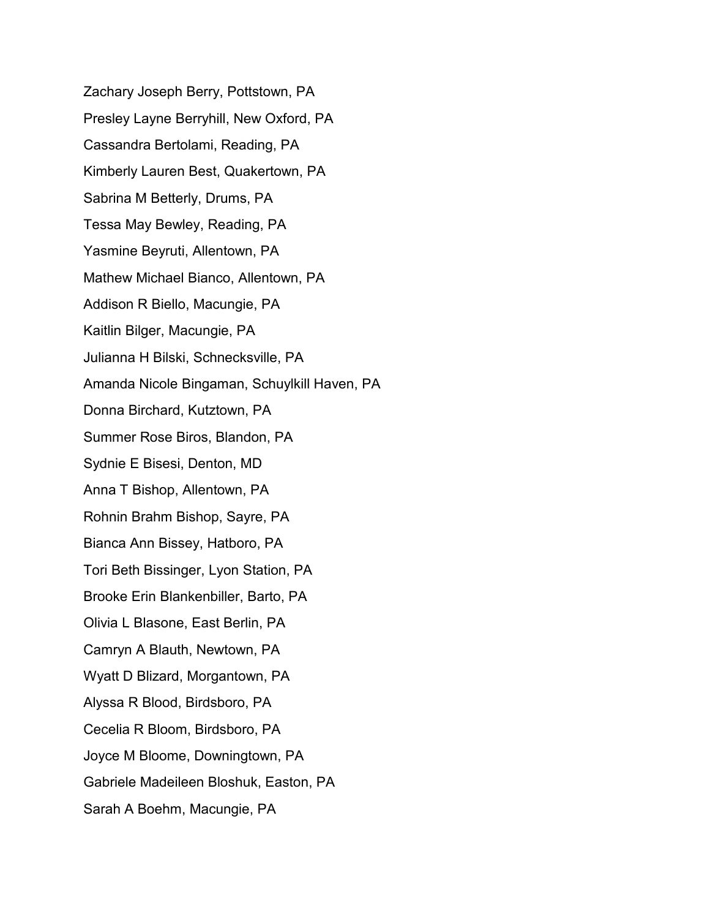Zachary Joseph Berry, Pottstown, PA Presley Layne Berryhill, New Oxford, PA Cassandra Bertolami, Reading, PA Kimberly Lauren Best, Quakertown, PA Sabrina M Betterly, Drums, PA Tessa May Bewley, Reading, PA Yasmine Beyruti, Allentown, PA Mathew Michael Bianco, Allentown, PA Addison R Biello, Macungie, PA Kaitlin Bilger, Macungie, PA Julianna H Bilski, Schnecksville, PA Amanda Nicole Bingaman, Schuylkill Haven, PA Donna Birchard, Kutztown, PA Summer Rose Biros, Blandon, PA Sydnie E Bisesi, Denton, MD Anna T Bishop, Allentown, PA Rohnin Brahm Bishop, Sayre, PA Bianca Ann Bissey, Hatboro, PA Tori Beth Bissinger, Lyon Station, PA Brooke Erin Blankenbiller, Barto, PA Olivia L Blasone, East Berlin, PA Camryn A Blauth, Newtown, PA Wyatt D Blizard, Morgantown, PA Alyssa R Blood, Birdsboro, PA Cecelia R Bloom, Birdsboro, PA Joyce M Bloome, Downingtown, PA Gabriele Madeileen Bloshuk, Easton, PA Sarah A Boehm, Macungie, PA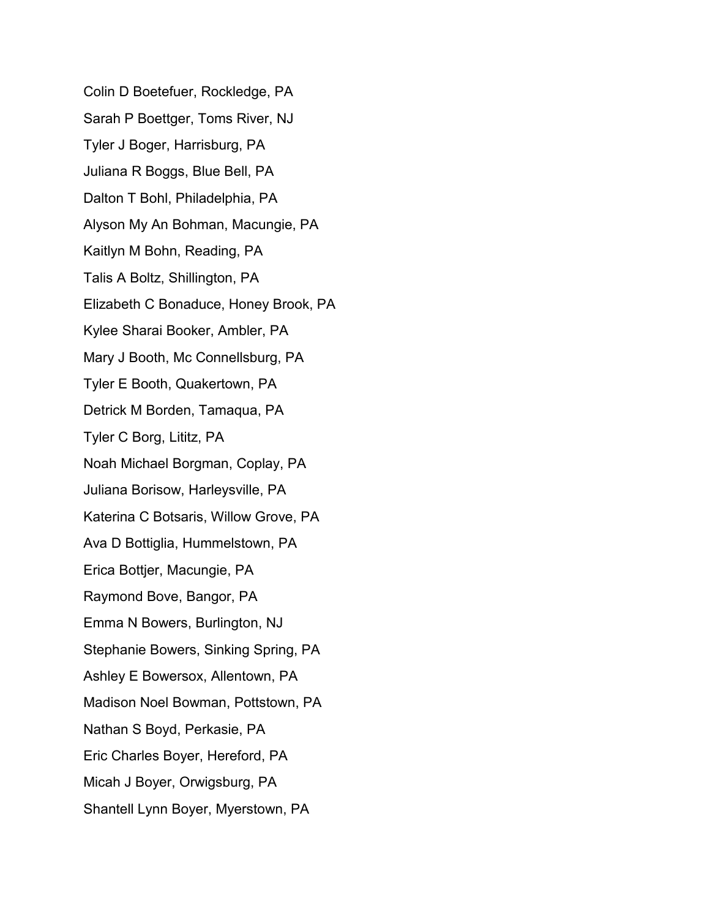Colin D Boetefuer, Rockledge, PA Sarah P Boettger, Toms River, NJ Tyler J Boger, Harrisburg, PA Juliana R Boggs, Blue Bell, PA Dalton T Bohl, Philadelphia, PA Alyson My An Bohman, Macungie, PA Kaitlyn M Bohn, Reading, PA Talis A Boltz, Shillington, PA Elizabeth C Bonaduce, Honey Brook, PA Kylee Sharai Booker, Ambler, PA Mary J Booth, Mc Connellsburg, PA Tyler E Booth, Quakertown, PA Detrick M Borden, Tamaqua, PA Tyler C Borg, Lititz, PA Noah Michael Borgman, Coplay, PA Juliana Borisow, Harleysville, PA Katerina C Botsaris, Willow Grove, PA Ava D Bottiglia, Hummelstown, PA Erica Bottjer, Macungie, PA Raymond Bove, Bangor, PA Emma N Bowers, Burlington, NJ Stephanie Bowers, Sinking Spring, PA Ashley E Bowersox, Allentown, PA Madison Noel Bowman, Pottstown, PA Nathan S Boyd, Perkasie, PA Eric Charles Boyer, Hereford, PA Micah J Boyer, Orwigsburg, PA Shantell Lynn Boyer, Myerstown, PA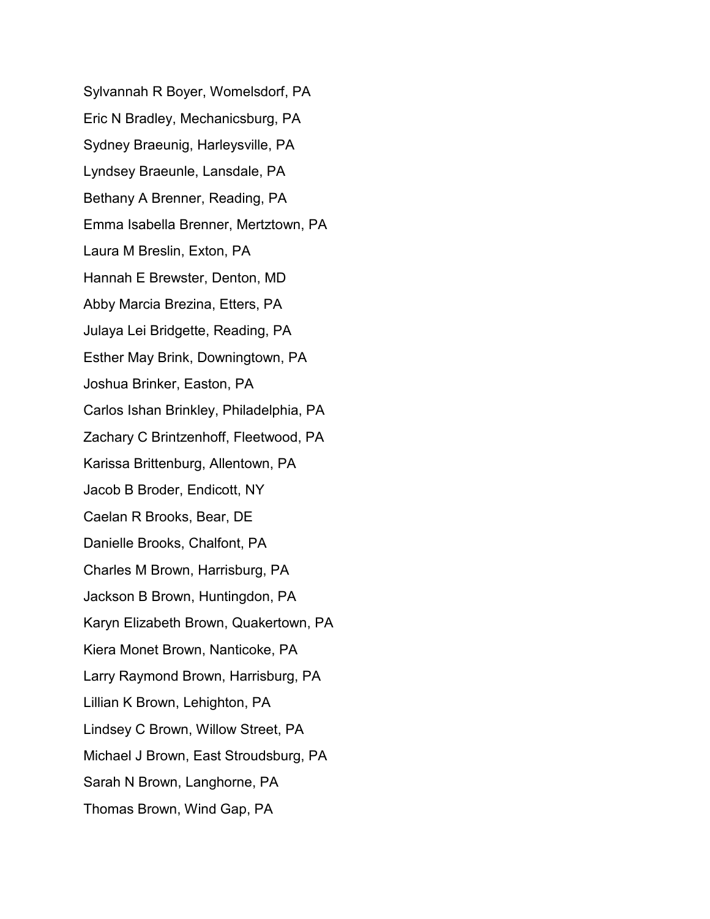Sylvannah R Boyer, Womelsdorf, PA Eric N Bradley, Mechanicsburg, PA Sydney Braeunig, Harleysville, PA Lyndsey Braeunle, Lansdale, PA Bethany A Brenner, Reading, PA Emma Isabella Brenner, Mertztown, PA Laura M Breslin, Exton, PA Hannah E Brewster, Denton, MD Abby Marcia Brezina, Etters, PA Julaya Lei Bridgette, Reading, PA Esther May Brink, Downingtown, PA Joshua Brinker, Easton, PA Carlos Ishan Brinkley, Philadelphia, PA Zachary C Brintzenhoff, Fleetwood, PA Karissa Brittenburg, Allentown, PA Jacob B Broder, Endicott, NY Caelan R Brooks, Bear, DE Danielle Brooks, Chalfont, PA Charles M Brown, Harrisburg, PA Jackson B Brown, Huntingdon, PA Karyn Elizabeth Brown, Quakertown, PA Kiera Monet Brown, Nanticoke, PA Larry Raymond Brown, Harrisburg, PA Lillian K Brown, Lehighton, PA Lindsey C Brown, Willow Street, PA Michael J Brown, East Stroudsburg, PA Sarah N Brown, Langhorne, PA Thomas Brown, Wind Gap, PA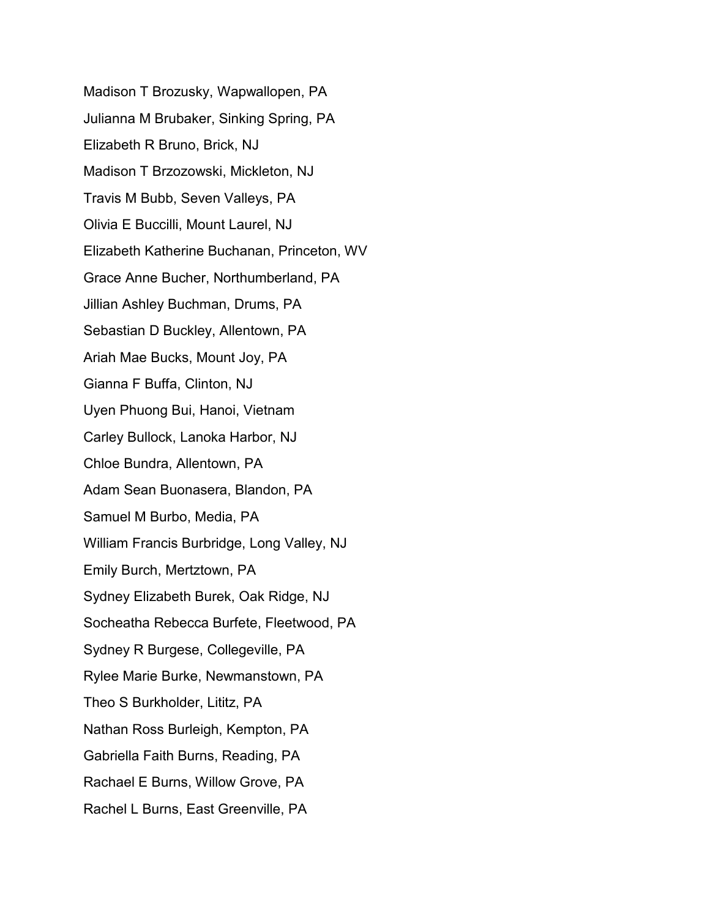Madison T Brozusky, Wapwallopen, PA Julianna M Brubaker, Sinking Spring, PA Elizabeth R Bruno, Brick, NJ Madison T Brzozowski, Mickleton, NJ Travis M Bubb, Seven Valleys, PA Olivia E Buccilli, Mount Laurel, NJ Elizabeth Katherine Buchanan, Princeton, WV Grace Anne Bucher, Northumberland, PA Jillian Ashley Buchman, Drums, PA Sebastian D Buckley, Allentown, PA Ariah Mae Bucks, Mount Joy, PA Gianna F Buffa, Clinton, NJ Uyen Phuong Bui, Hanoi, Vietnam Carley Bullock, Lanoka Harbor, NJ Chloe Bundra, Allentown, PA Adam Sean Buonasera, Blandon, PA Samuel M Burbo, Media, PA William Francis Burbridge, Long Valley, NJ Emily Burch, Mertztown, PA Sydney Elizabeth Burek, Oak Ridge, NJ Socheatha Rebecca Burfete, Fleetwood, PA Sydney R Burgese, Collegeville, PA Rylee Marie Burke, Newmanstown, PA Theo S Burkholder, Lititz, PA Nathan Ross Burleigh, Kempton, PA Gabriella Faith Burns, Reading, PA Rachael E Burns, Willow Grove, PA Rachel L Burns, East Greenville, PA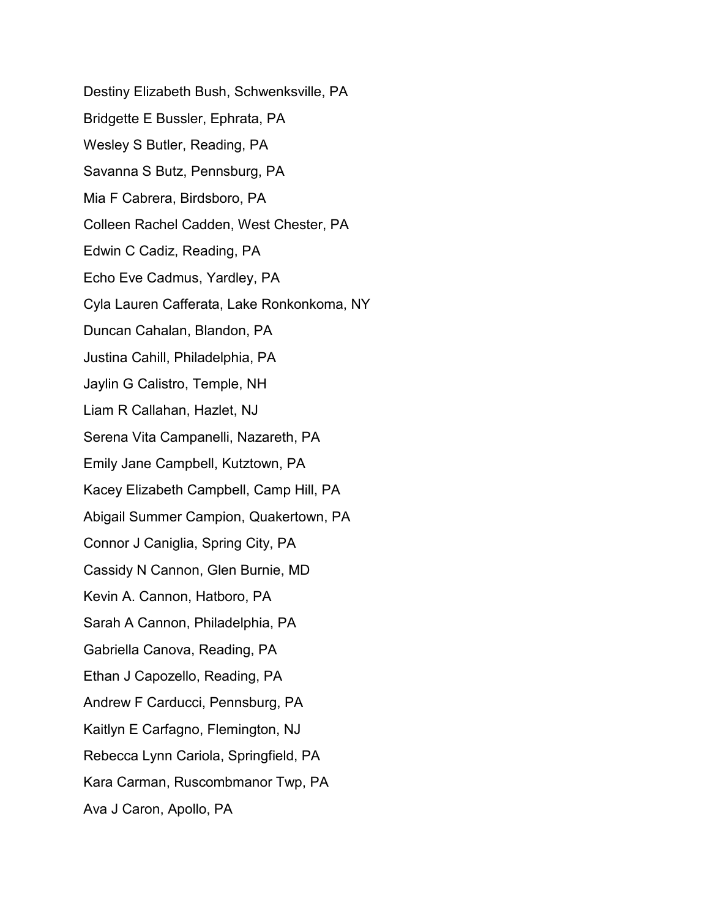Destiny Elizabeth Bush, Schwenksville, PA Bridgette E Bussler, Ephrata, PA Wesley S Butler, Reading, PA Savanna S Butz, Pennsburg, PA Mia F Cabrera, Birdsboro, PA Colleen Rachel Cadden, West Chester, PA Edwin C Cadiz, Reading, PA Echo Eve Cadmus, Yardley, PA Cyla Lauren Cafferata, Lake Ronkonkoma, NY Duncan Cahalan, Blandon, PA Justina Cahill, Philadelphia, PA Jaylin G Calistro, Temple, NH Liam R Callahan, Hazlet, NJ Serena Vita Campanelli, Nazareth, PA Emily Jane Campbell, Kutztown, PA Kacey Elizabeth Campbell, Camp Hill, PA Abigail Summer Campion, Quakertown, PA Connor J Caniglia, Spring City, PA Cassidy N Cannon, Glen Burnie, MD Kevin A. Cannon, Hatboro, PA Sarah A Cannon, Philadelphia, PA Gabriella Canova, Reading, PA Ethan J Capozello, Reading, PA Andrew F Carducci, Pennsburg, PA Kaitlyn E Carfagno, Flemington, NJ Rebecca Lynn Cariola, Springfield, PA Kara Carman, Ruscombmanor Twp, PA Ava J Caron, Apollo, PA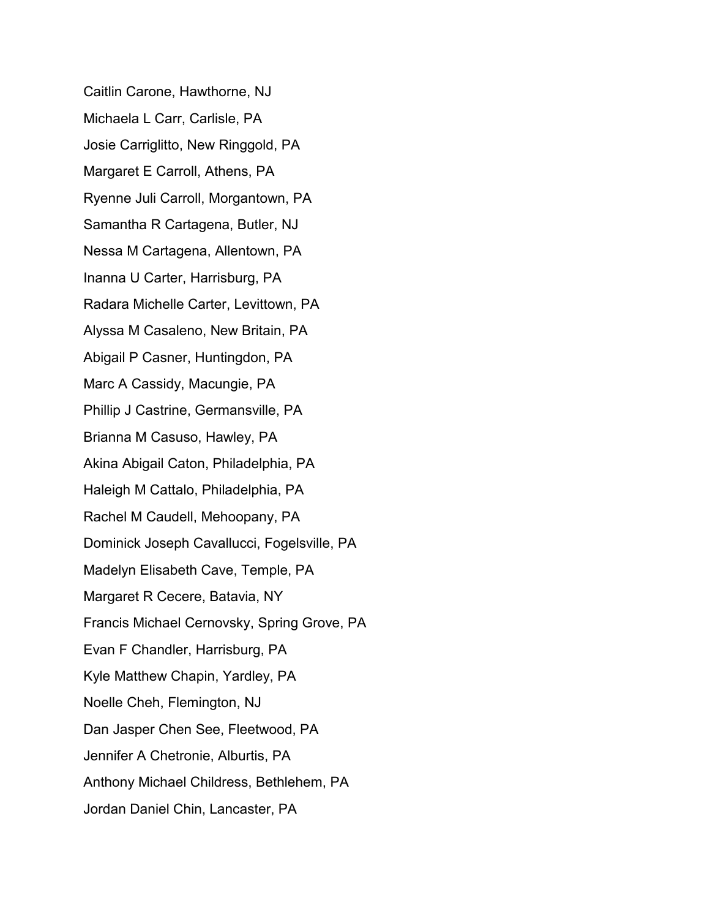Caitlin Carone, Hawthorne, NJ Michaela L Carr, Carlisle, PA Josie Carriglitto, New Ringgold, PA Margaret E Carroll, Athens, PA Ryenne Juli Carroll, Morgantown, PA Samantha R Cartagena, Butler, NJ Nessa M Cartagena, Allentown, PA Inanna U Carter, Harrisburg, PA Radara Michelle Carter, Levittown, PA Alyssa M Casaleno, New Britain, PA Abigail P Casner, Huntingdon, PA Marc A Cassidy, Macungie, PA Phillip J Castrine, Germansville, PA Brianna M Casuso, Hawley, PA Akina Abigail Caton, Philadelphia, PA Haleigh M Cattalo, Philadelphia, PA Rachel M Caudell, Mehoopany, PA Dominick Joseph Cavallucci, Fogelsville, PA Madelyn Elisabeth Cave, Temple, PA Margaret R Cecere, Batavia, NY Francis Michael Cernovsky, Spring Grove, PA Evan F Chandler, Harrisburg, PA Kyle Matthew Chapin, Yardley, PA Noelle Cheh, Flemington, NJ Dan Jasper Chen See, Fleetwood, PA Jennifer A Chetronie, Alburtis, PA Anthony Michael Childress, Bethlehem, PA Jordan Daniel Chin, Lancaster, PA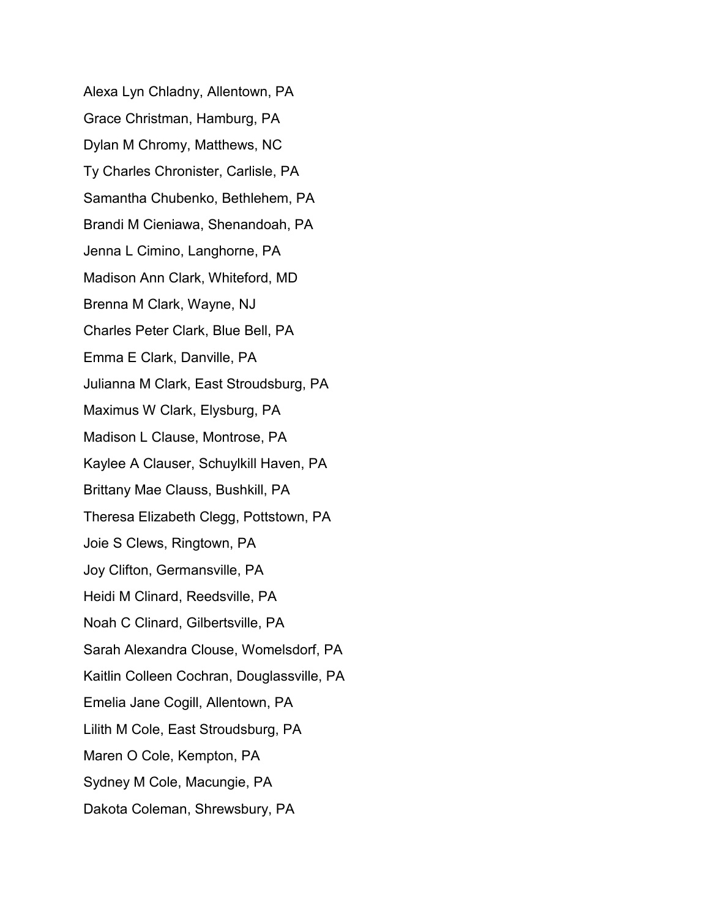Alexa Lyn Chladny, Allentown, PA Grace Christman, Hamburg, PA Dylan M Chromy, Matthews, NC Ty Charles Chronister, Carlisle, PA Samantha Chubenko, Bethlehem, PA Brandi M Cieniawa, Shenandoah, PA Jenna L Cimino, Langhorne, PA Madison Ann Clark, Whiteford, MD Brenna M Clark, Wayne, NJ Charles Peter Clark, Blue Bell, PA Emma E Clark, Danville, PA Julianna M Clark, East Stroudsburg, PA Maximus W Clark, Elysburg, PA Madison L Clause, Montrose, PA Kaylee A Clauser, Schuylkill Haven, PA Brittany Mae Clauss, Bushkill, PA Theresa Elizabeth Clegg, Pottstown, PA Joie S Clews, Ringtown, PA Joy Clifton, Germansville, PA Heidi M Clinard, Reedsville, PA Noah C Clinard, Gilbertsville, PA Sarah Alexandra Clouse, Womelsdorf, PA Kaitlin Colleen Cochran, Douglassville, PA Emelia Jane Cogill, Allentown, PA Lilith M Cole, East Stroudsburg, PA Maren O Cole, Kempton, PA Sydney M Cole, Macungie, PA Dakota Coleman, Shrewsbury, PA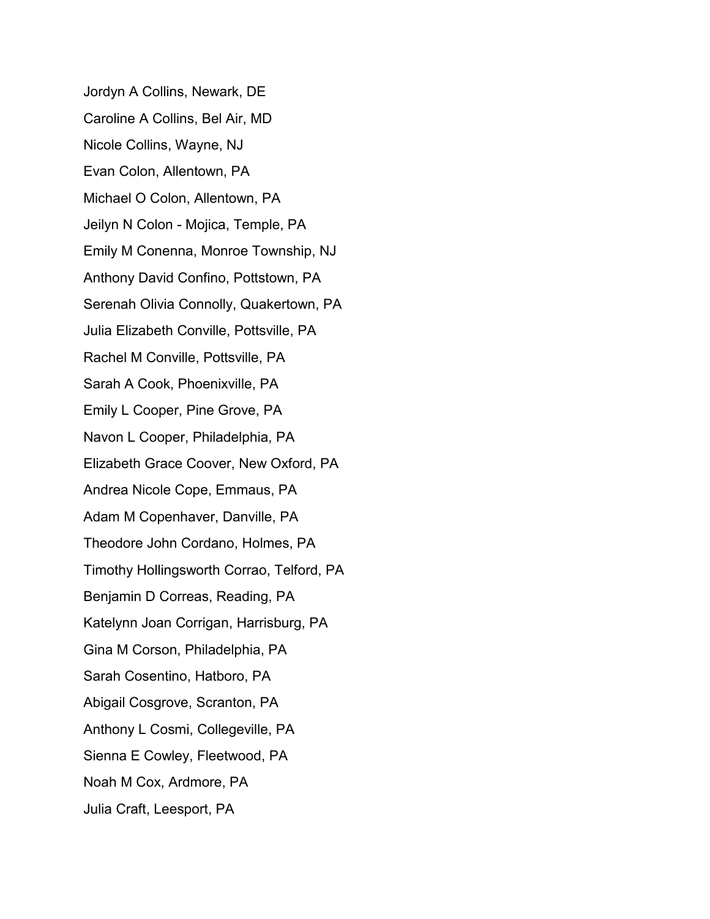Jordyn A Collins, Newark, DE Caroline A Collins, Bel Air, MD Nicole Collins, Wayne, NJ Evan Colon, Allentown, PA Michael O Colon, Allentown, PA Jeilyn N Colon - Mojica, Temple, PA Emily M Conenna, Monroe Township, NJ Anthony David Confino, Pottstown, PA Serenah Olivia Connolly, Quakertown, PA Julia Elizabeth Conville, Pottsville, PA Rachel M Conville, Pottsville, PA Sarah A Cook, Phoenixville, PA Emily L Cooper, Pine Grove, PA Navon L Cooper, Philadelphia, PA Elizabeth Grace Coover, New Oxford, PA Andrea Nicole Cope, Emmaus, PA Adam M Copenhaver, Danville, PA Theodore John Cordano, Holmes, PA Timothy Hollingsworth Corrao, Telford, PA Benjamin D Correas, Reading, PA Katelynn Joan Corrigan, Harrisburg, PA Gina M Corson, Philadelphia, PA Sarah Cosentino, Hatboro, PA Abigail Cosgrove, Scranton, PA Anthony L Cosmi, Collegeville, PA Sienna E Cowley, Fleetwood, PA Noah M Cox, Ardmore, PA Julia Craft, Leesport, PA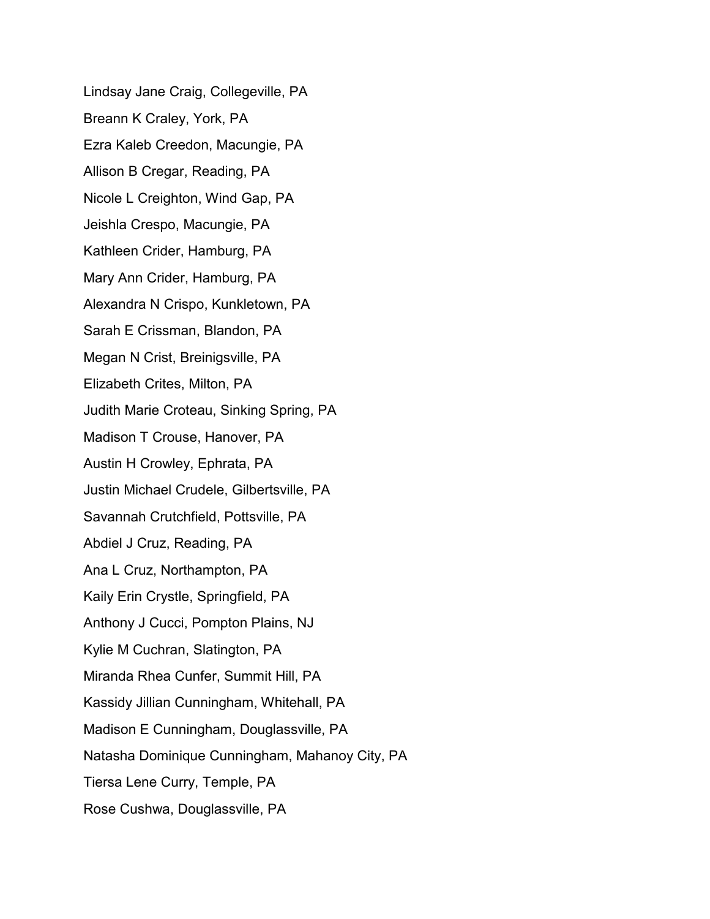Lindsay Jane Craig, Collegeville, PA Breann K Craley, York, PA Ezra Kaleb Creedon, Macungie, PA Allison B Cregar, Reading, PA Nicole L Creighton, Wind Gap, PA Jeishla Crespo, Macungie, PA Kathleen Crider, Hamburg, PA Mary Ann Crider, Hamburg, PA Alexandra N Crispo, Kunkletown, PA Sarah E Crissman, Blandon, PA Megan N Crist, Breinigsville, PA Elizabeth Crites, Milton, PA Judith Marie Croteau, Sinking Spring, PA Madison T Crouse, Hanover, PA Austin H Crowley, Ephrata, PA Justin Michael Crudele, Gilbertsville, PA Savannah Crutchfield, Pottsville, PA Abdiel J Cruz, Reading, PA Ana L Cruz, Northampton, PA Kaily Erin Crystle, Springfield, PA Anthony J Cucci, Pompton Plains, NJ Kylie M Cuchran, Slatington, PA Miranda Rhea Cunfer, Summit Hill, PA Kassidy Jillian Cunningham, Whitehall, PA Madison E Cunningham, Douglassville, PA Natasha Dominique Cunningham, Mahanoy City, PA Tiersa Lene Curry, Temple, PA Rose Cushwa, Douglassville, PA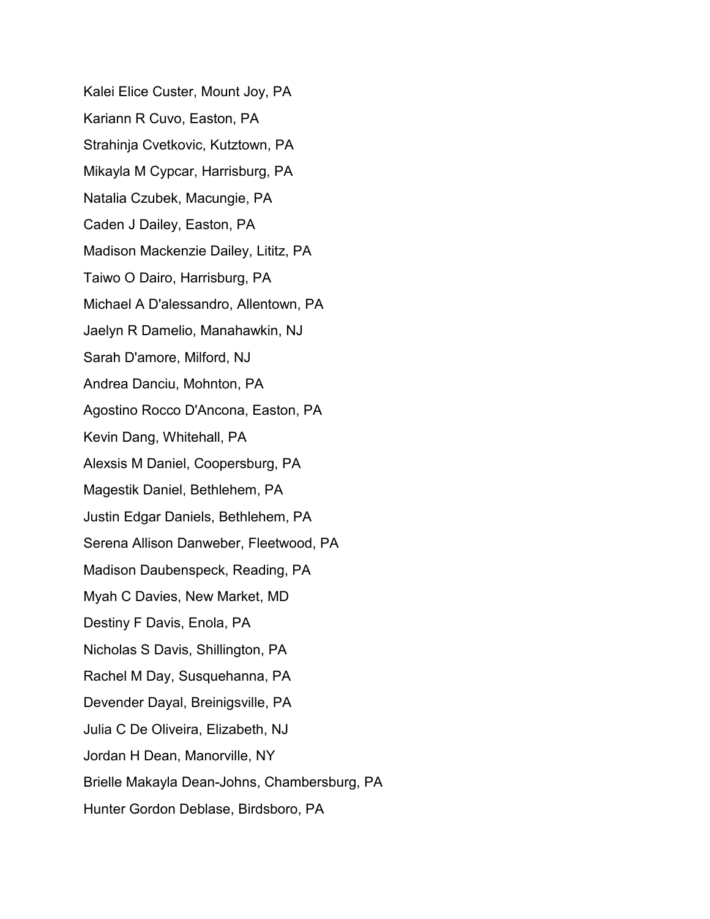Kalei Elice Custer, Mount Joy, PA Kariann R Cuvo, Easton, PA Strahinja Cvetkovic, Kutztown, PA Mikayla M Cypcar, Harrisburg, PA Natalia Czubek, Macungie, PA Caden J Dailey, Easton, PA Madison Mackenzie Dailey, Lititz, PA Taiwo O Dairo, Harrisburg, PA Michael A D'alessandro, Allentown, PA Jaelyn R Damelio, Manahawkin, NJ Sarah D'amore, Milford, NJ Andrea Danciu, Mohnton, PA Agostino Rocco D'Ancona, Easton, PA Kevin Dang, Whitehall, PA Alexsis M Daniel, Coopersburg, PA Magestik Daniel, Bethlehem, PA Justin Edgar Daniels, Bethlehem, PA Serena Allison Danweber, Fleetwood, PA Madison Daubenspeck, Reading, PA Myah C Davies, New Market, MD Destiny F Davis, Enola, PA Nicholas S Davis, Shillington, PA Rachel M Day, Susquehanna, PA Devender Dayal, Breinigsville, PA Julia C De Oliveira, Elizabeth, NJ Jordan H Dean, Manorville, NY Brielle Makayla Dean-Johns, Chambersburg, PA Hunter Gordon Deblase, Birdsboro, PA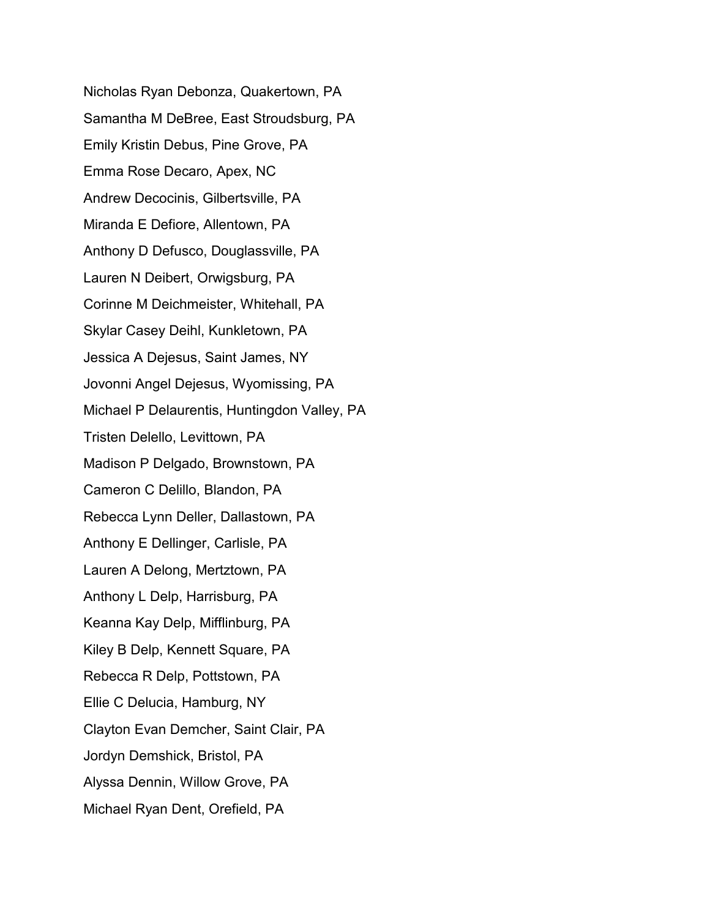Nicholas Ryan Debonza, Quakertown, PA Samantha M DeBree, East Stroudsburg, PA Emily Kristin Debus, Pine Grove, PA Emma Rose Decaro, Apex, NC Andrew Decocinis, Gilbertsville, PA Miranda E Defiore, Allentown, PA Anthony D Defusco, Douglassville, PA Lauren N Deibert, Orwigsburg, PA Corinne M Deichmeister, Whitehall, PA Skylar Casey Deihl, Kunkletown, PA Jessica A Dejesus, Saint James, NY Jovonni Angel Dejesus, Wyomissing, PA Michael P Delaurentis, Huntingdon Valley, PA Tristen Delello, Levittown, PA Madison P Delgado, Brownstown, PA Cameron C Delillo, Blandon, PA Rebecca Lynn Deller, Dallastown, PA Anthony E Dellinger, Carlisle, PA Lauren A Delong, Mertztown, PA Anthony L Delp, Harrisburg, PA Keanna Kay Delp, Mifflinburg, PA Kiley B Delp, Kennett Square, PA Rebecca R Delp, Pottstown, PA Ellie C Delucia, Hamburg, NY Clayton Evan Demcher, Saint Clair, PA Jordyn Demshick, Bristol, PA Alyssa Dennin, Willow Grove, PA Michael Ryan Dent, Orefield, PA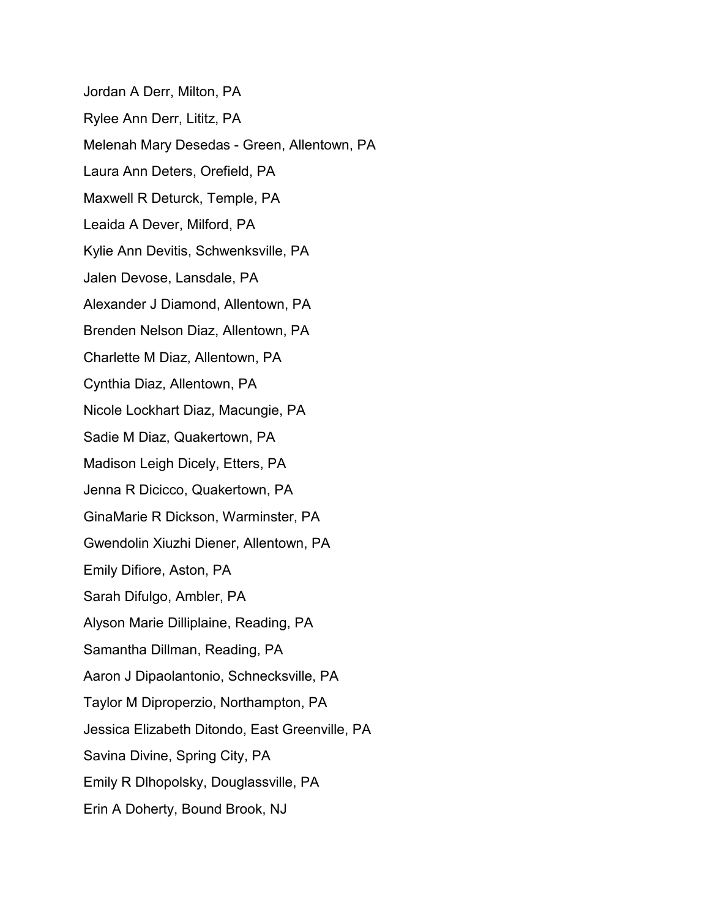Jordan A Derr, Milton, PA Rylee Ann Derr, Lititz, PA Melenah Mary Desedas - Green, Allentown, PA Laura Ann Deters, Orefield, PA Maxwell R Deturck, Temple, PA Leaida A Dever, Milford, PA Kylie Ann Devitis, Schwenksville, PA Jalen Devose, Lansdale, PA Alexander J Diamond, Allentown, PA Brenden Nelson Diaz, Allentown, PA Charlette M Diaz, Allentown, PA Cynthia Diaz, Allentown, PA Nicole Lockhart Diaz, Macungie, PA Sadie M Diaz, Quakertown, PA Madison Leigh Dicely, Etters, PA Jenna R Dicicco, Quakertown, PA GinaMarie R Dickson, Warminster, PA Gwendolin Xiuzhi Diener, Allentown, PA Emily Difiore, Aston, PA Sarah Difulgo, Ambler, PA Alyson Marie Dilliplaine, Reading, PA Samantha Dillman, Reading, PA Aaron J Dipaolantonio, Schnecksville, PA Taylor M Diproperzio, Northampton, PA Jessica Elizabeth Ditondo, East Greenville, PA Savina Divine, Spring City, PA Emily R Dlhopolsky, Douglassville, PA Erin A Doherty, Bound Brook, NJ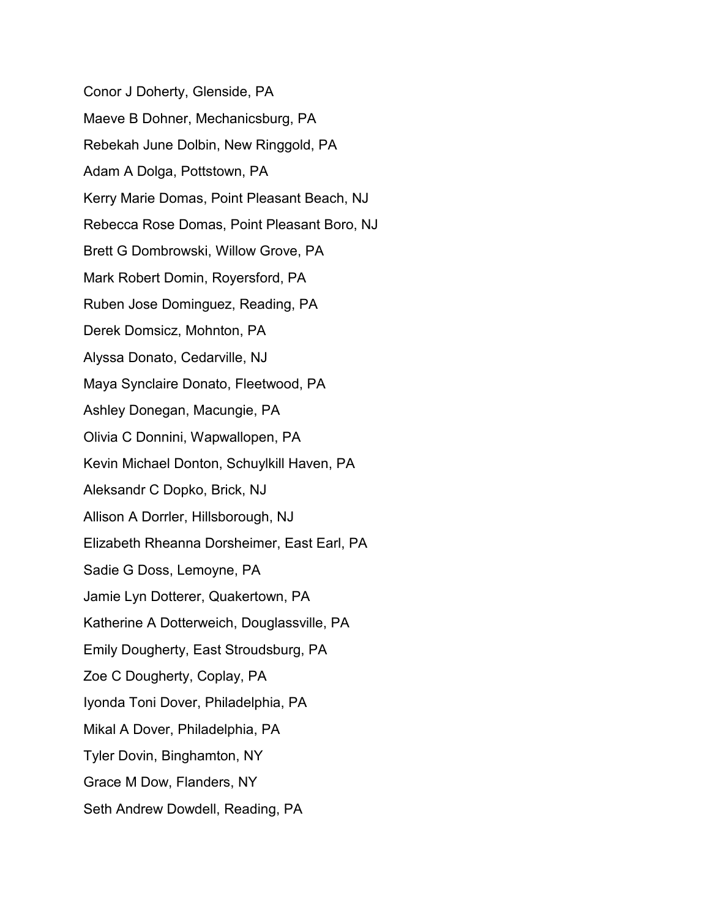Conor J Doherty, Glenside, PA Maeve B Dohner, Mechanicsburg, PA Rebekah June Dolbin, New Ringgold, PA Adam A Dolga, Pottstown, PA Kerry Marie Domas, Point Pleasant Beach, NJ Rebecca Rose Domas, Point Pleasant Boro, NJ Brett G Dombrowski, Willow Grove, PA Mark Robert Domin, Royersford, PA Ruben Jose Dominguez, Reading, PA Derek Domsicz, Mohnton, PA Alyssa Donato, Cedarville, NJ Maya Synclaire Donato, Fleetwood, PA Ashley Donegan, Macungie, PA Olivia C Donnini, Wapwallopen, PA Kevin Michael Donton, Schuylkill Haven, PA Aleksandr C Dopko, Brick, NJ Allison A Dorrler, Hillsborough, NJ Elizabeth Rheanna Dorsheimer, East Earl, PA Sadie G Doss, Lemoyne, PA Jamie Lyn Dotterer, Quakertown, PA Katherine A Dotterweich, Douglassville, PA Emily Dougherty, East Stroudsburg, PA Zoe C Dougherty, Coplay, PA Iyonda Toni Dover, Philadelphia, PA Mikal A Dover, Philadelphia, PA Tyler Dovin, Binghamton, NY Grace M Dow, Flanders, NY Seth Andrew Dowdell, Reading, PA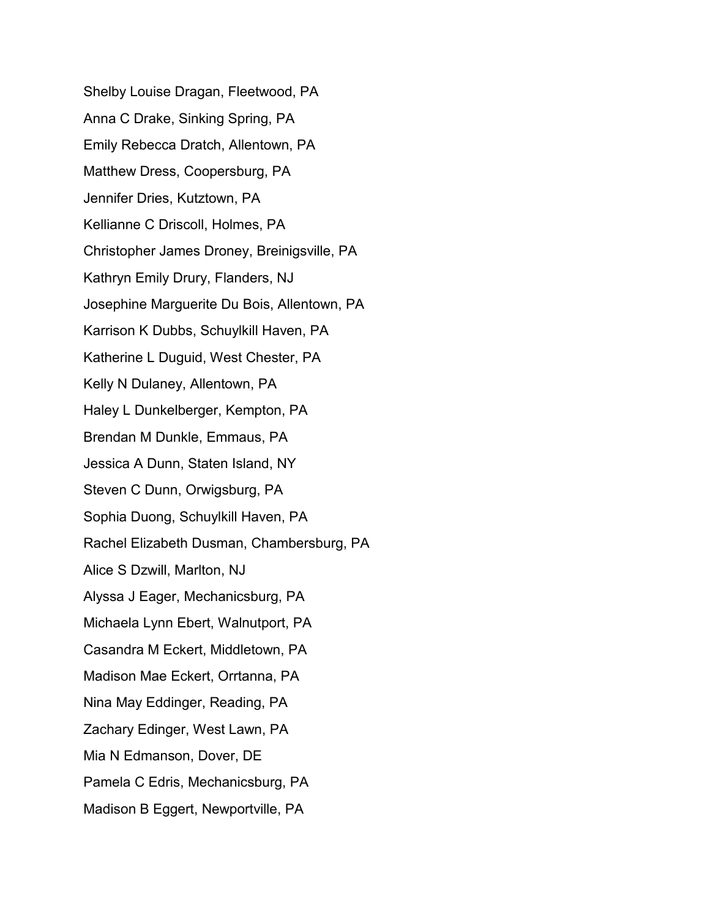Shelby Louise Dragan, Fleetwood, PA Anna C Drake, Sinking Spring, PA Emily Rebecca Dratch, Allentown, PA Matthew Dress, Coopersburg, PA Jennifer Dries, Kutztown, PA Kellianne C Driscoll, Holmes, PA Christopher James Droney, Breinigsville, PA Kathryn Emily Drury, Flanders, NJ Josephine Marguerite Du Bois, Allentown, PA Karrison K Dubbs, Schuylkill Haven, PA Katherine L Duguid, West Chester, PA Kelly N Dulaney, Allentown, PA Haley L Dunkelberger, Kempton, PA Brendan M Dunkle, Emmaus, PA Jessica A Dunn, Staten Island, NY Steven C Dunn, Orwigsburg, PA Sophia Duong, Schuylkill Haven, PA Rachel Elizabeth Dusman, Chambersburg, PA Alice S Dzwill, Marlton, NJ Alyssa J Eager, Mechanicsburg, PA Michaela Lynn Ebert, Walnutport, PA Casandra M Eckert, Middletown, PA Madison Mae Eckert, Orrtanna, PA Nina May Eddinger, Reading, PA Zachary Edinger, West Lawn, PA Mia N Edmanson, Dover, DE Pamela C Edris, Mechanicsburg, PA Madison B Eggert, Newportville, PA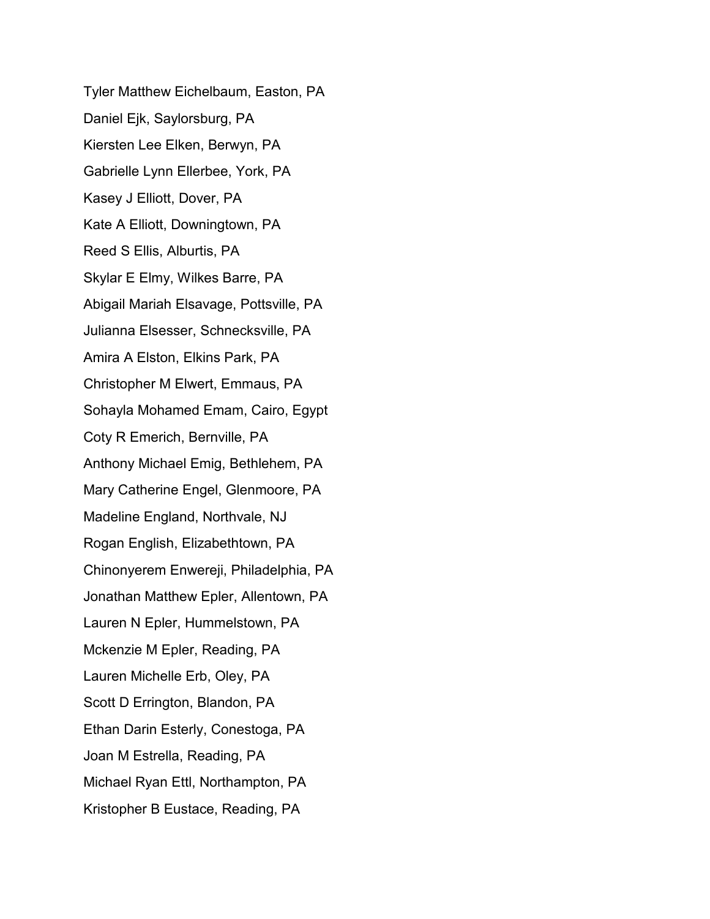Tyler Matthew Eichelbaum, Easton, PA Daniel Ejk, Saylorsburg, PA Kiersten Lee Elken, Berwyn, PA Gabrielle Lynn Ellerbee, York, PA Kasey J Elliott, Dover, PA Kate A Elliott, Downingtown, PA Reed S Ellis, Alburtis, PA Skylar E Elmy, Wilkes Barre, PA Abigail Mariah Elsavage, Pottsville, PA Julianna Elsesser, Schnecksville, PA Amira A Elston, Elkins Park, PA Christopher M Elwert, Emmaus, PA Sohayla Mohamed Emam, Cairo, Egypt Coty R Emerich, Bernville, PA Anthony Michael Emig, Bethlehem, PA Mary Catherine Engel, Glenmoore, PA Madeline England, Northvale, NJ Rogan English, Elizabethtown, PA Chinonyerem Enwereji, Philadelphia, PA Jonathan Matthew Epler, Allentown, PA Lauren N Epler, Hummelstown, PA Mckenzie M Epler, Reading, PA Lauren Michelle Erb, Oley, PA Scott D Errington, Blandon, PA Ethan Darin Esterly, Conestoga, PA Joan M Estrella, Reading, PA Michael Ryan Ettl, Northampton, PA Kristopher B Eustace, Reading, PA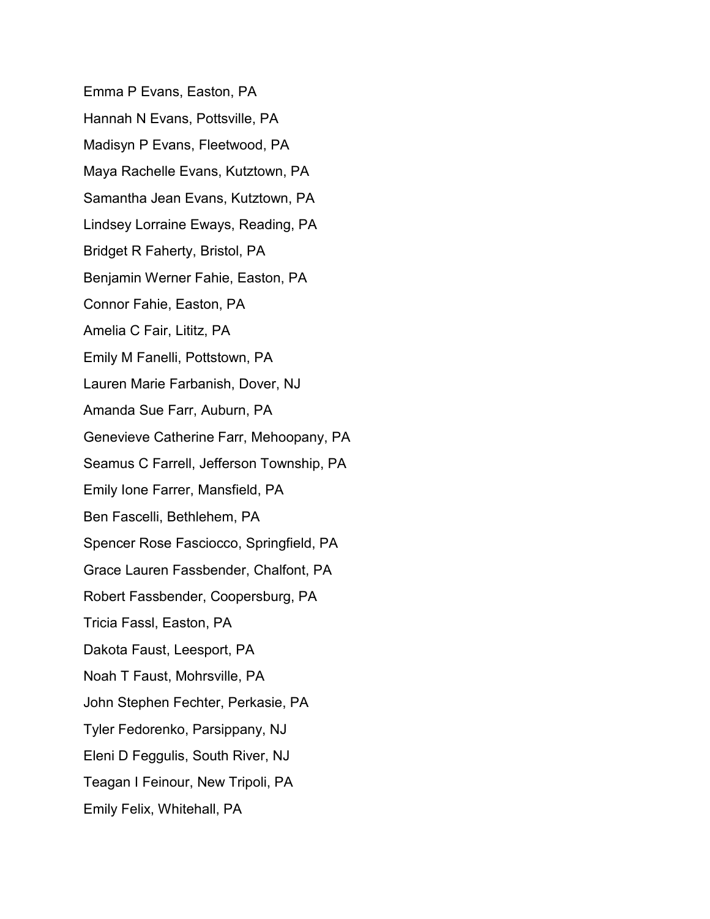Emma P Evans, Easton, PA Hannah N Evans, Pottsville, PA Madisyn P Evans, Fleetwood, PA Maya Rachelle Evans, Kutztown, PA Samantha Jean Evans, Kutztown, PA Lindsey Lorraine Eways, Reading, PA Bridget R Faherty, Bristol, PA Benjamin Werner Fahie, Easton, PA Connor Fahie, Easton, PA Amelia C Fair, Lititz, PA Emily M Fanelli, Pottstown, PA Lauren Marie Farbanish, Dover, NJ Amanda Sue Farr, Auburn, PA Genevieve Catherine Farr, Mehoopany, PA Seamus C Farrell, Jefferson Township, PA Emily Ione Farrer, Mansfield, PA Ben Fascelli, Bethlehem, PA Spencer Rose Fasciocco, Springfield, PA Grace Lauren Fassbender, Chalfont, PA Robert Fassbender, Coopersburg, PA Tricia Fassl, Easton, PA Dakota Faust, Leesport, PA Noah T Faust, Mohrsville, PA John Stephen Fechter, Perkasie, PA Tyler Fedorenko, Parsippany, NJ Eleni D Feggulis, South River, NJ Teagan I Feinour, New Tripoli, PA Emily Felix, Whitehall, PA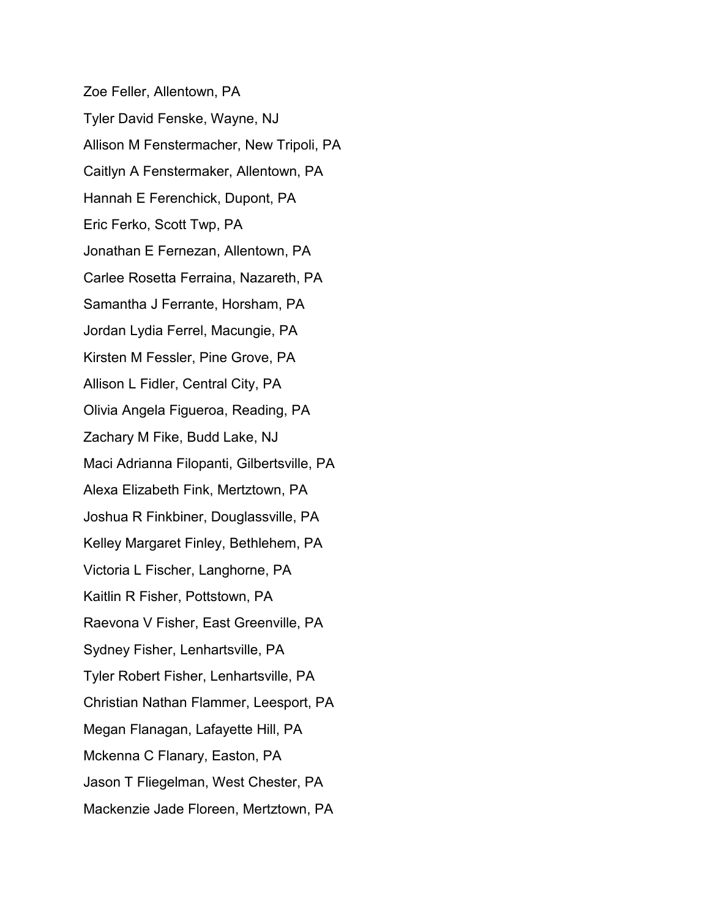Zoe Feller, Allentown, PA Tyler David Fenske, Wayne, NJ Allison M Fenstermacher, New Tripoli, PA Caitlyn A Fenstermaker, Allentown, PA Hannah E Ferenchick, Dupont, PA Eric Ferko, Scott Twp, PA Jonathan E Fernezan, Allentown, PA Carlee Rosetta Ferraina, Nazareth, PA Samantha J Ferrante, Horsham, PA Jordan Lydia Ferrel, Macungie, PA Kirsten M Fessler, Pine Grove, PA Allison L Fidler, Central City, PA Olivia Angela Figueroa, Reading, PA Zachary M Fike, Budd Lake, NJ Maci Adrianna Filopanti, Gilbertsville, PA Alexa Elizabeth Fink, Mertztown, PA Joshua R Finkbiner, Douglassville, PA Kelley Margaret Finley, Bethlehem, PA Victoria L Fischer, Langhorne, PA Kaitlin R Fisher, Pottstown, PA Raevona V Fisher, East Greenville, PA Sydney Fisher, Lenhartsville, PA Tyler Robert Fisher, Lenhartsville, PA Christian Nathan Flammer, Leesport, PA Megan Flanagan, Lafayette Hill, PA Mckenna C Flanary, Easton, PA Jason T Fliegelman, West Chester, PA Mackenzie Jade Floreen, Mertztown, PA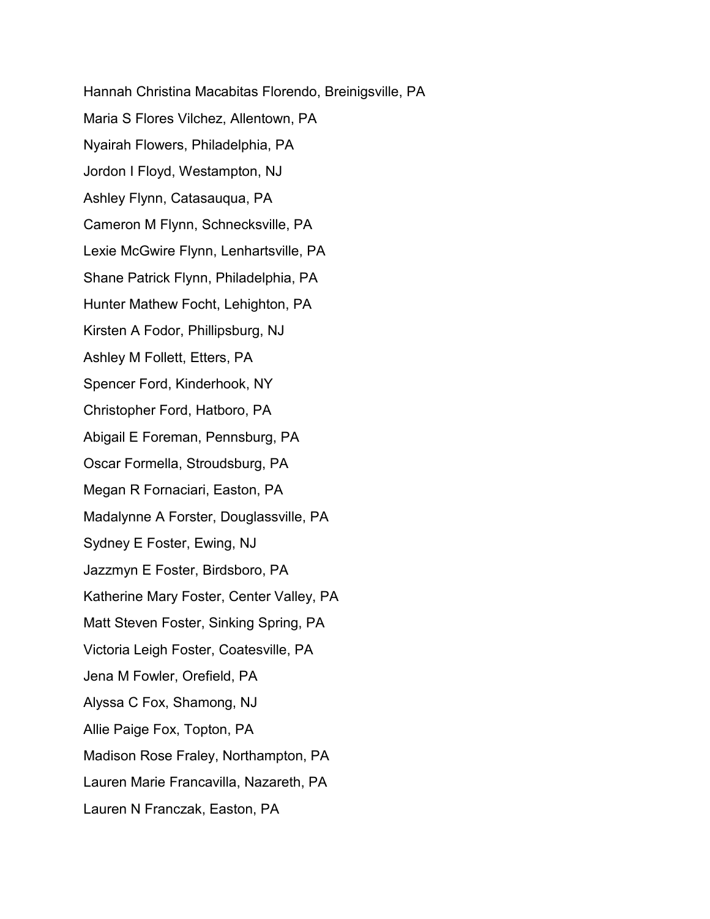Hannah Christina Macabitas Florendo, Breinigsville, PA Maria S Flores Vilchez, Allentown, PA Nyairah Flowers, Philadelphia, PA Jordon I Floyd, Westampton, NJ Ashley Flynn, Catasauqua, PA Cameron M Flynn, Schnecksville, PA Lexie McGwire Flynn, Lenhartsville, PA Shane Patrick Flynn, Philadelphia, PA Hunter Mathew Focht, Lehighton, PA Kirsten A Fodor, Phillipsburg, NJ Ashley M Follett, Etters, PA Spencer Ford, Kinderhook, NY Christopher Ford, Hatboro, PA Abigail E Foreman, Pennsburg, PA Oscar Formella, Stroudsburg, PA Megan R Fornaciari, Easton, PA Madalynne A Forster, Douglassville, PA Sydney E Foster, Ewing, NJ Jazzmyn E Foster, Birdsboro, PA Katherine Mary Foster, Center Valley, PA Matt Steven Foster, Sinking Spring, PA Victoria Leigh Foster, Coatesville, PA Jena M Fowler, Orefield, PA Alyssa C Fox, Shamong, NJ Allie Paige Fox, Topton, PA Madison Rose Fraley, Northampton, PA Lauren Marie Francavilla, Nazareth, PA Lauren N Franczak, Easton, PA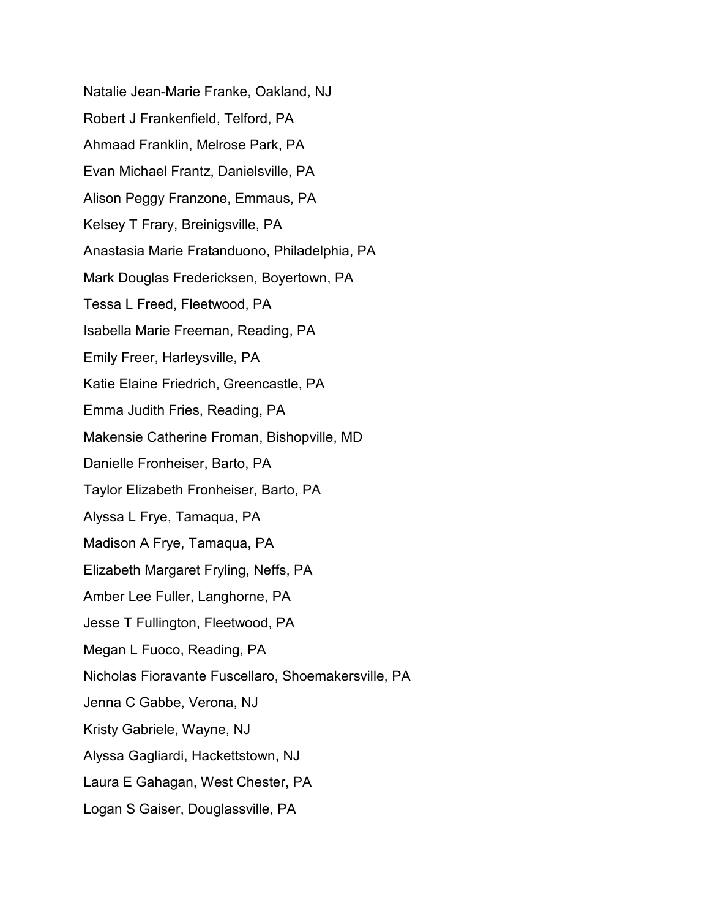Natalie Jean-Marie Franke, Oakland, NJ Robert J Frankenfield, Telford, PA Ahmaad Franklin, Melrose Park, PA Evan Michael Frantz, Danielsville, PA Alison Peggy Franzone, Emmaus, PA Kelsey T Frary, Breinigsville, PA Anastasia Marie Fratanduono, Philadelphia, PA Mark Douglas Fredericksen, Boyertown, PA Tessa L Freed, Fleetwood, PA Isabella Marie Freeman, Reading, PA Emily Freer, Harleysville, PA Katie Elaine Friedrich, Greencastle, PA Emma Judith Fries, Reading, PA Makensie Catherine Froman, Bishopville, MD Danielle Fronheiser, Barto, PA Taylor Elizabeth Fronheiser, Barto, PA Alyssa L Frye, Tamaqua, PA Madison A Frye, Tamaqua, PA Elizabeth Margaret Fryling, Neffs, PA Amber Lee Fuller, Langhorne, PA Jesse T Fullington, Fleetwood, PA Megan L Fuoco, Reading, PA Nicholas Fioravante Fuscellaro, Shoemakersville, PA Jenna C Gabbe, Verona, NJ Kristy Gabriele, Wayne, NJ Alyssa Gagliardi, Hackettstown, NJ Laura E Gahagan, West Chester, PA Logan S Gaiser, Douglassville, PA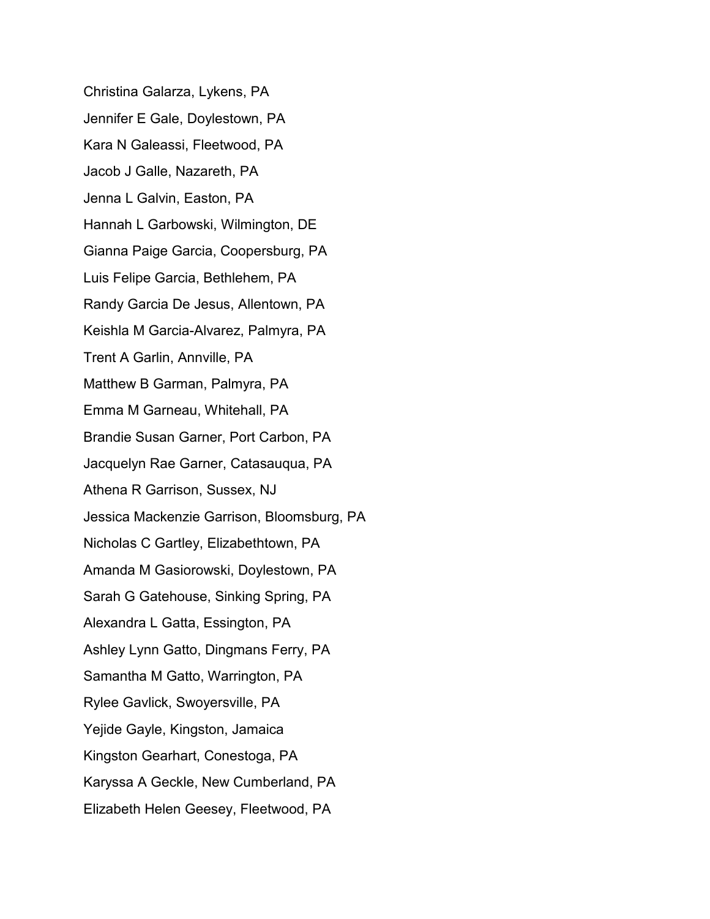Christina Galarza, Lykens, PA Jennifer E Gale, Doylestown, PA Kara N Galeassi, Fleetwood, PA Jacob J Galle, Nazareth, PA Jenna L Galvin, Easton, PA Hannah L Garbowski, Wilmington, DE Gianna Paige Garcia, Coopersburg, PA Luis Felipe Garcia, Bethlehem, PA Randy Garcia De Jesus, Allentown, PA Keishla M Garcia-Alvarez, Palmyra, PA Trent A Garlin, Annville, PA Matthew B Garman, Palmyra, PA Emma M Garneau, Whitehall, PA Brandie Susan Garner, Port Carbon, PA Jacquelyn Rae Garner, Catasauqua, PA Athena R Garrison, Sussex, NJ Jessica Mackenzie Garrison, Bloomsburg, PA Nicholas C Gartley, Elizabethtown, PA Amanda M Gasiorowski, Doylestown, PA Sarah G Gatehouse, Sinking Spring, PA Alexandra L Gatta, Essington, PA Ashley Lynn Gatto, Dingmans Ferry, PA Samantha M Gatto, Warrington, PA Rylee Gavlick, Swoyersville, PA Yejide Gayle, Kingston, Jamaica Kingston Gearhart, Conestoga, PA Karyssa A Geckle, New Cumberland, PA Elizabeth Helen Geesey, Fleetwood, PA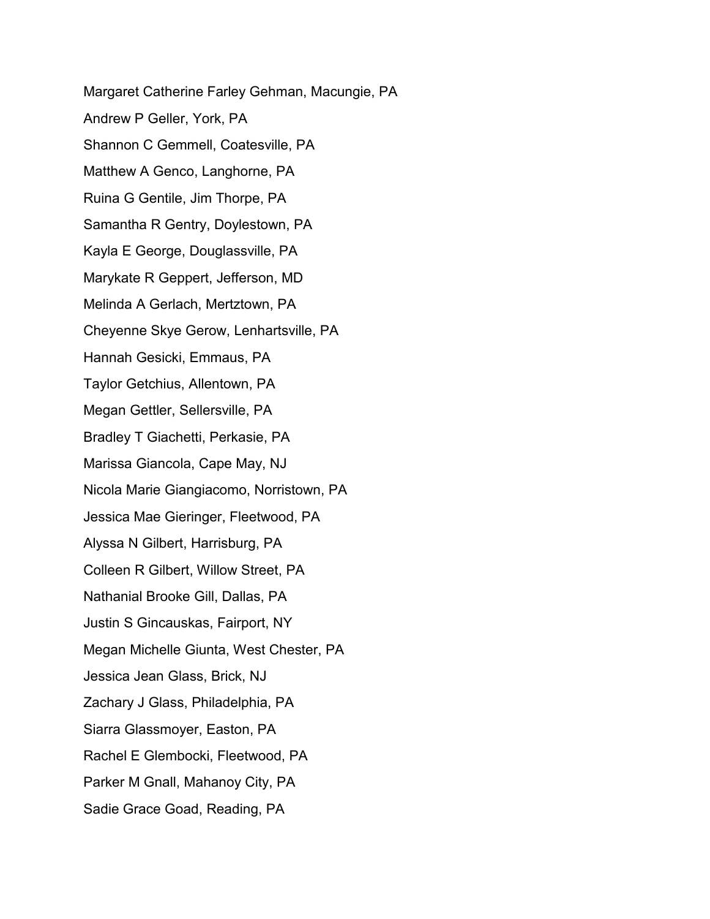Margaret Catherine Farley Gehman, Macungie, PA Andrew P Geller, York, PA Shannon C Gemmell, Coatesville, PA Matthew A Genco, Langhorne, PA Ruina G Gentile, Jim Thorpe, PA Samantha R Gentry, Doylestown, PA Kayla E George, Douglassville, PA Marykate R Geppert, Jefferson, MD Melinda A Gerlach, Mertztown, PA Cheyenne Skye Gerow, Lenhartsville, PA Hannah Gesicki, Emmaus, PA Taylor Getchius, Allentown, PA Megan Gettler, Sellersville, PA Bradley T Giachetti, Perkasie, PA Marissa Giancola, Cape May, NJ Nicola Marie Giangiacomo, Norristown, PA Jessica Mae Gieringer, Fleetwood, PA Alyssa N Gilbert, Harrisburg, PA Colleen R Gilbert, Willow Street, PA Nathanial Brooke Gill, Dallas, PA Justin S Gincauskas, Fairport, NY Megan Michelle Giunta, West Chester, PA Jessica Jean Glass, Brick, NJ Zachary J Glass, Philadelphia, PA Siarra Glassmoyer, Easton, PA Rachel E Glembocki, Fleetwood, PA Parker M Gnall, Mahanoy City, PA Sadie Grace Goad, Reading, PA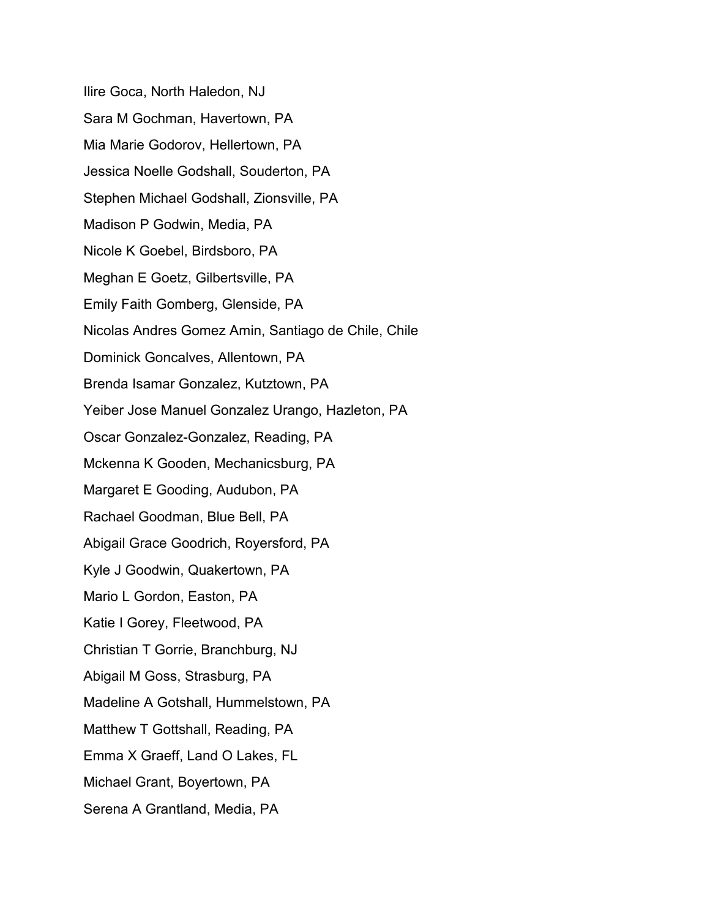Ilire Goca, North Haledon, NJ Sara M Gochman, Havertown, PA Mia Marie Godorov, Hellertown, PA Jessica Noelle Godshall, Souderton, PA Stephen Michael Godshall, Zionsville, PA Madison P Godwin, Media, PA Nicole K Goebel, Birdsboro, PA Meghan E Goetz, Gilbertsville, PA Emily Faith Gomberg, Glenside, PA Nicolas Andres Gomez Amin, Santiago de Chile, Chile Dominick Goncalves, Allentown, PA Brenda Isamar Gonzalez, Kutztown, PA Yeiber Jose Manuel Gonzalez Urango, Hazleton, PA Oscar Gonzalez-Gonzalez, Reading, PA Mckenna K Gooden, Mechanicsburg, PA Margaret E Gooding, Audubon, PA Rachael Goodman, Blue Bell, PA Abigail Grace Goodrich, Royersford, PA Kyle J Goodwin, Quakertown, PA Mario L Gordon, Easton, PA Katie I Gorey, Fleetwood, PA Christian T Gorrie, Branchburg, NJ Abigail M Goss, Strasburg, PA Madeline A Gotshall, Hummelstown, PA Matthew T Gottshall, Reading, PA Emma X Graeff, Land O Lakes, FL Michael Grant, Boyertown, PA Serena A Grantland, Media, PA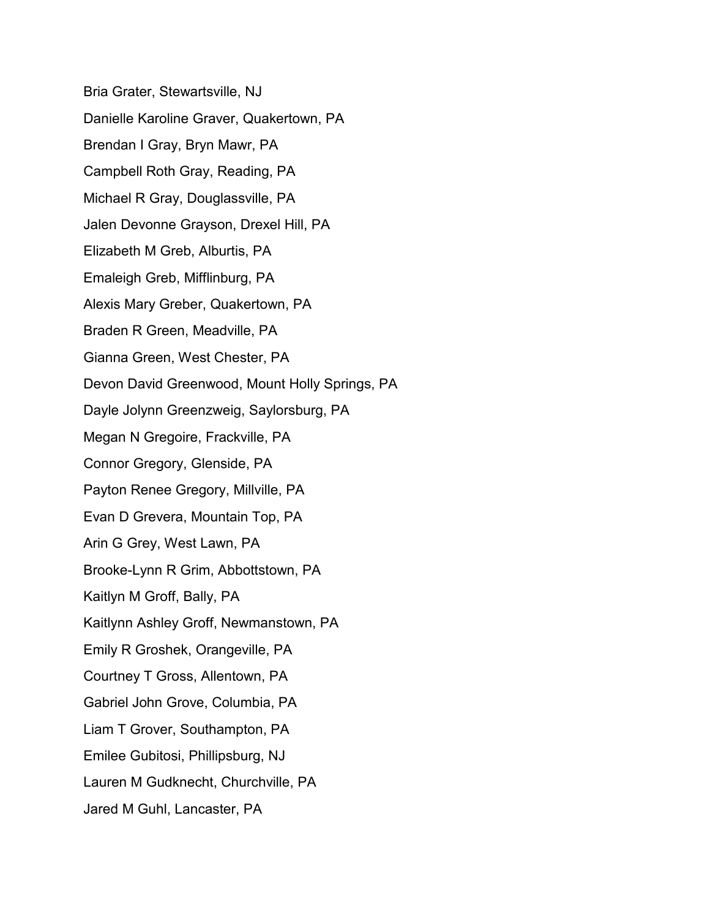Bria Grater, Stewartsville, NJ Danielle Karoline Graver, Quakertown, PA Brendan I Gray, Bryn Mawr, PA Campbell Roth Gray, Reading, PA Michael R Gray, Douglassville, PA Jalen Devonne Grayson, Drexel Hill, PA Elizabeth M Greb, Alburtis, PA Emaleigh Greb, Mifflinburg, PA Alexis Mary Greber, Quakertown, PA Braden R Green, Meadville, PA Gianna Green, West Chester, PA Devon David Greenwood, Mount Holly Springs, PA Dayle Jolynn Greenzweig, Saylorsburg, PA Megan N Gregoire, Frackville, PA Connor Gregory, Glenside, PA Payton Renee Gregory, Millville, PA Evan D Grevera, Mountain Top, PA Arin G Grey, West Lawn, PA Brooke-Lynn R Grim, Abbottstown, PA Kaitlyn M Groff, Bally, PA Kaitlynn Ashley Groff, Newmanstown, PA Emily R Groshek, Orangeville, PA Courtney T Gross, Allentown, PA Gabriel John Grove, Columbia, PA Liam T Grover, Southampton, PA Emilee Gubitosi, Phillipsburg, NJ Lauren M Gudknecht, Churchville, PA Jared M Guhl, Lancaster, PA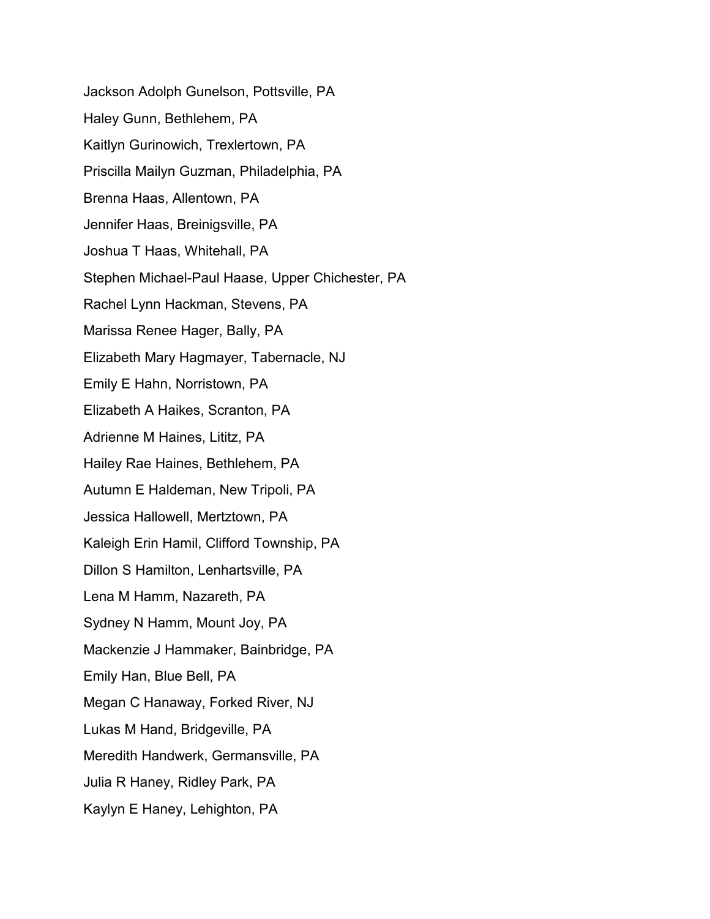Jackson Adolph Gunelson, Pottsville, PA Haley Gunn, Bethlehem, PA Kaitlyn Gurinowich, Trexlertown, PA Priscilla Mailyn Guzman, Philadelphia, PA Brenna Haas, Allentown, PA Jennifer Haas, Breinigsville, PA Joshua T Haas, Whitehall, PA Stephen Michael-Paul Haase, Upper Chichester, PA Rachel Lynn Hackman, Stevens, PA Marissa Renee Hager, Bally, PA Elizabeth Mary Hagmayer, Tabernacle, NJ Emily E Hahn, Norristown, PA Elizabeth A Haikes, Scranton, PA Adrienne M Haines, Lititz, PA Hailey Rae Haines, Bethlehem, PA Autumn E Haldeman, New Tripoli, PA Jessica Hallowell, Mertztown, PA Kaleigh Erin Hamil, Clifford Township, PA Dillon S Hamilton, Lenhartsville, PA Lena M Hamm, Nazareth, PA Sydney N Hamm, Mount Joy, PA Mackenzie J Hammaker, Bainbridge, PA Emily Han, Blue Bell, PA Megan C Hanaway, Forked River, NJ Lukas M Hand, Bridgeville, PA Meredith Handwerk, Germansville, PA Julia R Haney, Ridley Park, PA Kaylyn E Haney, Lehighton, PA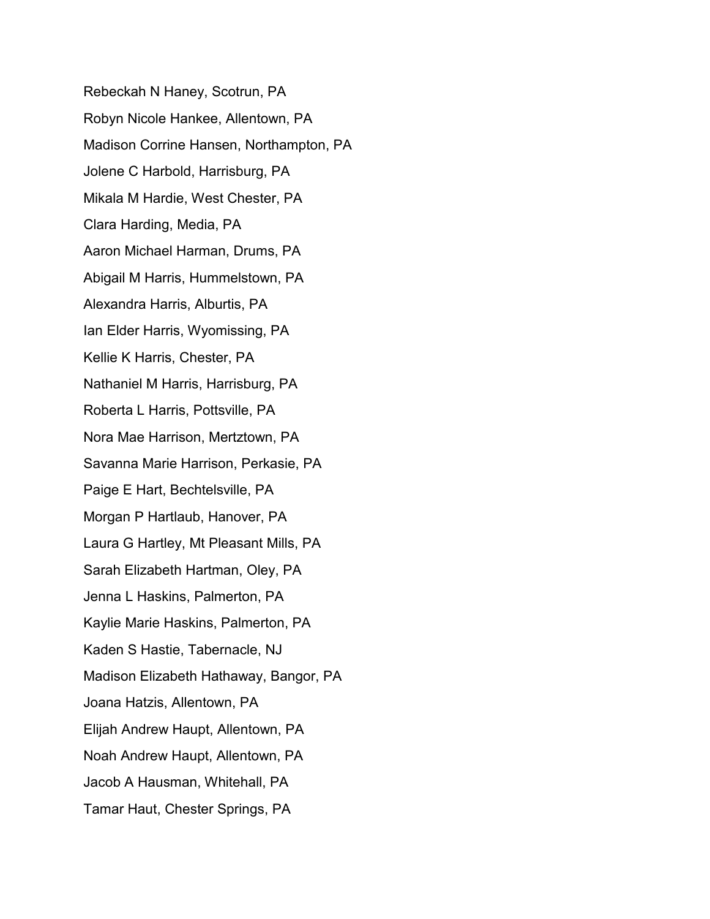Rebeckah N Haney, Scotrun, PA Robyn Nicole Hankee, Allentown, PA Madison Corrine Hansen, Northampton, PA Jolene C Harbold, Harrisburg, PA Mikala M Hardie, West Chester, PA Clara Harding, Media, PA Aaron Michael Harman, Drums, PA Abigail M Harris, Hummelstown, PA Alexandra Harris, Alburtis, PA Ian Elder Harris, Wyomissing, PA Kellie K Harris, Chester, PA Nathaniel M Harris, Harrisburg, PA Roberta L Harris, Pottsville, PA Nora Mae Harrison, Mertztown, PA Savanna Marie Harrison, Perkasie, PA Paige E Hart, Bechtelsville, PA Morgan P Hartlaub, Hanover, PA Laura G Hartley, Mt Pleasant Mills, PA Sarah Elizabeth Hartman, Oley, PA Jenna L Haskins, Palmerton, PA Kaylie Marie Haskins, Palmerton, PA Kaden S Hastie, Tabernacle, NJ Madison Elizabeth Hathaway, Bangor, PA Joana Hatzis, Allentown, PA Elijah Andrew Haupt, Allentown, PA Noah Andrew Haupt, Allentown, PA Jacob A Hausman, Whitehall, PA Tamar Haut, Chester Springs, PA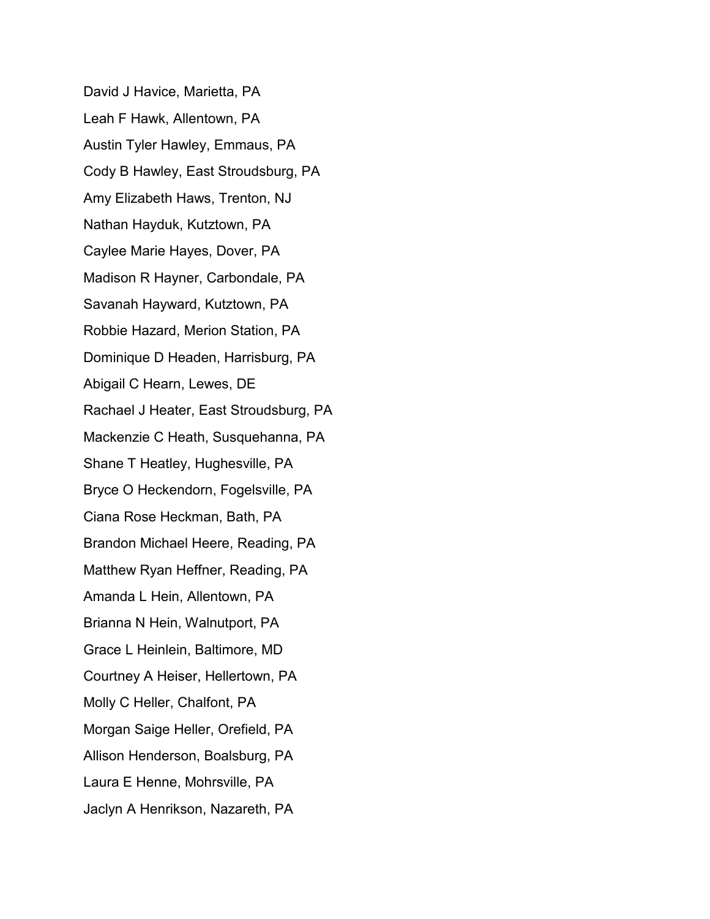David J Havice, Marietta, PA Leah F Hawk, Allentown, PA Austin Tyler Hawley, Emmaus, PA Cody B Hawley, East Stroudsburg, PA Amy Elizabeth Haws, Trenton, NJ Nathan Hayduk, Kutztown, PA Caylee Marie Hayes, Dover, PA Madison R Hayner, Carbondale, PA Savanah Hayward, Kutztown, PA Robbie Hazard, Merion Station, PA Dominique D Headen, Harrisburg, PA Abigail C Hearn, Lewes, DE Rachael J Heater, East Stroudsburg, PA Mackenzie C Heath, Susquehanna, PA Shane T Heatley, Hughesville, PA Bryce O Heckendorn, Fogelsville, PA Ciana Rose Heckman, Bath, PA Brandon Michael Heere, Reading, PA Matthew Ryan Heffner, Reading, PA Amanda L Hein, Allentown, PA Brianna N Hein, Walnutport, PA Grace L Heinlein, Baltimore, MD Courtney A Heiser, Hellertown, PA Molly C Heller, Chalfont, PA Morgan Saige Heller, Orefield, PA Allison Henderson, Boalsburg, PA Laura E Henne, Mohrsville, PA Jaclyn A Henrikson, Nazareth, PA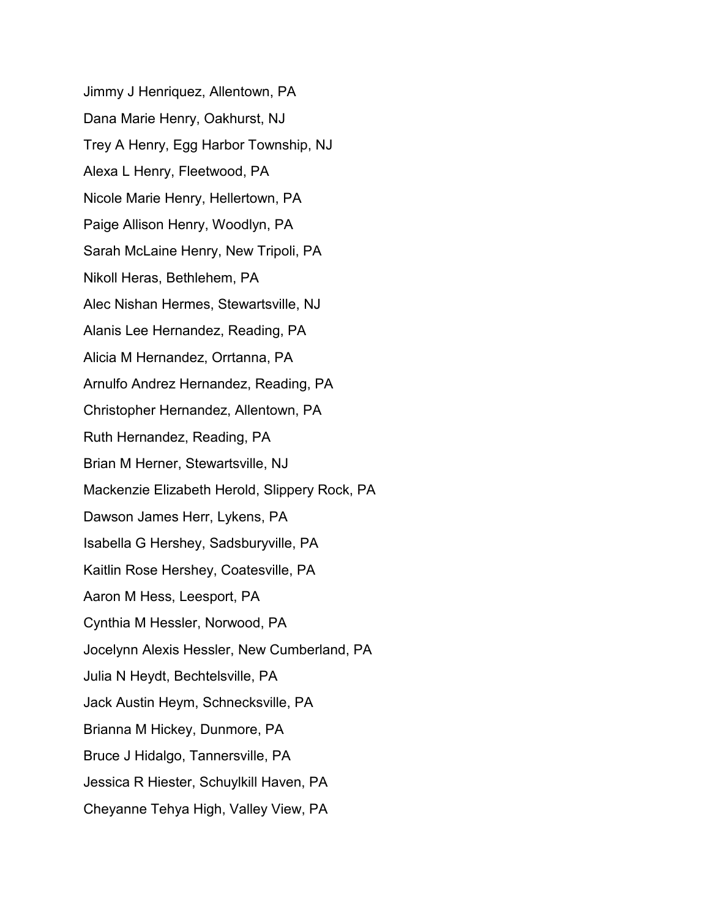Jimmy J Henriquez, Allentown, PA Dana Marie Henry, Oakhurst, NJ Trey A Henry, Egg Harbor Township, NJ Alexa L Henry, Fleetwood, PA Nicole Marie Henry, Hellertown, PA Paige Allison Henry, Woodlyn, PA Sarah McLaine Henry, New Tripoli, PA Nikoll Heras, Bethlehem, PA Alec Nishan Hermes, Stewartsville, NJ Alanis Lee Hernandez, Reading, PA Alicia M Hernandez, Orrtanna, PA Arnulfo Andrez Hernandez, Reading, PA Christopher Hernandez, Allentown, PA Ruth Hernandez, Reading, PA Brian M Herner, Stewartsville, NJ Mackenzie Elizabeth Herold, Slippery Rock, PA Dawson James Herr, Lykens, PA Isabella G Hershey, Sadsburyville, PA Kaitlin Rose Hershey, Coatesville, PA Aaron M Hess, Leesport, PA Cynthia M Hessler, Norwood, PA Jocelynn Alexis Hessler, New Cumberland, PA Julia N Heydt, Bechtelsville, PA Jack Austin Heym, Schnecksville, PA Brianna M Hickey, Dunmore, PA Bruce J Hidalgo, Tannersville, PA Jessica R Hiester, Schuylkill Haven, PA Cheyanne Tehya High, Valley View, PA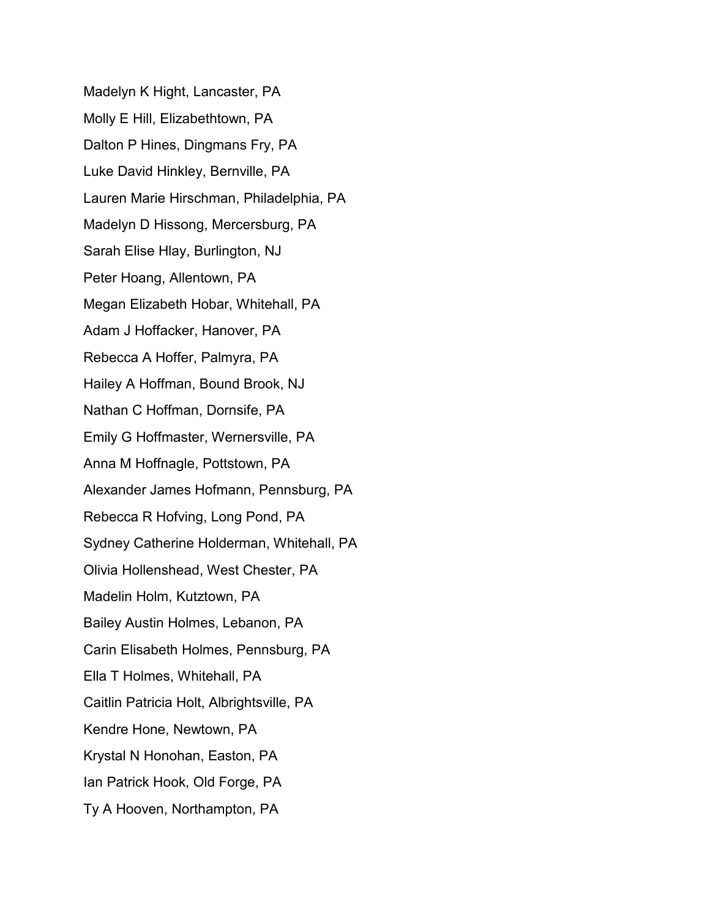Madelyn K Hight, Lancaster, PA Molly E Hill, Elizabethtown, PA Dalton P Hines, Dingmans Fry, PA Luke David Hinkley, Bernville, PA Lauren Marie Hirschman, Philadelphia, PA Madelyn D Hissong, Mercersburg, PA Sarah Elise Hlay, Burlington, NJ Peter Hoang, Allentown, PA Megan Elizabeth Hobar, Whitehall, PA Adam J Hoffacker, Hanover, PA Rebecca A Hoffer, Palmyra, PA Hailey A Hoffman, Bound Brook, NJ Nathan C Hoffman, Dornsife, PA Emily G Hoffmaster, Wernersville, PA Anna M Hoffnagle, Pottstown, PA Alexander James Hofmann, Pennsburg, PA Rebecca R Hofving, Long Pond, PA Sydney Catherine Holderman, Whitehall, PA Olivia Hollenshead, West Chester, PA Madelin Holm, Kutztown, PA Bailey Austin Holmes, Lebanon, PA Carin Elisabeth Holmes, Pennsburg, PA Ella T Holmes, Whitehall, PA Caitlin Patricia Holt, Albrightsville, PA Kendre Hone, Newtown, PA Krystal N Honohan, Easton, PA Ian Patrick Hook, Old Forge, PA Ty A Hooven, Northampton, PA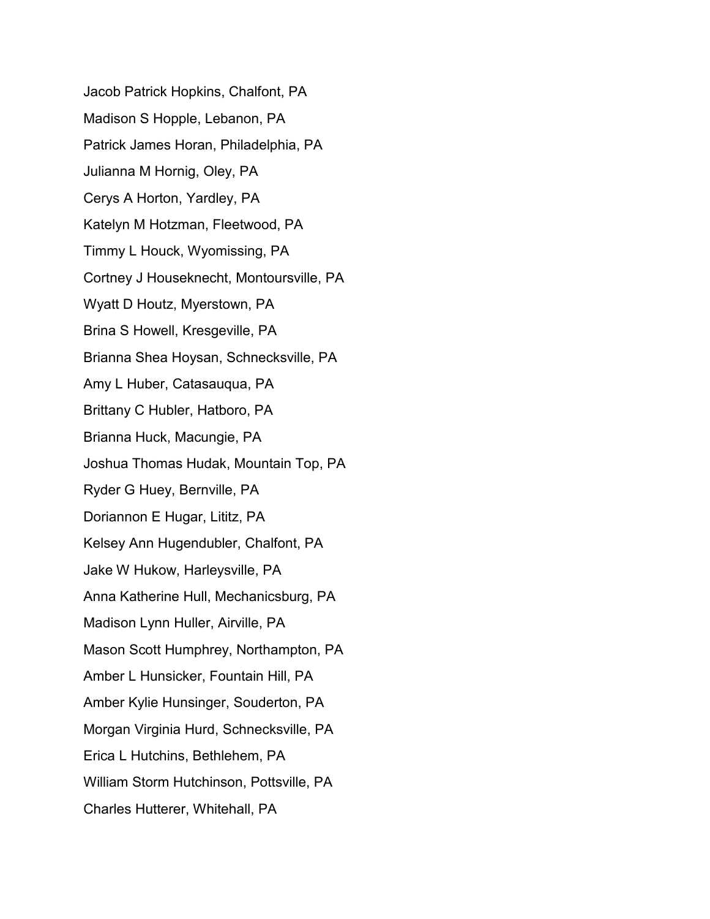Jacob Patrick Hopkins, Chalfont, PA Madison S Hopple, Lebanon, PA Patrick James Horan, Philadelphia, PA Julianna M Hornig, Oley, PA Cerys A Horton, Yardley, PA Katelyn M Hotzman, Fleetwood, PA Timmy L Houck, Wyomissing, PA Cortney J Houseknecht, Montoursville, PA Wyatt D Houtz, Myerstown, PA Brina S Howell, Kresgeville, PA Brianna Shea Hoysan, Schnecksville, PA Amy L Huber, Catasauqua, PA Brittany C Hubler, Hatboro, PA Brianna Huck, Macungie, PA Joshua Thomas Hudak, Mountain Top, PA Ryder G Huey, Bernville, PA Doriannon E Hugar, Lititz, PA Kelsey Ann Hugendubler, Chalfont, PA Jake W Hukow, Harleysville, PA Anna Katherine Hull, Mechanicsburg, PA Madison Lynn Huller, Airville, PA Mason Scott Humphrey, Northampton, PA Amber L Hunsicker, Fountain Hill, PA Amber Kylie Hunsinger, Souderton, PA Morgan Virginia Hurd, Schnecksville, PA Erica L Hutchins, Bethlehem, PA William Storm Hutchinson, Pottsville, PA Charles Hutterer, Whitehall, PA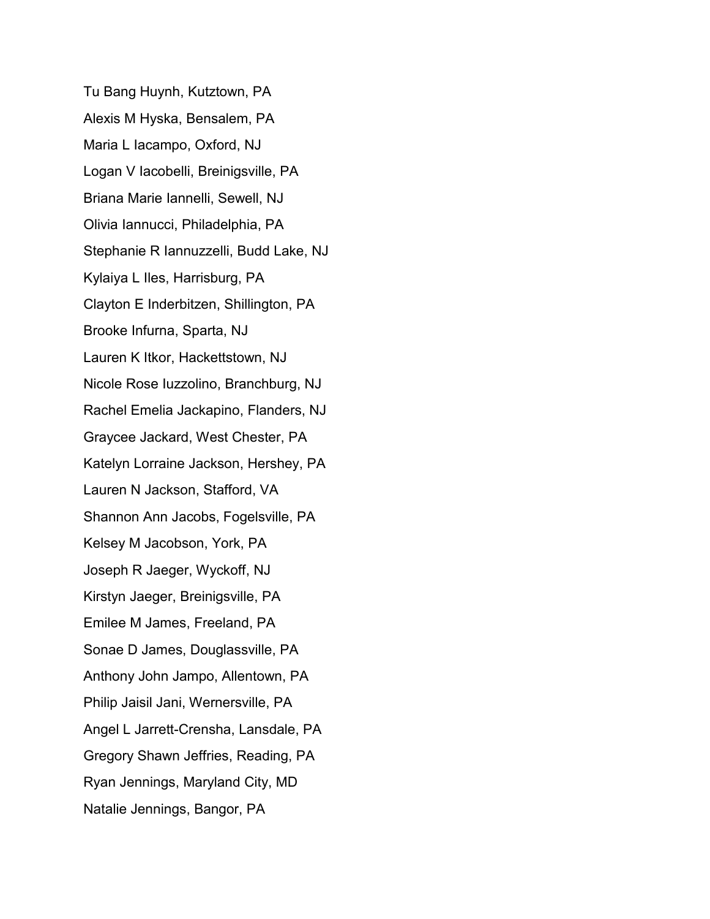Tu Bang Huynh, Kutztown, PA Alexis M Hyska, Bensalem, PA Maria L Iacampo, Oxford, NJ Logan V Iacobelli, Breinigsville, PA Briana Marie Iannelli, Sewell, NJ Olivia Iannucci, Philadelphia, PA Stephanie R Iannuzzelli, Budd Lake, NJ Kylaiya L Iles, Harrisburg, PA Clayton E Inderbitzen, Shillington, PA Brooke Infurna, Sparta, NJ Lauren K Itkor, Hackettstown, NJ Nicole Rose Iuzzolino, Branchburg, NJ Rachel Emelia Jackapino, Flanders, NJ Graycee Jackard, West Chester, PA Katelyn Lorraine Jackson, Hershey, PA Lauren N Jackson, Stafford, VA Shannon Ann Jacobs, Fogelsville, PA Kelsey M Jacobson, York, PA Joseph R Jaeger, Wyckoff, NJ Kirstyn Jaeger, Breinigsville, PA Emilee M James, Freeland, PA Sonae D James, Douglassville, PA Anthony John Jampo, Allentown, PA Philip Jaisil Jani, Wernersville, PA Angel L Jarrett-Crensha, Lansdale, PA Gregory Shawn Jeffries, Reading, PA Ryan Jennings, Maryland City, MD Natalie Jennings, Bangor, PA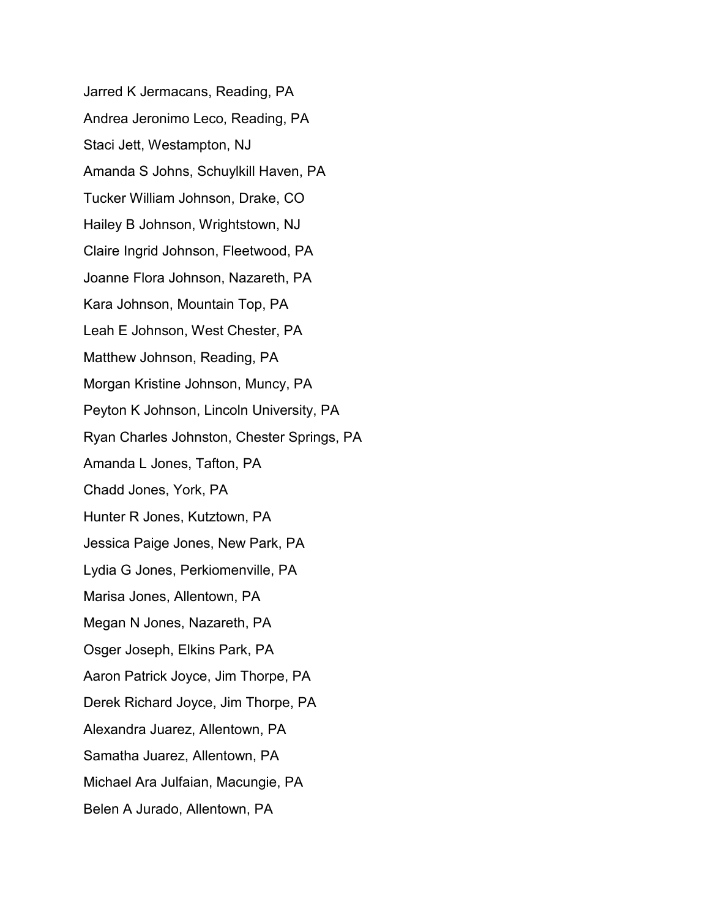Jarred K Jermacans, Reading, PA Andrea Jeronimo Leco, Reading, PA Staci Jett, Westampton, NJ Amanda S Johns, Schuylkill Haven, PA Tucker William Johnson, Drake, CO Hailey B Johnson, Wrightstown, NJ Claire Ingrid Johnson, Fleetwood, PA Joanne Flora Johnson, Nazareth, PA Kara Johnson, Mountain Top, PA Leah E Johnson, West Chester, PA Matthew Johnson, Reading, PA Morgan Kristine Johnson, Muncy, PA Peyton K Johnson, Lincoln University, PA Ryan Charles Johnston, Chester Springs, PA Amanda L Jones, Tafton, PA Chadd Jones, York, PA Hunter R Jones, Kutztown, PA Jessica Paige Jones, New Park, PA Lydia G Jones, Perkiomenville, PA Marisa Jones, Allentown, PA Megan N Jones, Nazareth, PA Osger Joseph, Elkins Park, PA Aaron Patrick Joyce, Jim Thorpe, PA Derek Richard Joyce, Jim Thorpe, PA Alexandra Juarez, Allentown, PA Samatha Juarez, Allentown, PA Michael Ara Julfaian, Macungie, PA Belen A Jurado, Allentown, PA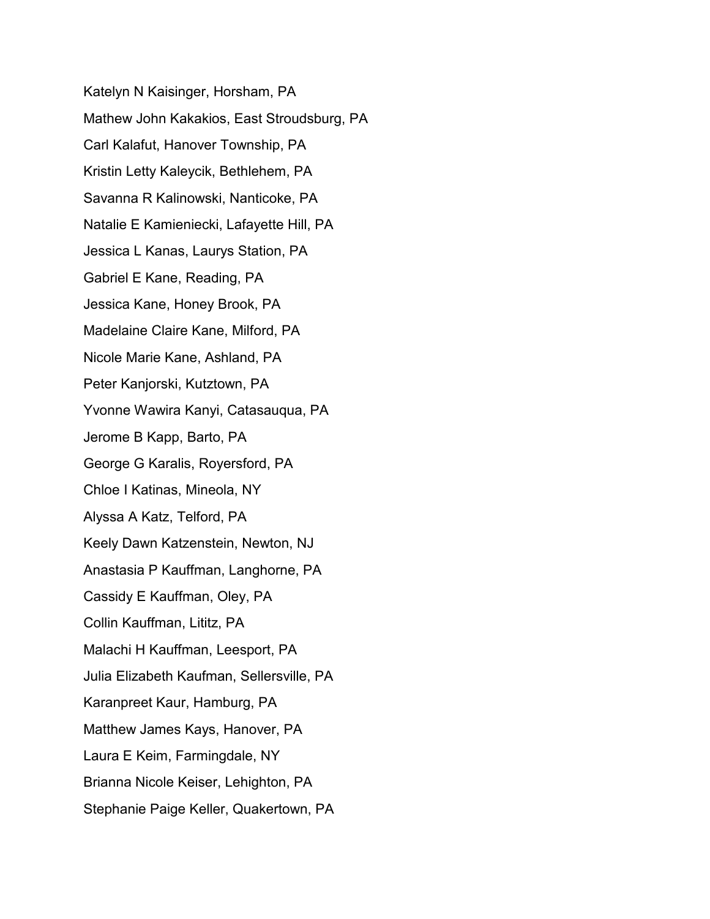Katelyn N Kaisinger, Horsham, PA Mathew John Kakakios, East Stroudsburg, PA Carl Kalafut, Hanover Township, PA Kristin Letty Kaleycik, Bethlehem, PA Savanna R Kalinowski, Nanticoke, PA Natalie E Kamieniecki, Lafayette Hill, PA Jessica L Kanas, Laurys Station, PA Gabriel E Kane, Reading, PA Jessica Kane, Honey Brook, PA Madelaine Claire Kane, Milford, PA Nicole Marie Kane, Ashland, PA Peter Kanjorski, Kutztown, PA Yvonne Wawira Kanyi, Catasauqua, PA Jerome B Kapp, Barto, PA George G Karalis, Royersford, PA Chloe I Katinas, Mineola, NY Alyssa A Katz, Telford, PA Keely Dawn Katzenstein, Newton, NJ Anastasia P Kauffman, Langhorne, PA Cassidy E Kauffman, Oley, PA Collin Kauffman, Lititz, PA Malachi H Kauffman, Leesport, PA Julia Elizabeth Kaufman, Sellersville, PA Karanpreet Kaur, Hamburg, PA Matthew James Kays, Hanover, PA Laura E Keim, Farmingdale, NY Brianna Nicole Keiser, Lehighton, PA Stephanie Paige Keller, Quakertown, PA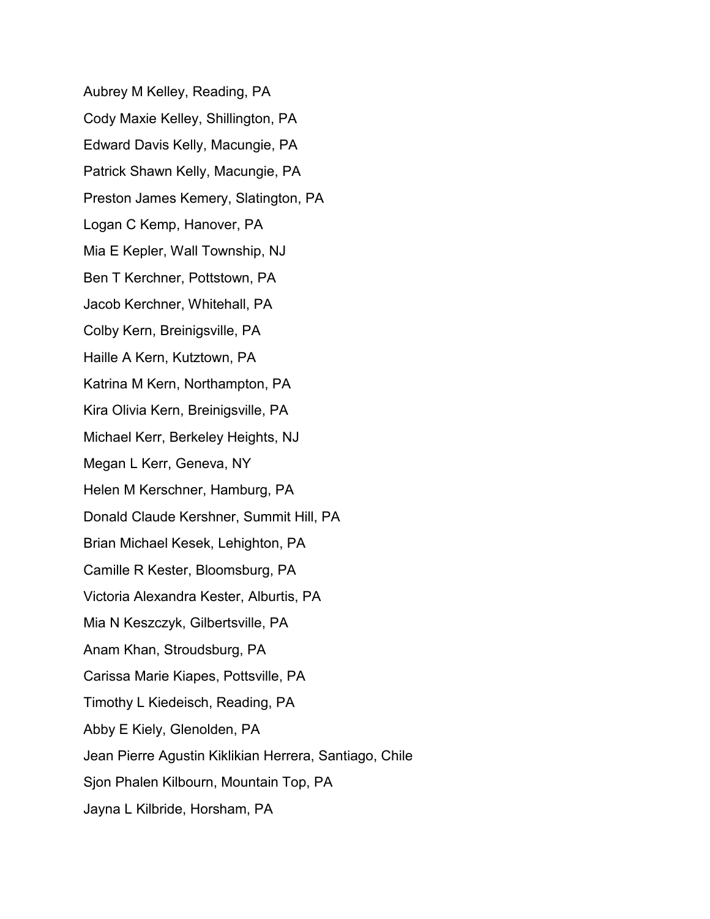Aubrey M Kelley, Reading, PA Cody Maxie Kelley, Shillington, PA Edward Davis Kelly, Macungie, PA Patrick Shawn Kelly, Macungie, PA Preston James Kemery, Slatington, PA Logan C Kemp, Hanover, PA Mia E Kepler, Wall Township, NJ Ben T Kerchner, Pottstown, PA Jacob Kerchner, Whitehall, PA Colby Kern, Breinigsville, PA Haille A Kern, Kutztown, PA Katrina M Kern, Northampton, PA Kira Olivia Kern, Breinigsville, PA Michael Kerr, Berkeley Heights, NJ Megan L Kerr, Geneva, NY Helen M Kerschner, Hamburg, PA Donald Claude Kershner, Summit Hill, PA Brian Michael Kesek, Lehighton, PA Camille R Kester, Bloomsburg, PA Victoria Alexandra Kester, Alburtis, PA Mia N Keszczyk, Gilbertsville, PA Anam Khan, Stroudsburg, PA Carissa Marie Kiapes, Pottsville, PA Timothy L Kiedeisch, Reading, PA Abby E Kiely, Glenolden, PA Jean Pierre Agustin Kiklikian Herrera, Santiago, Chile Sjon Phalen Kilbourn, Mountain Top, PA Jayna L Kilbride, Horsham, PA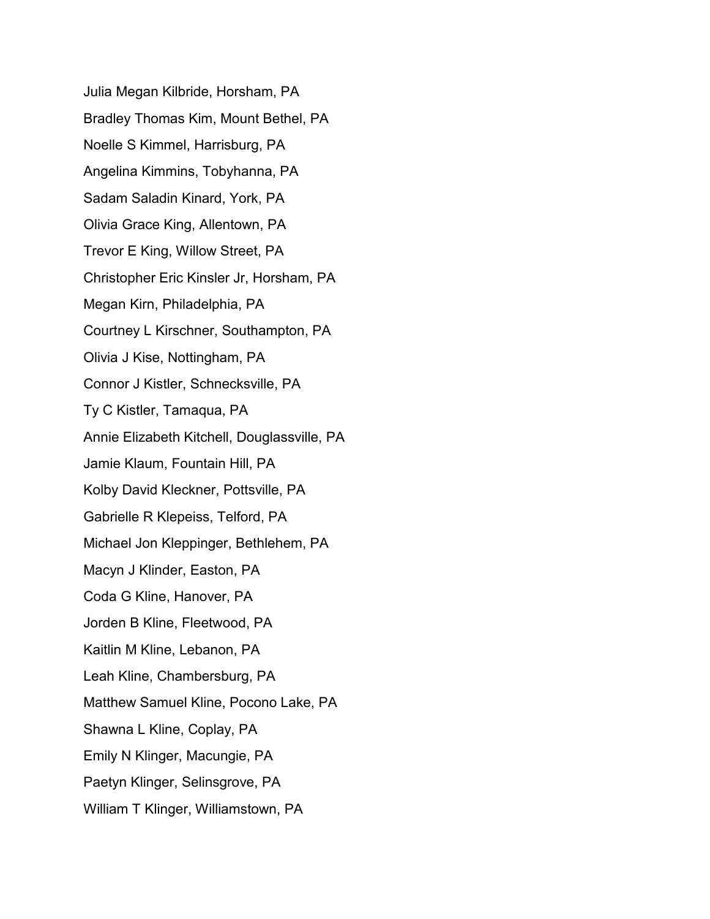Julia Megan Kilbride, Horsham, PA Bradley Thomas Kim, Mount Bethel, PA Noelle S Kimmel, Harrisburg, PA Angelina Kimmins, Tobyhanna, PA Sadam Saladin Kinard, York, PA Olivia Grace King, Allentown, PA Trevor E King, Willow Street, PA Christopher Eric Kinsler Jr, Horsham, PA Megan Kirn, Philadelphia, PA Courtney L Kirschner, Southampton, PA Olivia J Kise, Nottingham, PA Connor J Kistler, Schnecksville, PA Ty C Kistler, Tamaqua, PA Annie Elizabeth Kitchell, Douglassville, PA Jamie Klaum, Fountain Hill, PA Kolby David Kleckner, Pottsville, PA Gabrielle R Klepeiss, Telford, PA Michael Jon Kleppinger, Bethlehem, PA Macyn J Klinder, Easton, PA Coda G Kline, Hanover, PA Jorden B Kline, Fleetwood, PA Kaitlin M Kline, Lebanon, PA Leah Kline, Chambersburg, PA Matthew Samuel Kline, Pocono Lake, PA Shawna L Kline, Coplay, PA Emily N Klinger, Macungie, PA Paetyn Klinger, Selinsgrove, PA William T Klinger, Williamstown, PA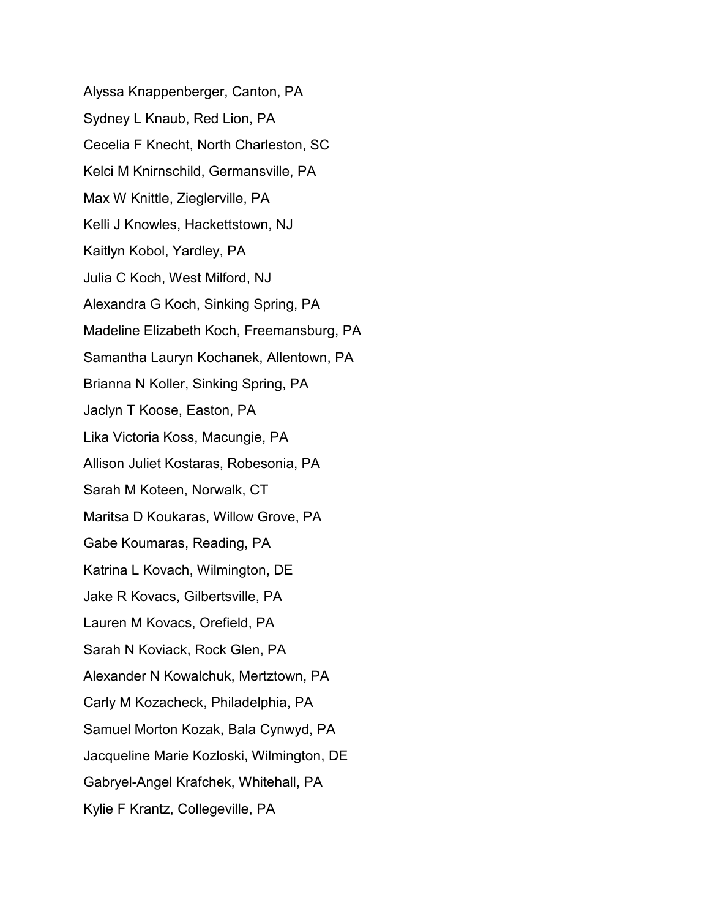Alyssa Knappenberger, Canton, PA Sydney L Knaub, Red Lion, PA Cecelia F Knecht, North Charleston, SC Kelci M Knirnschild, Germansville, PA Max W Knittle, Zieglerville, PA Kelli J Knowles, Hackettstown, NJ Kaitlyn Kobol, Yardley, PA Julia C Koch, West Milford, NJ Alexandra G Koch, Sinking Spring, PA Madeline Elizabeth Koch, Freemansburg, PA Samantha Lauryn Kochanek, Allentown, PA Brianna N Koller, Sinking Spring, PA Jaclyn T Koose, Easton, PA Lika Victoria Koss, Macungie, PA Allison Juliet Kostaras, Robesonia, PA Sarah M Koteen, Norwalk, CT Maritsa D Koukaras, Willow Grove, PA Gabe Koumaras, Reading, PA Katrina L Kovach, Wilmington, DE Jake R Kovacs, Gilbertsville, PA Lauren M Kovacs, Orefield, PA Sarah N Koviack, Rock Glen, PA Alexander N Kowalchuk, Mertztown, PA Carly M Kozacheck, Philadelphia, PA Samuel Morton Kozak, Bala Cynwyd, PA Jacqueline Marie Kozloski, Wilmington, DE Gabryel-Angel Krafchek, Whitehall, PA Kylie F Krantz, Collegeville, PA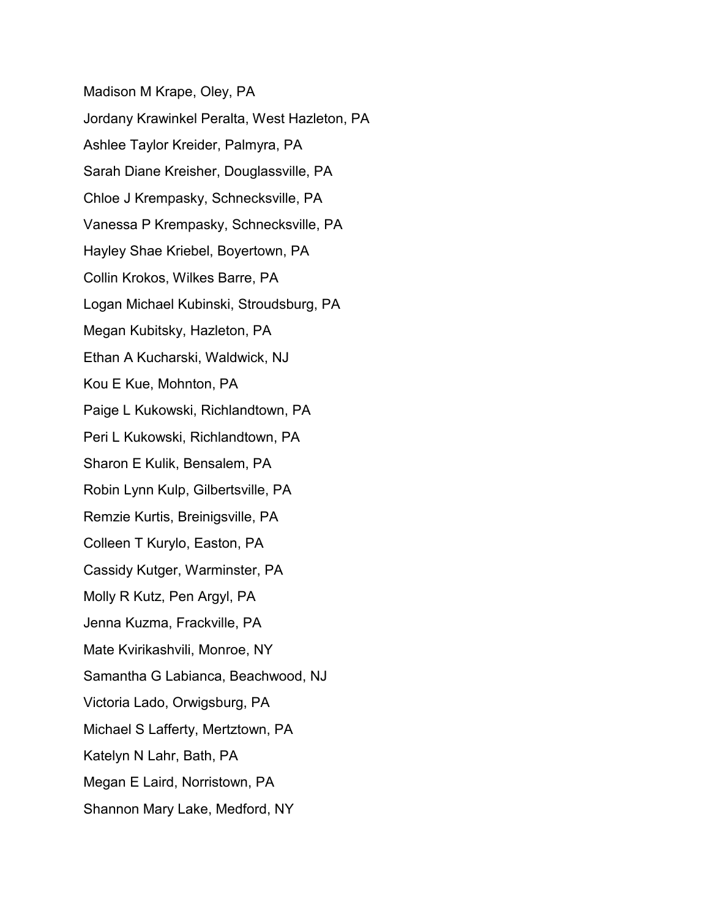Madison M Krape, Oley, PA Jordany Krawinkel Peralta, West Hazleton, PA Ashlee Taylor Kreider, Palmyra, PA Sarah Diane Kreisher, Douglassville, PA Chloe J Krempasky, Schnecksville, PA Vanessa P Krempasky, Schnecksville, PA Hayley Shae Kriebel, Boyertown, PA Collin Krokos, Wilkes Barre, PA Logan Michael Kubinski, Stroudsburg, PA Megan Kubitsky, Hazleton, PA Ethan A Kucharski, Waldwick, NJ Kou E Kue, Mohnton, PA Paige L Kukowski, Richlandtown, PA Peri L Kukowski, Richlandtown, PA Sharon E Kulik, Bensalem, PA Robin Lynn Kulp, Gilbertsville, PA Remzie Kurtis, Breinigsville, PA Colleen T Kurylo, Easton, PA Cassidy Kutger, Warminster, PA Molly R Kutz, Pen Argyl, PA Jenna Kuzma, Frackville, PA Mate Kvirikashvili, Monroe, NY Samantha G Labianca, Beachwood, NJ Victoria Lado, Orwigsburg, PA Michael S Lafferty, Mertztown, PA Katelyn N Lahr, Bath, PA Megan E Laird, Norristown, PA Shannon Mary Lake, Medford, NY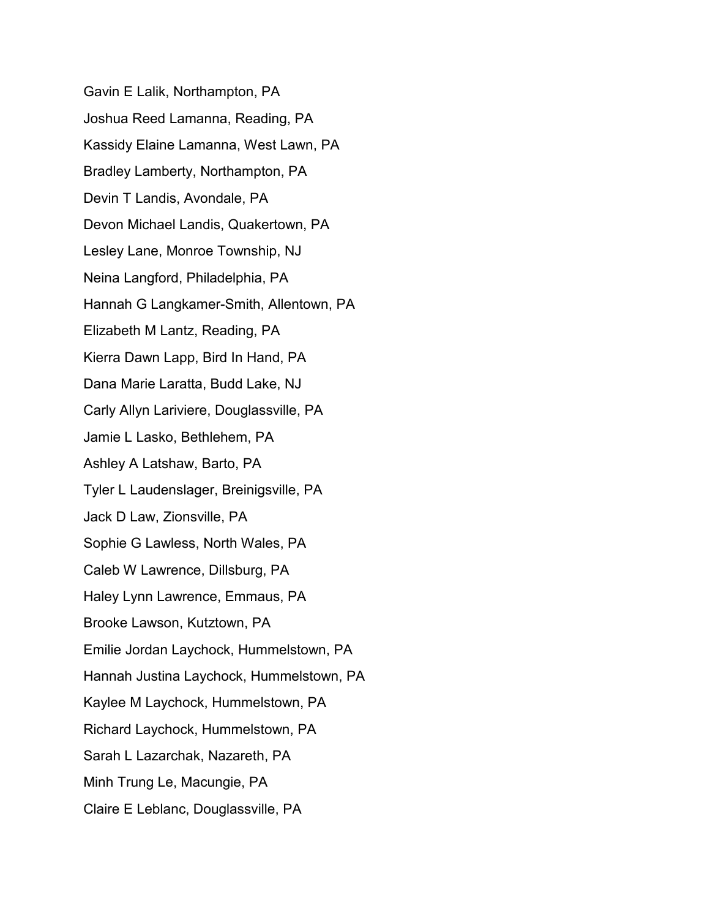Gavin E Lalik, Northampton, PA Joshua Reed Lamanna, Reading, PA Kassidy Elaine Lamanna, West Lawn, PA Bradley Lamberty, Northampton, PA Devin T Landis, Avondale, PA Devon Michael Landis, Quakertown, PA Lesley Lane, Monroe Township, NJ Neina Langford, Philadelphia, PA Hannah G Langkamer-Smith, Allentown, PA Elizabeth M Lantz, Reading, PA Kierra Dawn Lapp, Bird In Hand, PA Dana Marie Laratta, Budd Lake, NJ Carly Allyn Lariviere, Douglassville, PA Jamie L Lasko, Bethlehem, PA Ashley A Latshaw, Barto, PA Tyler L Laudenslager, Breinigsville, PA Jack D Law, Zionsville, PA Sophie G Lawless, North Wales, PA Caleb W Lawrence, Dillsburg, PA Haley Lynn Lawrence, Emmaus, PA Brooke Lawson, Kutztown, PA Emilie Jordan Laychock, Hummelstown, PA Hannah Justina Laychock, Hummelstown, PA Kaylee M Laychock, Hummelstown, PA Richard Laychock, Hummelstown, PA Sarah L Lazarchak, Nazareth, PA Minh Trung Le, Macungie, PA Claire E Leblanc, Douglassville, PA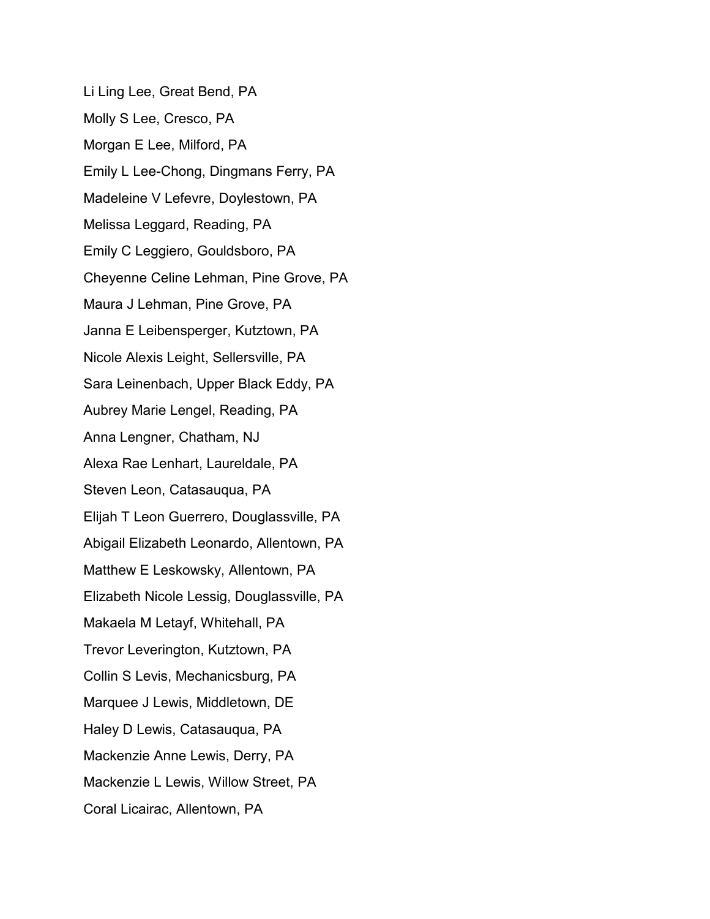Li Ling Lee, Great Bend, PA Molly S Lee, Cresco, PA Morgan E Lee, Milford, PA Emily L Lee-Chong, Dingmans Ferry, PA Madeleine V Lefevre, Doylestown, PA Melissa Leggard, Reading, PA Emily C Leggiero, Gouldsboro, PA Cheyenne Celine Lehman, Pine Grove, PA Maura J Lehman, Pine Grove, PA Janna E Leibensperger, Kutztown, PA Nicole Alexis Leight, Sellersville, PA Sara Leinenbach, Upper Black Eddy, PA Aubrey Marie Lengel, Reading, PA Anna Lengner, Chatham, NJ Alexa Rae Lenhart, Laureldale, PA Steven Leon, Catasauqua, PA Elijah T Leon Guerrero, Douglassville, PA Abigail Elizabeth Leonardo, Allentown, PA Matthew E Leskowsky, Allentown, PA Elizabeth Nicole Lessig, Douglassville, PA Makaela M Letayf, Whitehall, PA Trevor Leverington, Kutztown, PA Collin S Levis, Mechanicsburg, PA Marquee J Lewis, Middletown, DE Haley D Lewis, Catasauqua, PA Mackenzie Anne Lewis, Derry, PA Mackenzie L Lewis, Willow Street, PA Coral Licairac, Allentown, PA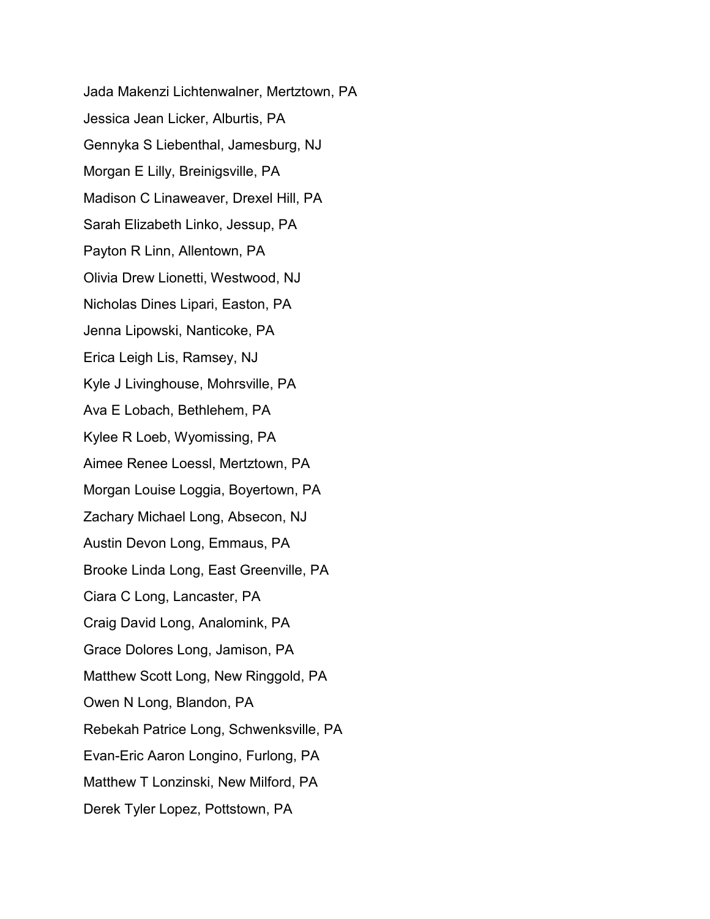Jada Makenzi Lichtenwalner, Mertztown, PA Jessica Jean Licker, Alburtis, PA Gennyka S Liebenthal, Jamesburg, NJ Morgan E Lilly, Breinigsville, PA Madison C Linaweaver, Drexel Hill, PA Sarah Elizabeth Linko, Jessup, PA Payton R Linn, Allentown, PA Olivia Drew Lionetti, Westwood, NJ Nicholas Dines Lipari, Easton, PA Jenna Lipowski, Nanticoke, PA Erica Leigh Lis, Ramsey, NJ Kyle J Livinghouse, Mohrsville, PA Ava E Lobach, Bethlehem, PA Kylee R Loeb, Wyomissing, PA Aimee Renee Loessl, Mertztown, PA Morgan Louise Loggia, Boyertown, PA Zachary Michael Long, Absecon, NJ Austin Devon Long, Emmaus, PA Brooke Linda Long, East Greenville, PA Ciara C Long, Lancaster, PA Craig David Long, Analomink, PA Grace Dolores Long, Jamison, PA Matthew Scott Long, New Ringgold, PA Owen N Long, Blandon, PA Rebekah Patrice Long, Schwenksville, PA Evan-Eric Aaron Longino, Furlong, PA Matthew T Lonzinski, New Milford, PA Derek Tyler Lopez, Pottstown, PA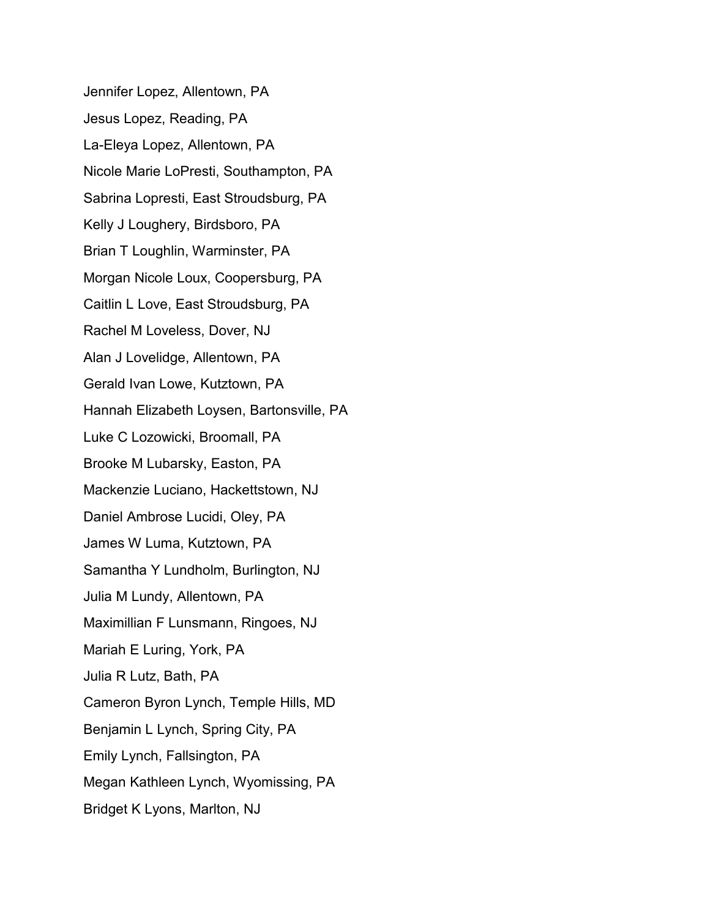Jennifer Lopez, Allentown, PA Jesus Lopez, Reading, PA La-Eleya Lopez, Allentown, PA Nicole Marie LoPresti, Southampton, PA Sabrina Lopresti, East Stroudsburg, PA Kelly J Loughery, Birdsboro, PA Brian T Loughlin, Warminster, PA Morgan Nicole Loux, Coopersburg, PA Caitlin L Love, East Stroudsburg, PA Rachel M Loveless, Dover, NJ Alan J Lovelidge, Allentown, PA Gerald Ivan Lowe, Kutztown, PA Hannah Elizabeth Loysen, Bartonsville, PA Luke C Lozowicki, Broomall, PA Brooke M Lubarsky, Easton, PA Mackenzie Luciano, Hackettstown, NJ Daniel Ambrose Lucidi, Oley, PA James W Luma, Kutztown, PA Samantha Y Lundholm, Burlington, NJ Julia M Lundy, Allentown, PA Maximillian F Lunsmann, Ringoes, NJ Mariah E Luring, York, PA Julia R Lutz, Bath, PA Cameron Byron Lynch, Temple Hills, MD Benjamin L Lynch, Spring City, PA Emily Lynch, Fallsington, PA Megan Kathleen Lynch, Wyomissing, PA Bridget K Lyons, Marlton, NJ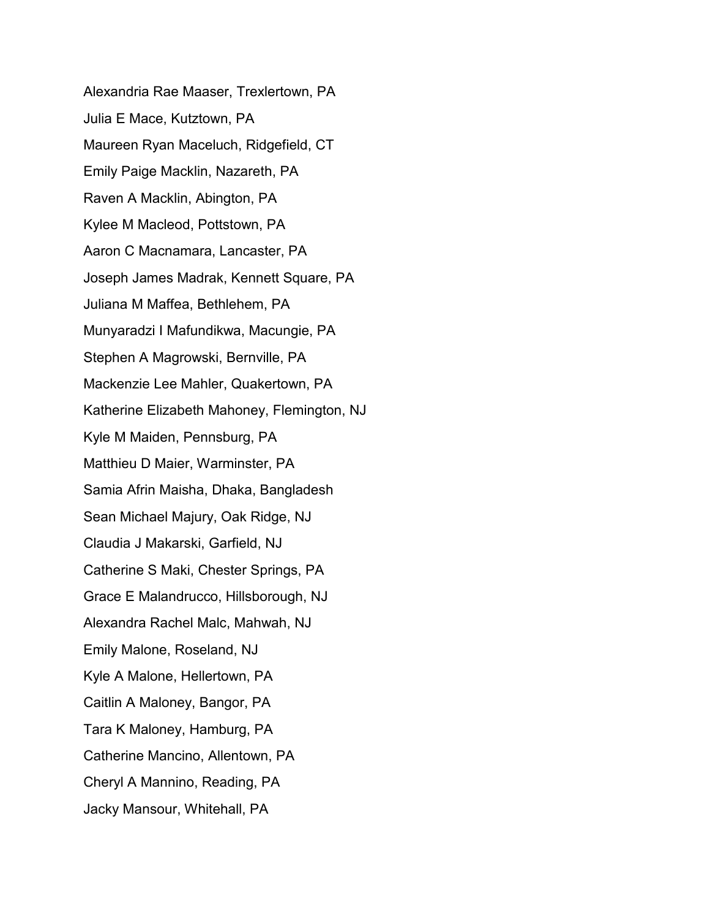Alexandria Rae Maaser, Trexlertown, PA Julia E Mace, Kutztown, PA Maureen Ryan Maceluch, Ridgefield, CT Emily Paige Macklin, Nazareth, PA Raven A Macklin, Abington, PA Kylee M Macleod, Pottstown, PA Aaron C Macnamara, Lancaster, PA Joseph James Madrak, Kennett Square, PA Juliana M Maffea, Bethlehem, PA Munyaradzi I Mafundikwa, Macungie, PA Stephen A Magrowski, Bernville, PA Mackenzie Lee Mahler, Quakertown, PA Katherine Elizabeth Mahoney, Flemington, NJ Kyle M Maiden, Pennsburg, PA Matthieu D Maier, Warminster, PA Samia Afrin Maisha, Dhaka, Bangladesh Sean Michael Majury, Oak Ridge, NJ Claudia J Makarski, Garfield, NJ Catherine S Maki, Chester Springs, PA Grace E Malandrucco, Hillsborough, NJ Alexandra Rachel Malc, Mahwah, NJ Emily Malone, Roseland, NJ Kyle A Malone, Hellertown, PA Caitlin A Maloney, Bangor, PA Tara K Maloney, Hamburg, PA Catherine Mancino, Allentown, PA Cheryl A Mannino, Reading, PA Jacky Mansour, Whitehall, PA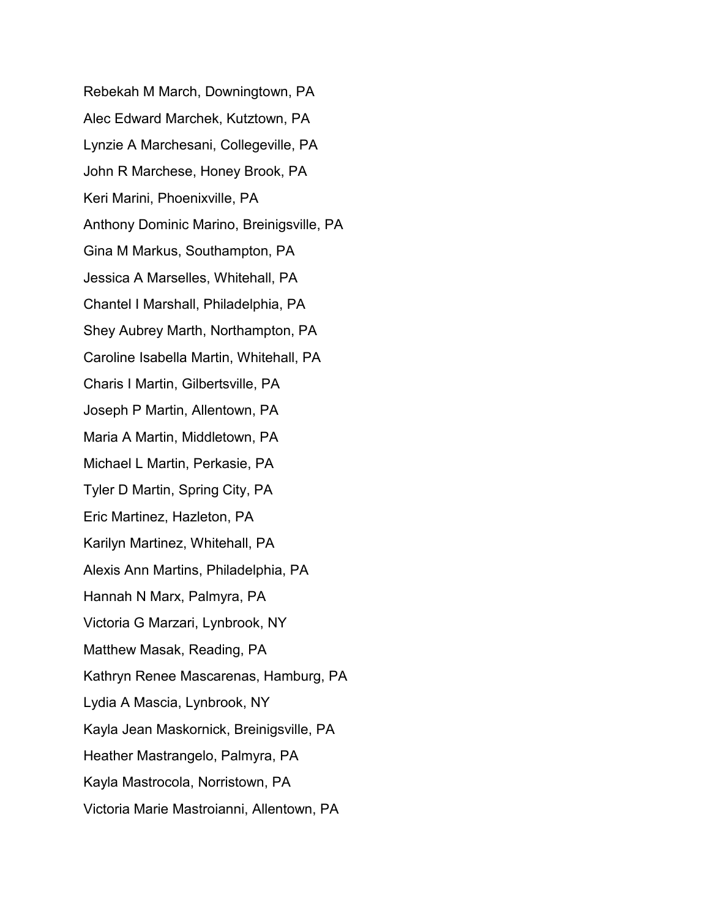Rebekah M March, Downingtown, PA Alec Edward Marchek, Kutztown, PA Lynzie A Marchesani, Collegeville, PA John R Marchese, Honey Brook, PA Keri Marini, Phoenixville, PA Anthony Dominic Marino, Breinigsville, PA Gina M Markus, Southampton, PA Jessica A Marselles, Whitehall, PA Chantel I Marshall, Philadelphia, PA Shey Aubrey Marth, Northampton, PA Caroline Isabella Martin, Whitehall, PA Charis I Martin, Gilbertsville, PA Joseph P Martin, Allentown, PA Maria A Martin, Middletown, PA Michael L Martin, Perkasie, PA Tyler D Martin, Spring City, PA Eric Martinez, Hazleton, PA Karilyn Martinez, Whitehall, PA Alexis Ann Martins, Philadelphia, PA Hannah N Marx, Palmyra, PA Victoria G Marzari, Lynbrook, NY Matthew Masak, Reading, PA Kathryn Renee Mascarenas, Hamburg, PA Lydia A Mascia, Lynbrook, NY Kayla Jean Maskornick, Breinigsville, PA Heather Mastrangelo, Palmyra, PA Kayla Mastrocola, Norristown, PA Victoria Marie Mastroianni, Allentown, PA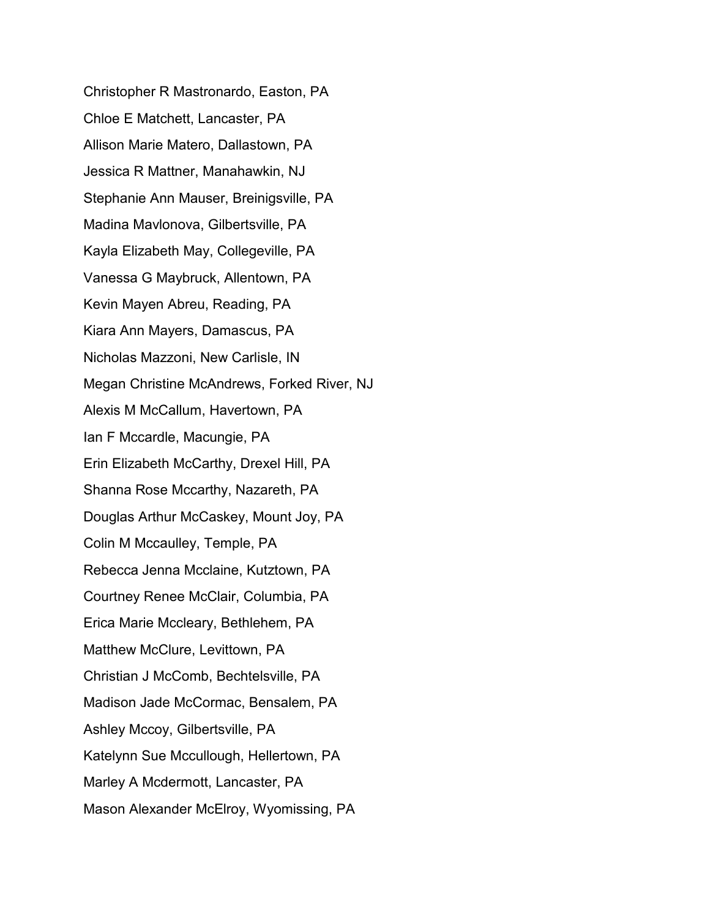Christopher R Mastronardo, Easton, PA Chloe E Matchett, Lancaster, PA Allison Marie Matero, Dallastown, PA Jessica R Mattner, Manahawkin, NJ Stephanie Ann Mauser, Breinigsville, PA Madina Mavlonova, Gilbertsville, PA Kayla Elizabeth May, Collegeville, PA Vanessa G Maybruck, Allentown, PA Kevin Mayen Abreu, Reading, PA Kiara Ann Mayers, Damascus, PA Nicholas Mazzoni, New Carlisle, IN Megan Christine McAndrews, Forked River, NJ Alexis M McCallum, Havertown, PA Ian F Mccardle, Macungie, PA Erin Elizabeth McCarthy, Drexel Hill, PA Shanna Rose Mccarthy, Nazareth, PA Douglas Arthur McCaskey, Mount Joy, PA Colin M Mccaulley, Temple, PA Rebecca Jenna Mcclaine, Kutztown, PA Courtney Renee McClair, Columbia, PA Erica Marie Mccleary, Bethlehem, PA Matthew McClure, Levittown, PA Christian J McComb, Bechtelsville, PA Madison Jade McCormac, Bensalem, PA Ashley Mccoy, Gilbertsville, PA Katelynn Sue Mccullough, Hellertown, PA Marley A Mcdermott, Lancaster, PA Mason Alexander McElroy, Wyomissing, PA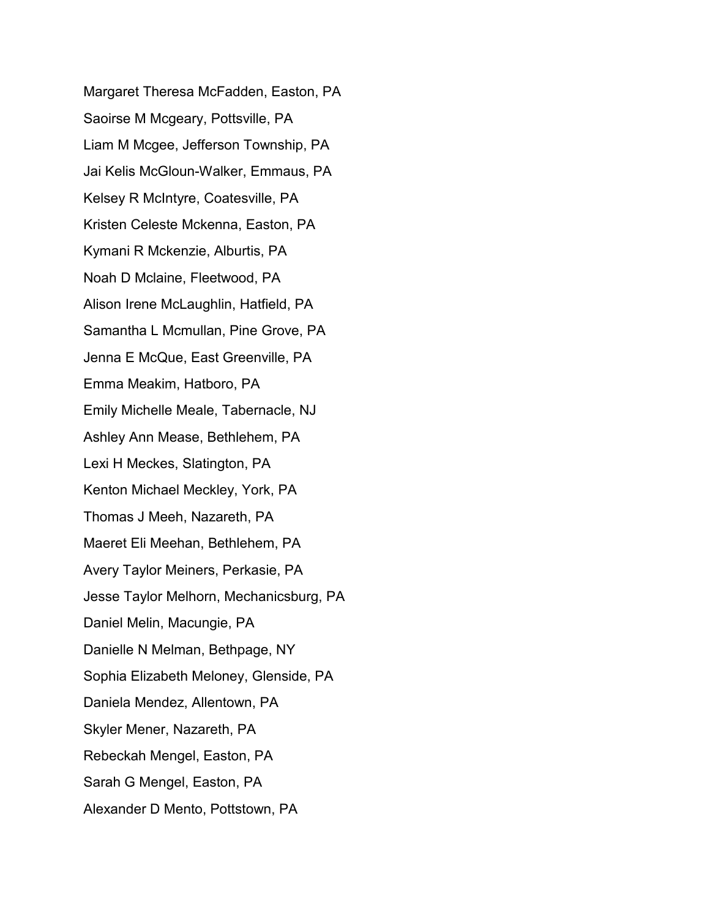Margaret Theresa McFadden, Easton, PA Saoirse M Mcgeary, Pottsville, PA Liam M Mcgee, Jefferson Township, PA Jai Kelis McGloun-Walker, Emmaus, PA Kelsey R McIntyre, Coatesville, PA Kristen Celeste Mckenna, Easton, PA Kymani R Mckenzie, Alburtis, PA Noah D Mclaine, Fleetwood, PA Alison Irene McLaughlin, Hatfield, PA Samantha L Mcmullan, Pine Grove, PA Jenna E McQue, East Greenville, PA Emma Meakim, Hatboro, PA Emily Michelle Meale, Tabernacle, NJ Ashley Ann Mease, Bethlehem, PA Lexi H Meckes, Slatington, PA Kenton Michael Meckley, York, PA Thomas J Meeh, Nazareth, PA Maeret Eli Meehan, Bethlehem, PA Avery Taylor Meiners, Perkasie, PA Jesse Taylor Melhorn, Mechanicsburg, PA Daniel Melin, Macungie, PA Danielle N Melman, Bethpage, NY Sophia Elizabeth Meloney, Glenside, PA Daniela Mendez, Allentown, PA Skyler Mener, Nazareth, PA Rebeckah Mengel, Easton, PA Sarah G Mengel, Easton, PA Alexander D Mento, Pottstown, PA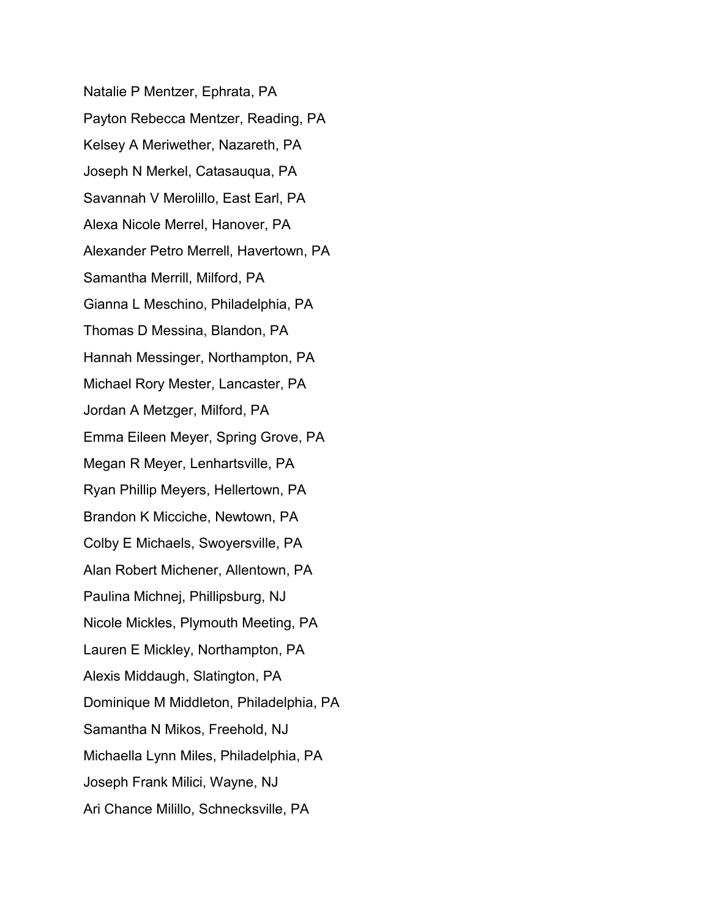Natalie P Mentzer, Ephrata, PA Payton Rebecca Mentzer, Reading, PA Kelsey A Meriwether, Nazareth, PA Joseph N Merkel, Catasauqua, PA Savannah V Merolillo, East Earl, PA Alexa Nicole Merrel, Hanover, PA Alexander Petro Merrell, Havertown, PA Samantha Merrill, Milford, PA Gianna L Meschino, Philadelphia, PA Thomas D Messina, Blandon, PA Hannah Messinger, Northampton, PA Michael Rory Mester, Lancaster, PA Jordan A Metzger, Milford, PA Emma Eileen Meyer, Spring Grove, PA Megan R Meyer, Lenhartsville, PA Ryan Phillip Meyers, Hellertown, PA Brandon K Micciche, Newtown, PA Colby E Michaels, Swoyersville, PA Alan Robert Michener, Allentown, PA Paulina Michnej, Phillipsburg, NJ Nicole Mickles, Plymouth Meeting, PA Lauren E Mickley, Northampton, PA Alexis Middaugh, Slatington, PA Dominique M Middleton, Philadelphia, PA Samantha N Mikos, Freehold, NJ Michaella Lynn Miles, Philadelphia, PA Joseph Frank Milici, Wayne, NJ Ari Chance Milillo, Schnecksville, PA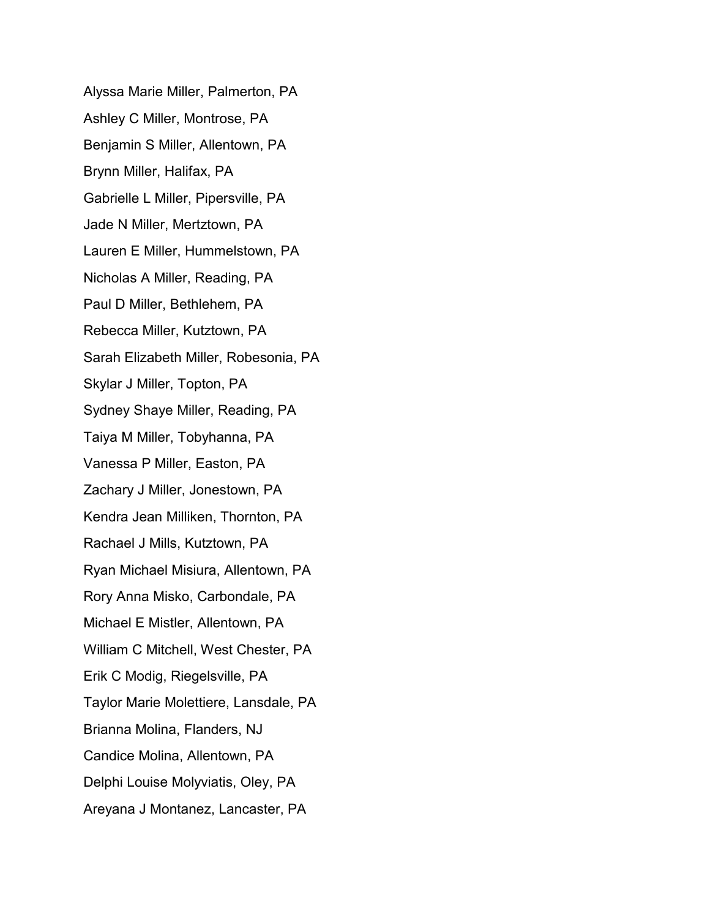Alyssa Marie Miller, Palmerton, PA Ashley C Miller, Montrose, PA Benjamin S Miller, Allentown, PA Brynn Miller, Halifax, PA Gabrielle L Miller, Pipersville, PA Jade N Miller, Mertztown, PA Lauren E Miller, Hummelstown, PA Nicholas A Miller, Reading, PA Paul D Miller, Bethlehem, PA Rebecca Miller, Kutztown, PA Sarah Elizabeth Miller, Robesonia, PA Skylar J Miller, Topton, PA Sydney Shaye Miller, Reading, PA Taiya M Miller, Tobyhanna, PA Vanessa P Miller, Easton, PA Zachary J Miller, Jonestown, PA Kendra Jean Milliken, Thornton, PA Rachael J Mills, Kutztown, PA Ryan Michael Misiura, Allentown, PA Rory Anna Misko, Carbondale, PA Michael E Mistler, Allentown, PA William C Mitchell, West Chester, PA Erik C Modig, Riegelsville, PA Taylor Marie Molettiere, Lansdale, PA Brianna Molina, Flanders, NJ Candice Molina, Allentown, PA Delphi Louise Molyviatis, Oley, PA Areyana J Montanez, Lancaster, PA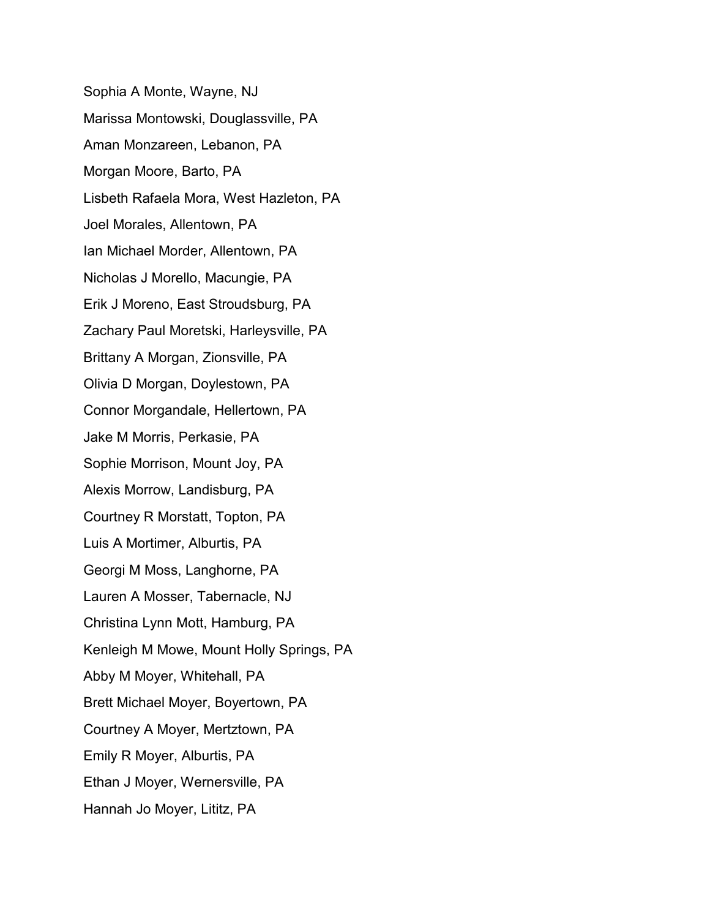Sophia A Monte, Wayne, NJ Marissa Montowski, Douglassville, PA Aman Monzareen, Lebanon, PA Morgan Moore, Barto, PA Lisbeth Rafaela Mora, West Hazleton, PA Joel Morales, Allentown, PA Ian Michael Morder, Allentown, PA Nicholas J Morello, Macungie, PA Erik J Moreno, East Stroudsburg, PA Zachary Paul Moretski, Harleysville, PA Brittany A Morgan, Zionsville, PA Olivia D Morgan, Doylestown, PA Connor Morgandale, Hellertown, PA Jake M Morris, Perkasie, PA Sophie Morrison, Mount Joy, PA Alexis Morrow, Landisburg, PA Courtney R Morstatt, Topton, PA Luis A Mortimer, Alburtis, PA Georgi M Moss, Langhorne, PA Lauren A Mosser, Tabernacle, NJ Christina Lynn Mott, Hamburg, PA Kenleigh M Mowe, Mount Holly Springs, PA Abby M Moyer, Whitehall, PA Brett Michael Moyer, Boyertown, PA Courtney A Moyer, Mertztown, PA Emily R Moyer, Alburtis, PA Ethan J Moyer, Wernersville, PA Hannah Jo Moyer, Lititz, PA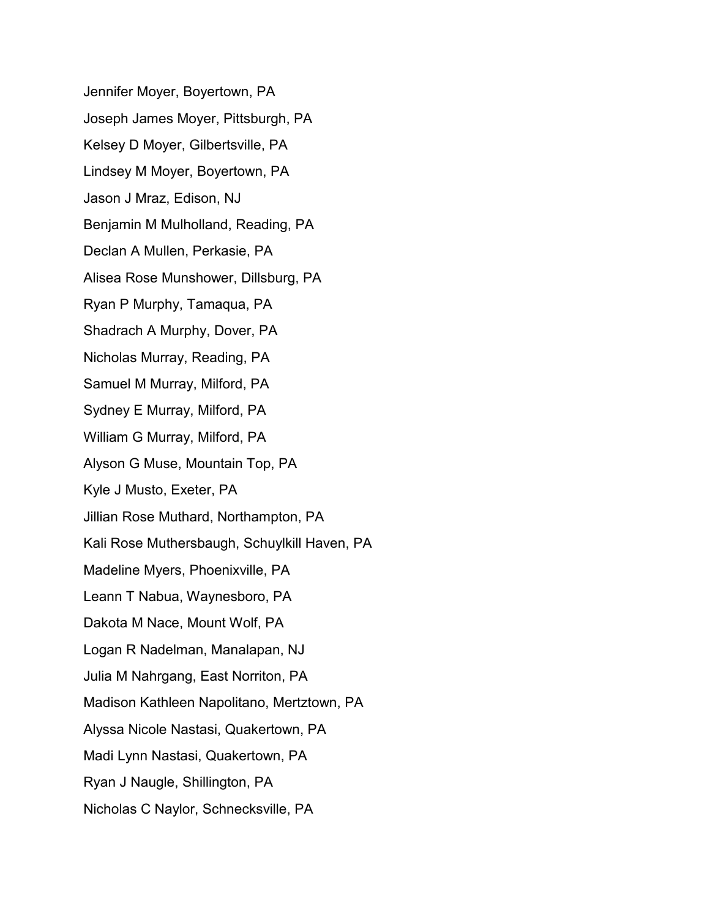Jennifer Moyer, Boyertown, PA Joseph James Moyer, Pittsburgh, PA Kelsey D Moyer, Gilbertsville, PA Lindsey M Moyer, Boyertown, PA Jason J Mraz, Edison, NJ Benjamin M Mulholland, Reading, PA Declan A Mullen, Perkasie, PA Alisea Rose Munshower, Dillsburg, PA Ryan P Murphy, Tamaqua, PA Shadrach A Murphy, Dover, PA Nicholas Murray, Reading, PA Samuel M Murray, Milford, PA Sydney E Murray, Milford, PA William G Murray, Milford, PA Alyson G Muse, Mountain Top, PA Kyle J Musto, Exeter, PA Jillian Rose Muthard, Northampton, PA Kali Rose Muthersbaugh, Schuylkill Haven, PA Madeline Myers, Phoenixville, PA Leann T Nabua, Waynesboro, PA Dakota M Nace, Mount Wolf, PA Logan R Nadelman, Manalapan, NJ Julia M Nahrgang, East Norriton, PA Madison Kathleen Napolitano, Mertztown, PA Alyssa Nicole Nastasi, Quakertown, PA Madi Lynn Nastasi, Quakertown, PA Ryan J Naugle, Shillington, PA Nicholas C Naylor, Schnecksville, PA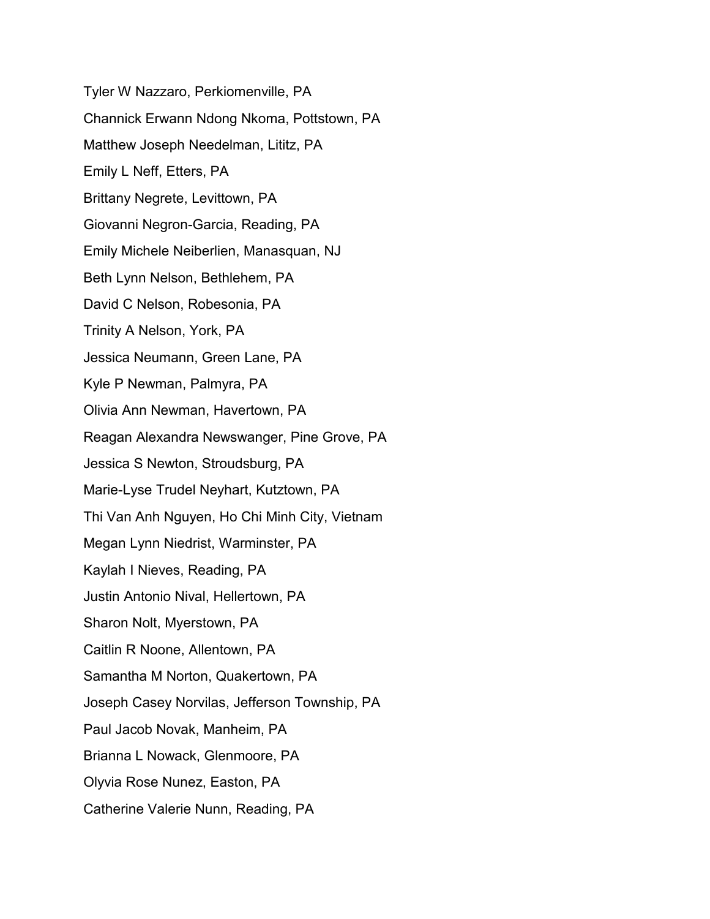Tyler W Nazzaro, Perkiomenville, PA Channick Erwann Ndong Nkoma, Pottstown, PA Matthew Joseph Needelman, Lititz, PA Emily L Neff, Etters, PA Brittany Negrete, Levittown, PA Giovanni Negron-Garcia, Reading, PA Emily Michele Neiberlien, Manasquan, NJ Beth Lynn Nelson, Bethlehem, PA David C Nelson, Robesonia, PA Trinity A Nelson, York, PA Jessica Neumann, Green Lane, PA Kyle P Newman, Palmyra, PA Olivia Ann Newman, Havertown, PA Reagan Alexandra Newswanger, Pine Grove, PA Jessica S Newton, Stroudsburg, PA Marie-Lyse Trudel Neyhart, Kutztown, PA Thi Van Anh Nguyen, Ho Chi Minh City, Vietnam Megan Lynn Niedrist, Warminster, PA Kaylah I Nieves, Reading, PA Justin Antonio Nival, Hellertown, PA Sharon Nolt, Myerstown, PA Caitlin R Noone, Allentown, PA Samantha M Norton, Quakertown, PA Joseph Casey Norvilas, Jefferson Township, PA Paul Jacob Novak, Manheim, PA Brianna L Nowack, Glenmoore, PA Olyvia Rose Nunez, Easton, PA Catherine Valerie Nunn, Reading, PA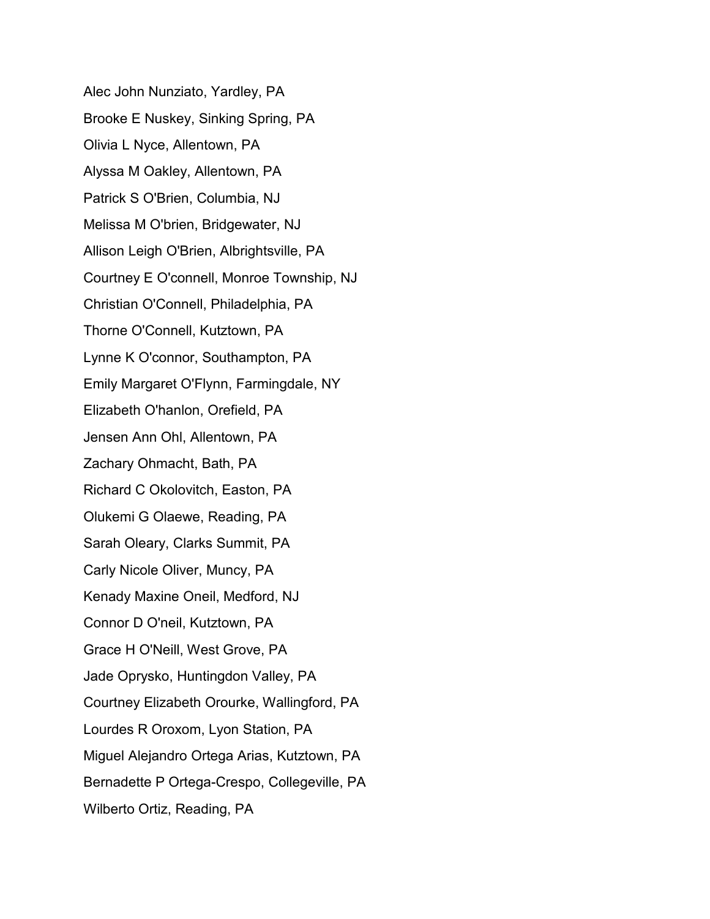Alec John Nunziato, Yardley, PA Brooke E Nuskey, Sinking Spring, PA Olivia L Nyce, Allentown, PA Alyssa M Oakley, Allentown, PA Patrick S O'Brien, Columbia, NJ Melissa M O'brien, Bridgewater, NJ Allison Leigh O'Brien, Albrightsville, PA Courtney E O'connell, Monroe Township, NJ Christian O'Connell, Philadelphia, PA Thorne O'Connell, Kutztown, PA Lynne K O'connor, Southampton, PA Emily Margaret O'Flynn, Farmingdale, NY Elizabeth O'hanlon, Orefield, PA Jensen Ann Ohl, Allentown, PA Zachary Ohmacht, Bath, PA Richard C Okolovitch, Easton, PA Olukemi G Olaewe, Reading, PA Sarah Oleary, Clarks Summit, PA Carly Nicole Oliver, Muncy, PA Kenady Maxine Oneil, Medford, NJ Connor D O'neil, Kutztown, PA Grace H O'Neill, West Grove, PA Jade Oprysko, Huntingdon Valley, PA Courtney Elizabeth Orourke, Wallingford, PA Lourdes R Oroxom, Lyon Station, PA Miguel Alejandro Ortega Arias, Kutztown, PA Bernadette P Ortega-Crespo, Collegeville, PA Wilberto Ortiz, Reading, PA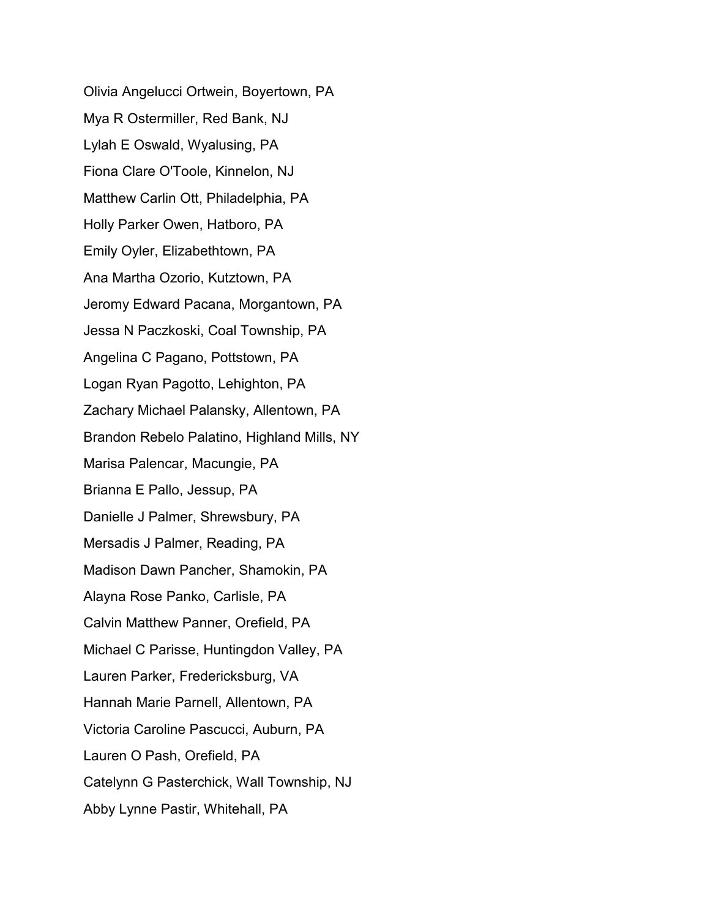Olivia Angelucci Ortwein, Boyertown, PA Mya R Ostermiller, Red Bank, NJ Lylah E Oswald, Wyalusing, PA Fiona Clare O'Toole, Kinnelon, NJ Matthew Carlin Ott, Philadelphia, PA Holly Parker Owen, Hatboro, PA Emily Oyler, Elizabethtown, PA Ana Martha Ozorio, Kutztown, PA Jeromy Edward Pacana, Morgantown, PA Jessa N Paczkoski, Coal Township, PA Angelina C Pagano, Pottstown, PA Logan Ryan Pagotto, Lehighton, PA Zachary Michael Palansky, Allentown, PA Brandon Rebelo Palatino, Highland Mills, NY Marisa Palencar, Macungie, PA Brianna E Pallo, Jessup, PA Danielle J Palmer, Shrewsbury, PA Mersadis J Palmer, Reading, PA Madison Dawn Pancher, Shamokin, PA Alayna Rose Panko, Carlisle, PA Calvin Matthew Panner, Orefield, PA Michael C Parisse, Huntingdon Valley, PA Lauren Parker, Fredericksburg, VA Hannah Marie Parnell, Allentown, PA Victoria Caroline Pascucci, Auburn, PA Lauren O Pash, Orefield, PA Catelynn G Pasterchick, Wall Township, NJ Abby Lynne Pastir, Whitehall, PA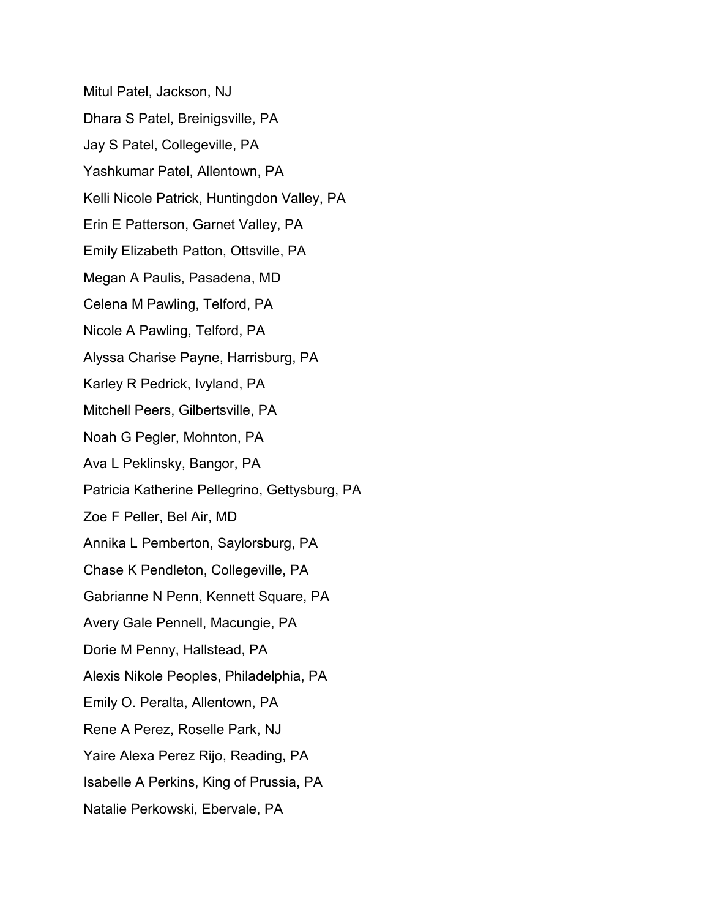Mitul Patel, Jackson, NJ Dhara S Patel, Breinigsville, PA Jay S Patel, Collegeville, PA Yashkumar Patel, Allentown, PA Kelli Nicole Patrick, Huntingdon Valley, PA Erin E Patterson, Garnet Valley, PA Emily Elizabeth Patton, Ottsville, PA Megan A Paulis, Pasadena, MD Celena M Pawling, Telford, PA Nicole A Pawling, Telford, PA Alyssa Charise Payne, Harrisburg, PA Karley R Pedrick, Ivyland, PA Mitchell Peers, Gilbertsville, PA Noah G Pegler, Mohnton, PA Ava L Peklinsky, Bangor, PA Patricia Katherine Pellegrino, Gettysburg, PA Zoe F Peller, Bel Air, MD Annika L Pemberton, Saylorsburg, PA Chase K Pendleton, Collegeville, PA Gabrianne N Penn, Kennett Square, PA Avery Gale Pennell, Macungie, PA Dorie M Penny, Hallstead, PA Alexis Nikole Peoples, Philadelphia, PA Emily O. Peralta, Allentown, PA Rene A Perez, Roselle Park, NJ Yaire Alexa Perez Rijo, Reading, PA Isabelle A Perkins, King of Prussia, PA Natalie Perkowski, Ebervale, PA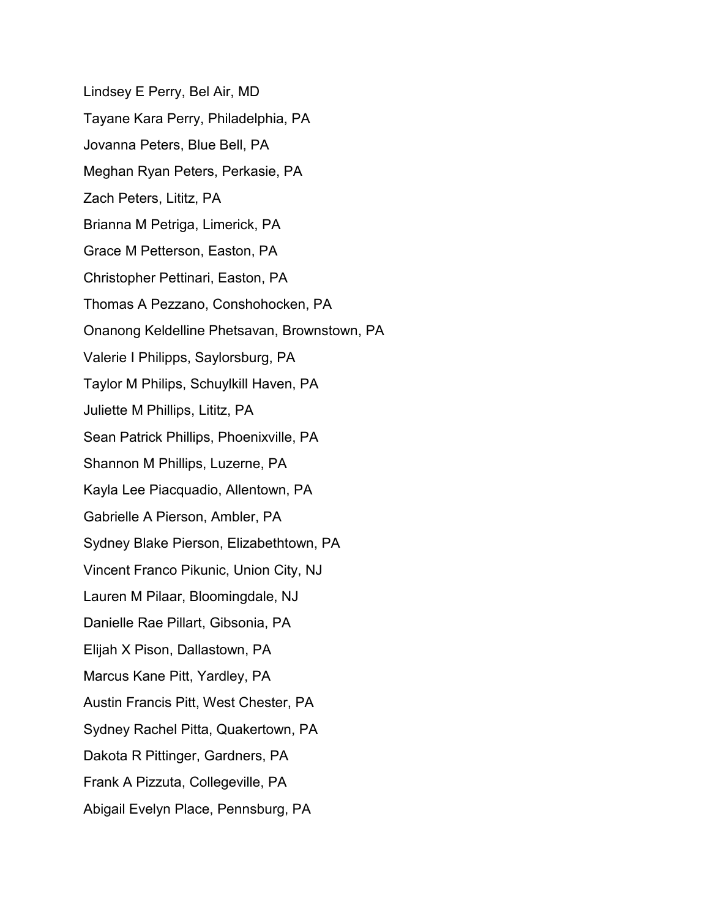Lindsey E Perry, Bel Air, MD Tayane Kara Perry, Philadelphia, PA Jovanna Peters, Blue Bell, PA Meghan Ryan Peters, Perkasie, PA Zach Peters, Lititz, PA Brianna M Petriga, Limerick, PA Grace M Petterson, Easton, PA Christopher Pettinari, Easton, PA Thomas A Pezzano, Conshohocken, PA Onanong Keldelline Phetsavan, Brownstown, PA Valerie I Philipps, Saylorsburg, PA Taylor M Philips, Schuylkill Haven, PA Juliette M Phillips, Lititz, PA Sean Patrick Phillips, Phoenixville, PA Shannon M Phillips, Luzerne, PA Kayla Lee Piacquadio, Allentown, PA Gabrielle A Pierson, Ambler, PA Sydney Blake Pierson, Elizabethtown, PA Vincent Franco Pikunic, Union City, NJ Lauren M Pilaar, Bloomingdale, NJ Danielle Rae Pillart, Gibsonia, PA Elijah X Pison, Dallastown, PA Marcus Kane Pitt, Yardley, PA Austin Francis Pitt, West Chester, PA Sydney Rachel Pitta, Quakertown, PA Dakota R Pittinger, Gardners, PA Frank A Pizzuta, Collegeville, PA Abigail Evelyn Place, Pennsburg, PA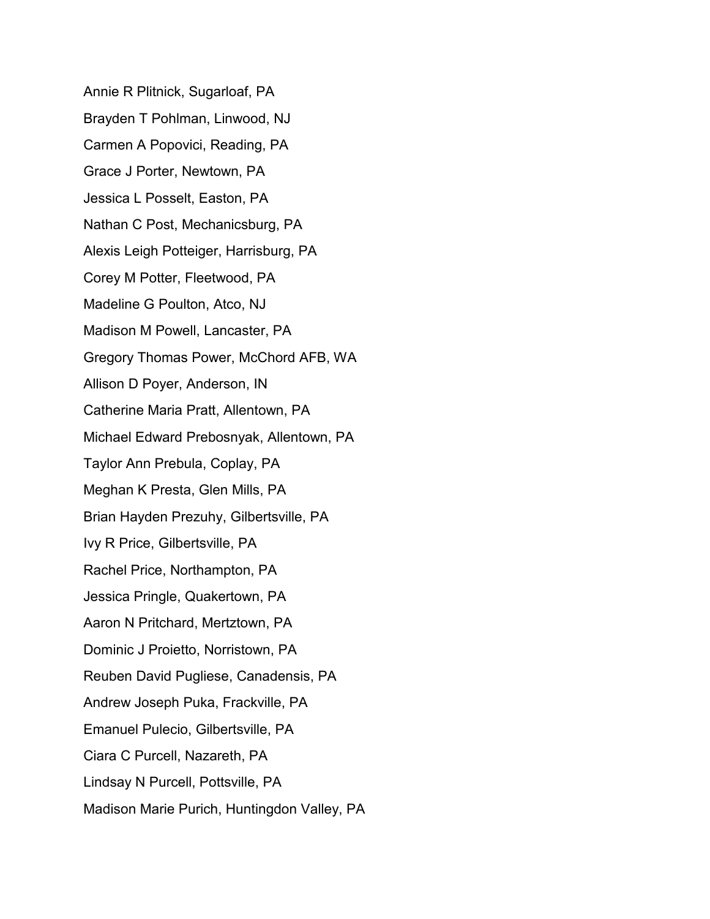Annie R Plitnick, Sugarloaf, PA Brayden T Pohlman, Linwood, NJ Carmen A Popovici, Reading, PA Grace J Porter, Newtown, PA Jessica L Posselt, Easton, PA Nathan C Post, Mechanicsburg, PA Alexis Leigh Potteiger, Harrisburg, PA Corey M Potter, Fleetwood, PA Madeline G Poulton, Atco, NJ Madison M Powell, Lancaster, PA Gregory Thomas Power, McChord AFB, WA Allison D Poyer, Anderson, IN Catherine Maria Pratt, Allentown, PA Michael Edward Prebosnyak, Allentown, PA Taylor Ann Prebula, Coplay, PA Meghan K Presta, Glen Mills, PA Brian Hayden Prezuhy, Gilbertsville, PA Ivy R Price, Gilbertsville, PA Rachel Price, Northampton, PA Jessica Pringle, Quakertown, PA Aaron N Pritchard, Mertztown, PA Dominic J Proietto, Norristown, PA Reuben David Pugliese, Canadensis, PA Andrew Joseph Puka, Frackville, PA Emanuel Pulecio, Gilbertsville, PA Ciara C Purcell, Nazareth, PA Lindsay N Purcell, Pottsville, PA Madison Marie Purich, Huntingdon Valley, PA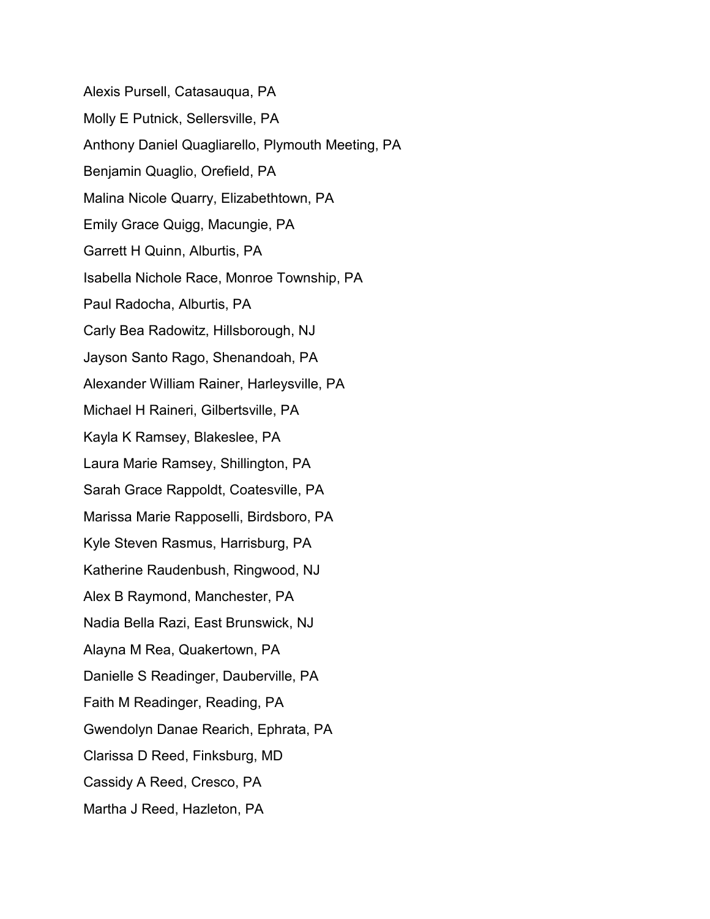Alexis Pursell, Catasauqua, PA Molly E Putnick, Sellersville, PA Anthony Daniel Quagliarello, Plymouth Meeting, PA Benjamin Quaglio, Orefield, PA Malina Nicole Quarry, Elizabethtown, PA Emily Grace Quigg, Macungie, PA Garrett H Quinn, Alburtis, PA Isabella Nichole Race, Monroe Township, PA Paul Radocha, Alburtis, PA Carly Bea Radowitz, Hillsborough, NJ Jayson Santo Rago, Shenandoah, PA Alexander William Rainer, Harleysville, PA Michael H Raineri, Gilbertsville, PA Kayla K Ramsey, Blakeslee, PA Laura Marie Ramsey, Shillington, PA Sarah Grace Rappoldt, Coatesville, PA Marissa Marie Rapposelli, Birdsboro, PA Kyle Steven Rasmus, Harrisburg, PA Katherine Raudenbush, Ringwood, NJ Alex B Raymond, Manchester, PA Nadia Bella Razi, East Brunswick, NJ Alayna M Rea, Quakertown, PA Danielle S Readinger, Dauberville, PA Faith M Readinger, Reading, PA Gwendolyn Danae Rearich, Ephrata, PA Clarissa D Reed, Finksburg, MD Cassidy A Reed, Cresco, PA Martha J Reed, Hazleton, PA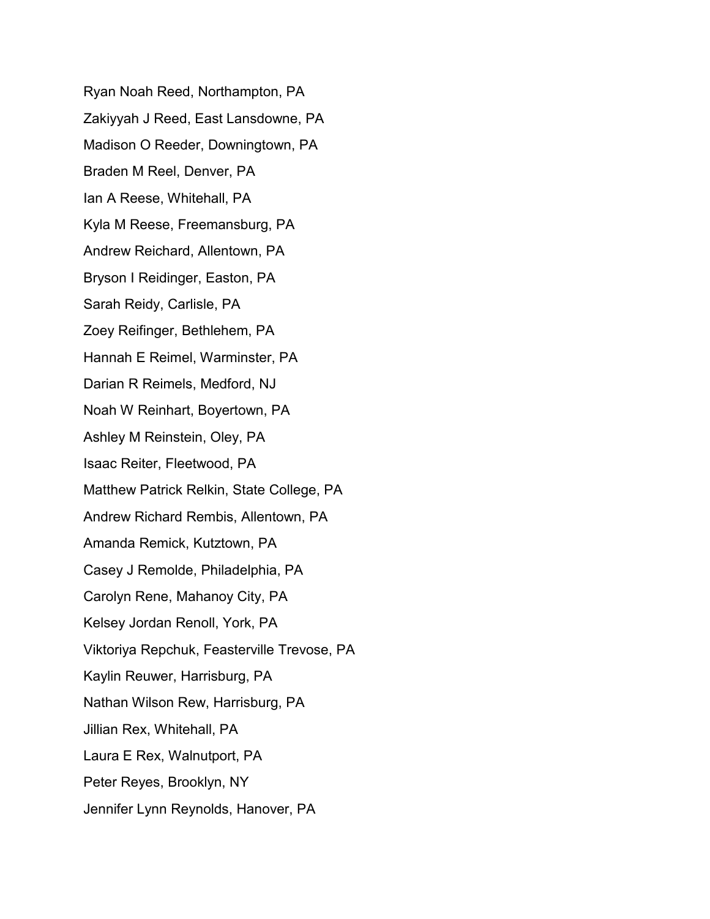Ryan Noah Reed, Northampton, PA Zakiyyah J Reed, East Lansdowne, PA Madison O Reeder, Downingtown, PA Braden M Reel, Denver, PA Ian A Reese, Whitehall, PA Kyla M Reese, Freemansburg, PA Andrew Reichard, Allentown, PA Bryson I Reidinger, Easton, PA Sarah Reidy, Carlisle, PA Zoey Reifinger, Bethlehem, PA Hannah E Reimel, Warminster, PA Darian R Reimels, Medford, NJ Noah W Reinhart, Boyertown, PA Ashley M Reinstein, Oley, PA Isaac Reiter, Fleetwood, PA Matthew Patrick Relkin, State College, PA Andrew Richard Rembis, Allentown, PA Amanda Remick, Kutztown, PA Casey J Remolde, Philadelphia, PA Carolyn Rene, Mahanoy City, PA Kelsey Jordan Renoll, York, PA Viktoriya Repchuk, Feasterville Trevose, PA Kaylin Reuwer, Harrisburg, PA Nathan Wilson Rew, Harrisburg, PA Jillian Rex, Whitehall, PA Laura E Rex, Walnutport, PA Peter Reyes, Brooklyn, NY Jennifer Lynn Reynolds, Hanover, PA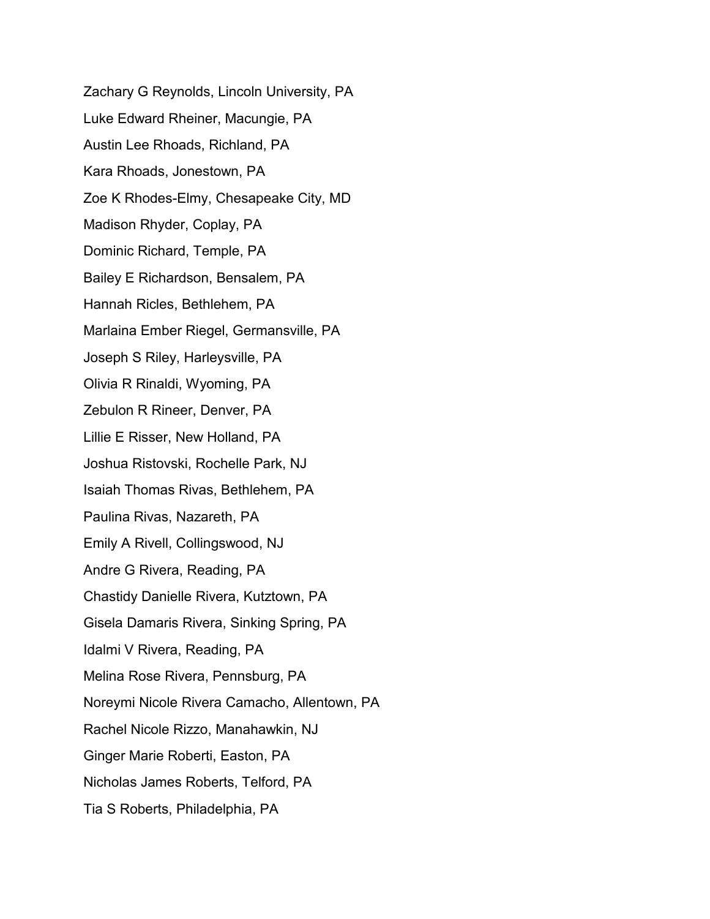Zachary G Reynolds, Lincoln University, PA Luke Edward Rheiner, Macungie, PA Austin Lee Rhoads, Richland, PA Kara Rhoads, Jonestown, PA Zoe K Rhodes-Elmy, Chesapeake City, MD Madison Rhyder, Coplay, PA Dominic Richard, Temple, PA Bailey E Richardson, Bensalem, PA Hannah Ricles, Bethlehem, PA Marlaina Ember Riegel, Germansville, PA Joseph S Riley, Harleysville, PA Olivia R Rinaldi, Wyoming, PA Zebulon R Rineer, Denver, PA Lillie E Risser, New Holland, PA Joshua Ristovski, Rochelle Park, NJ Isaiah Thomas Rivas, Bethlehem, PA Paulina Rivas, Nazareth, PA Emily A Rivell, Collingswood, NJ Andre G Rivera, Reading, PA Chastidy Danielle Rivera, Kutztown, PA Gisela Damaris Rivera, Sinking Spring, PA Idalmi V Rivera, Reading, PA Melina Rose Rivera, Pennsburg, PA Noreymi Nicole Rivera Camacho, Allentown, PA Rachel Nicole Rizzo, Manahawkin, NJ Ginger Marie Roberti, Easton, PA Nicholas James Roberts, Telford, PA Tia S Roberts, Philadelphia, PA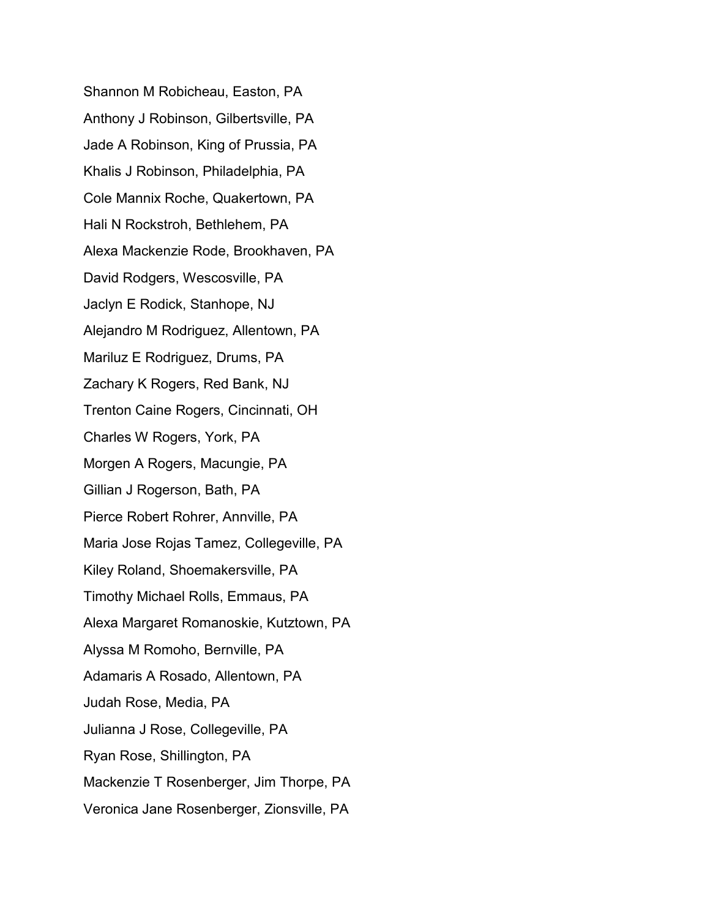Shannon M Robicheau, Easton, PA Anthony J Robinson, Gilbertsville, PA Jade A Robinson, King of Prussia, PA Khalis J Robinson, Philadelphia, PA Cole Mannix Roche, Quakertown, PA Hali N Rockstroh, Bethlehem, PA Alexa Mackenzie Rode, Brookhaven, PA David Rodgers, Wescosville, PA Jaclyn E Rodick, Stanhope, NJ Alejandro M Rodriguez, Allentown, PA Mariluz E Rodriguez, Drums, PA Zachary K Rogers, Red Bank, NJ Trenton Caine Rogers, Cincinnati, OH Charles W Rogers, York, PA Morgen A Rogers, Macungie, PA Gillian J Rogerson, Bath, PA Pierce Robert Rohrer, Annville, PA Maria Jose Rojas Tamez, Collegeville, PA Kiley Roland, Shoemakersville, PA Timothy Michael Rolls, Emmaus, PA Alexa Margaret Romanoskie, Kutztown, PA Alyssa M Romoho, Bernville, PA Adamaris A Rosado, Allentown, PA Judah Rose, Media, PA Julianna J Rose, Collegeville, PA Ryan Rose, Shillington, PA Mackenzie T Rosenberger, Jim Thorpe, PA Veronica Jane Rosenberger, Zionsville, PA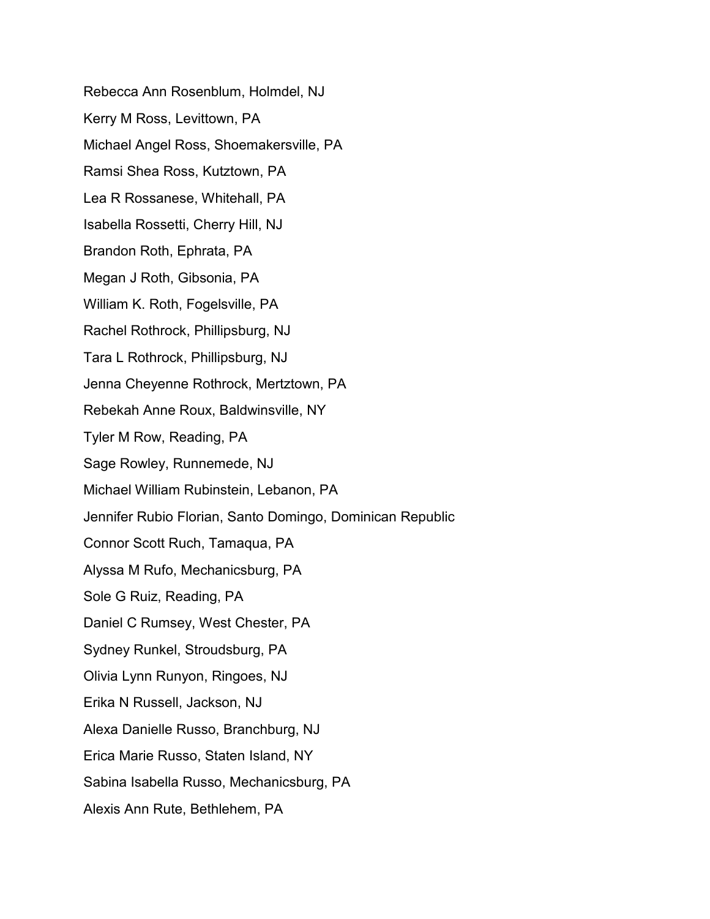Rebecca Ann Rosenblum, Holmdel, NJ Kerry M Ross, Levittown, PA Michael Angel Ross, Shoemakersville, PA Ramsi Shea Ross, Kutztown, PA Lea R Rossanese, Whitehall, PA Isabella Rossetti, Cherry Hill, NJ Brandon Roth, Ephrata, PA Megan J Roth, Gibsonia, PA William K. Roth, Fogelsville, PA Rachel Rothrock, Phillipsburg, NJ Tara L Rothrock, Phillipsburg, NJ Jenna Cheyenne Rothrock, Mertztown, PA Rebekah Anne Roux, Baldwinsville, NY Tyler M Row, Reading, PA Sage Rowley, Runnemede, NJ Michael William Rubinstein, Lebanon, PA Jennifer Rubio Florian, Santo Domingo, Dominican Republic Connor Scott Ruch, Tamaqua, PA Alyssa M Rufo, Mechanicsburg, PA Sole G Ruiz, Reading, PA Daniel C Rumsey, West Chester, PA Sydney Runkel, Stroudsburg, PA Olivia Lynn Runyon, Ringoes, NJ Erika N Russell, Jackson, NJ Alexa Danielle Russo, Branchburg, NJ Erica Marie Russo, Staten Island, NY Sabina Isabella Russo, Mechanicsburg, PA Alexis Ann Rute, Bethlehem, PA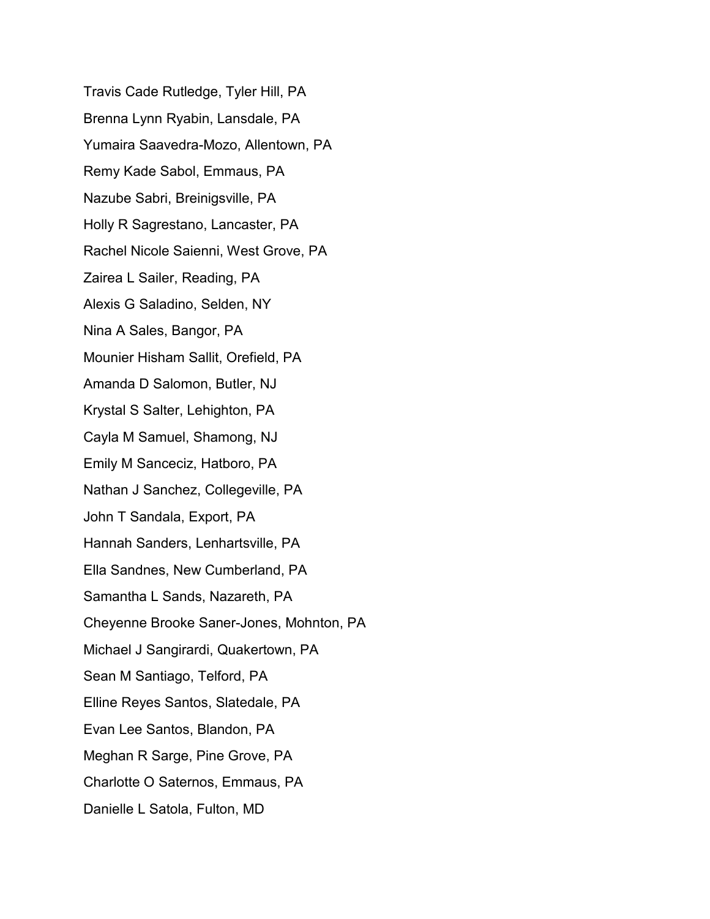Travis Cade Rutledge, Tyler Hill, PA Brenna Lynn Ryabin, Lansdale, PA Yumaira Saavedra-Mozo, Allentown, PA Remy Kade Sabol, Emmaus, PA Nazube Sabri, Breinigsville, PA Holly R Sagrestano, Lancaster, PA Rachel Nicole Saienni, West Grove, PA Zairea L Sailer, Reading, PA Alexis G Saladino, Selden, NY Nina A Sales, Bangor, PA Mounier Hisham Sallit, Orefield, PA Amanda D Salomon, Butler, NJ Krystal S Salter, Lehighton, PA Cayla M Samuel, Shamong, NJ Emily M Sanceciz, Hatboro, PA Nathan J Sanchez, Collegeville, PA John T Sandala, Export, PA Hannah Sanders, Lenhartsville, PA Ella Sandnes, New Cumberland, PA Samantha L Sands, Nazareth, PA Cheyenne Brooke Saner-Jones, Mohnton, PA Michael J Sangirardi, Quakertown, PA Sean M Santiago, Telford, PA Elline Reyes Santos, Slatedale, PA Evan Lee Santos, Blandon, PA Meghan R Sarge, Pine Grove, PA Charlotte O Saternos, Emmaus, PA Danielle L Satola, Fulton, MD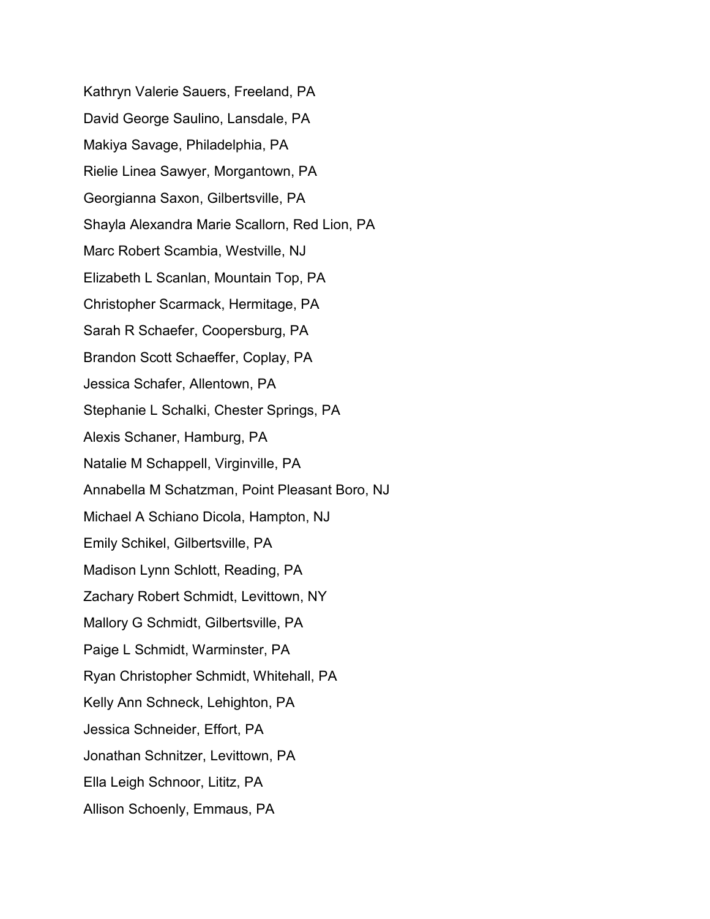Kathryn Valerie Sauers, Freeland, PA David George Saulino, Lansdale, PA Makiya Savage, Philadelphia, PA Rielie Linea Sawyer, Morgantown, PA Georgianna Saxon, Gilbertsville, PA Shayla Alexandra Marie Scallorn, Red Lion, PA Marc Robert Scambia, Westville, NJ Elizabeth L Scanlan, Mountain Top, PA Christopher Scarmack, Hermitage, PA Sarah R Schaefer, Coopersburg, PA Brandon Scott Schaeffer, Coplay, PA Jessica Schafer, Allentown, PA Stephanie L Schalki, Chester Springs, PA Alexis Schaner, Hamburg, PA Natalie M Schappell, Virginville, PA Annabella M Schatzman, Point Pleasant Boro, NJ Michael A Schiano Dicola, Hampton, NJ Emily Schikel, Gilbertsville, PA Madison Lynn Schlott, Reading, PA Zachary Robert Schmidt, Levittown, NY Mallory G Schmidt, Gilbertsville, PA Paige L Schmidt, Warminster, PA Ryan Christopher Schmidt, Whitehall, PA Kelly Ann Schneck, Lehighton, PA Jessica Schneider, Effort, PA Jonathan Schnitzer, Levittown, PA Ella Leigh Schnoor, Lititz, PA Allison Schoenly, Emmaus, PA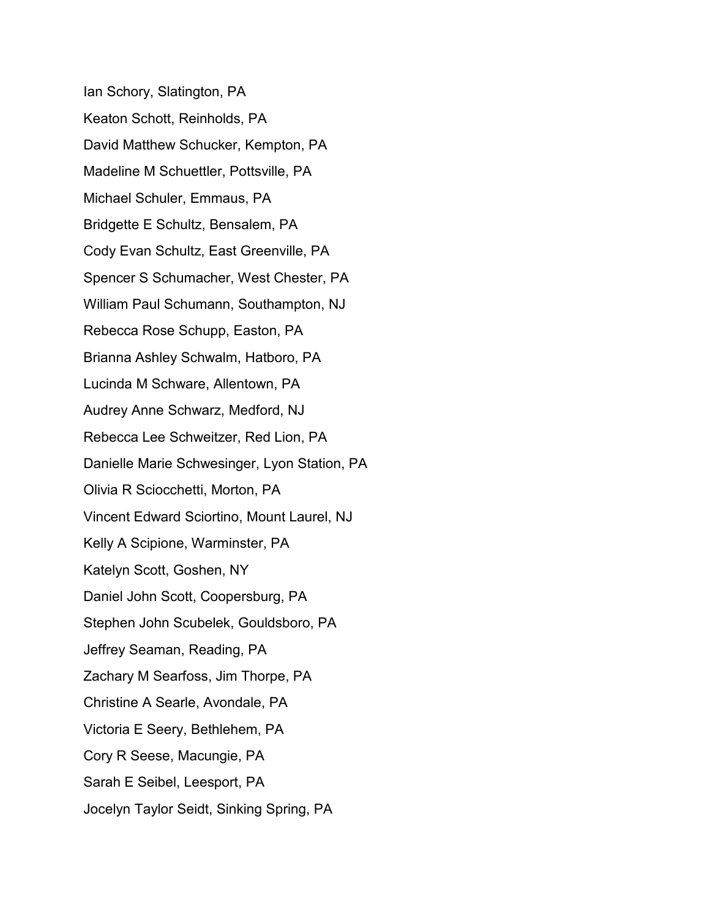Ian Schory, Slatington, PA Keaton Schott, Reinholds, PA David Matthew Schucker, Kempton, PA Madeline M Schuettler, Pottsville, PA Michael Schuler, Emmaus, PA Bridgette E Schultz, Bensalem, PA Cody Evan Schultz, East Greenville, PA Spencer S Schumacher, West Chester, PA William Paul Schumann, Southampton, NJ Rebecca Rose Schupp, Easton, PA Brianna Ashley Schwalm, Hatboro, PA Lucinda M Schware, Allentown, PA Audrey Anne Schwarz, Medford, NJ Rebecca Lee Schweitzer, Red Lion, PA Danielle Marie Schwesinger, Lyon Station, PA Olivia R Sciocchetti, Morton, PA Vincent Edward Sciortino, Mount Laurel, NJ Kelly A Scipione, Warminster, PA Katelyn Scott, Goshen, NY Daniel John Scott, Coopersburg, PA Stephen John Scubelek, Gouldsboro, PA Jeffrey Seaman, Reading, PA Zachary M Searfoss, Jim Thorpe, PA Christine A Searle, Avondale, PA Victoria E Seery, Bethlehem, PA Cory R Seese, Macungie, PA Sarah E Seibel, Leesport, PA Jocelyn Taylor Seidt, Sinking Spring, PA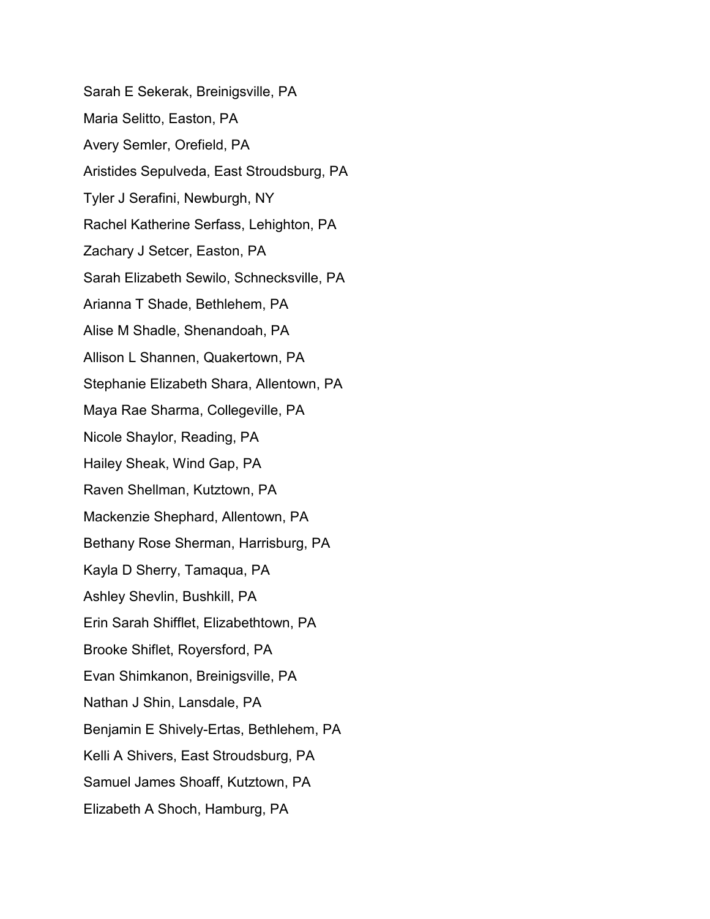Sarah E Sekerak, Breinigsville, PA Maria Selitto, Easton, PA Avery Semler, Orefield, PA Aristides Sepulveda, East Stroudsburg, PA Tyler J Serafini, Newburgh, NY Rachel Katherine Serfass, Lehighton, PA Zachary J Setcer, Easton, PA Sarah Elizabeth Sewilo, Schnecksville, PA Arianna T Shade, Bethlehem, PA Alise M Shadle, Shenandoah, PA Allison L Shannen, Quakertown, PA Stephanie Elizabeth Shara, Allentown, PA Maya Rae Sharma, Collegeville, PA Nicole Shaylor, Reading, PA Hailey Sheak, Wind Gap, PA Raven Shellman, Kutztown, PA Mackenzie Shephard, Allentown, PA Bethany Rose Sherman, Harrisburg, PA Kayla D Sherry, Tamaqua, PA Ashley Shevlin, Bushkill, PA Erin Sarah Shifflet, Elizabethtown, PA Brooke Shiflet, Royersford, PA Evan Shimkanon, Breinigsville, PA Nathan J Shin, Lansdale, PA Benjamin E Shively-Ertas, Bethlehem, PA Kelli A Shivers, East Stroudsburg, PA Samuel James Shoaff, Kutztown, PA Elizabeth A Shoch, Hamburg, PA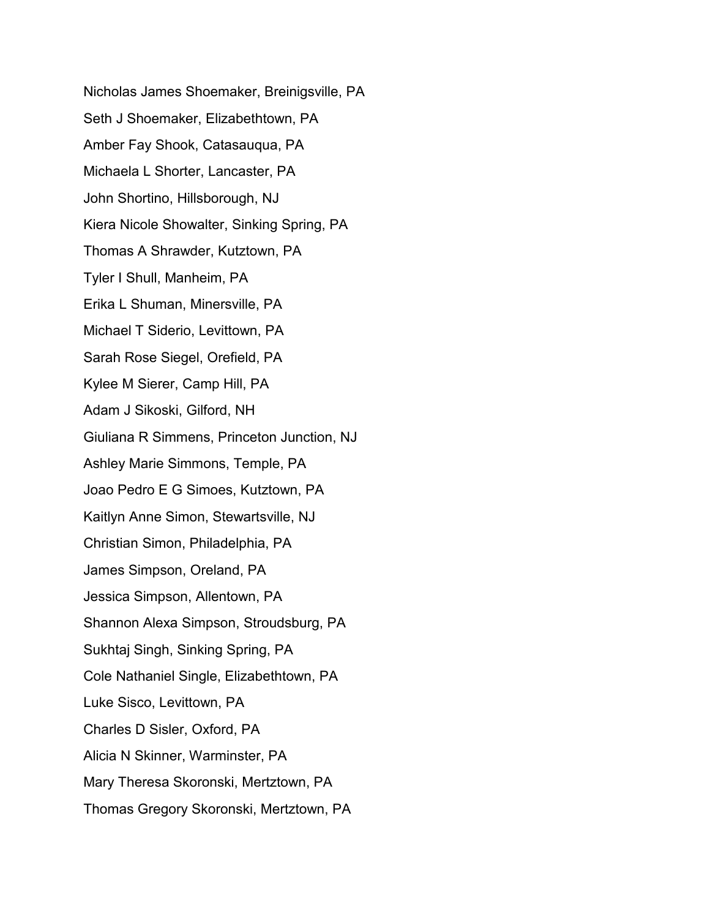Nicholas James Shoemaker, Breinigsville, PA Seth J Shoemaker, Elizabethtown, PA Amber Fay Shook, Catasauqua, PA Michaela L Shorter, Lancaster, PA John Shortino, Hillsborough, NJ Kiera Nicole Showalter, Sinking Spring, PA Thomas A Shrawder, Kutztown, PA Tyler I Shull, Manheim, PA Erika L Shuman, Minersville, PA Michael T Siderio, Levittown, PA Sarah Rose Siegel, Orefield, PA Kylee M Sierer, Camp Hill, PA Adam J Sikoski, Gilford, NH Giuliana R Simmens, Princeton Junction, NJ Ashley Marie Simmons, Temple, PA Joao Pedro E G Simoes, Kutztown, PA Kaitlyn Anne Simon, Stewartsville, NJ Christian Simon, Philadelphia, PA James Simpson, Oreland, PA Jessica Simpson, Allentown, PA Shannon Alexa Simpson, Stroudsburg, PA Sukhtaj Singh, Sinking Spring, PA Cole Nathaniel Single, Elizabethtown, PA Luke Sisco, Levittown, PA Charles D Sisler, Oxford, PA Alicia N Skinner, Warminster, PA Mary Theresa Skoronski, Mertztown, PA Thomas Gregory Skoronski, Mertztown, PA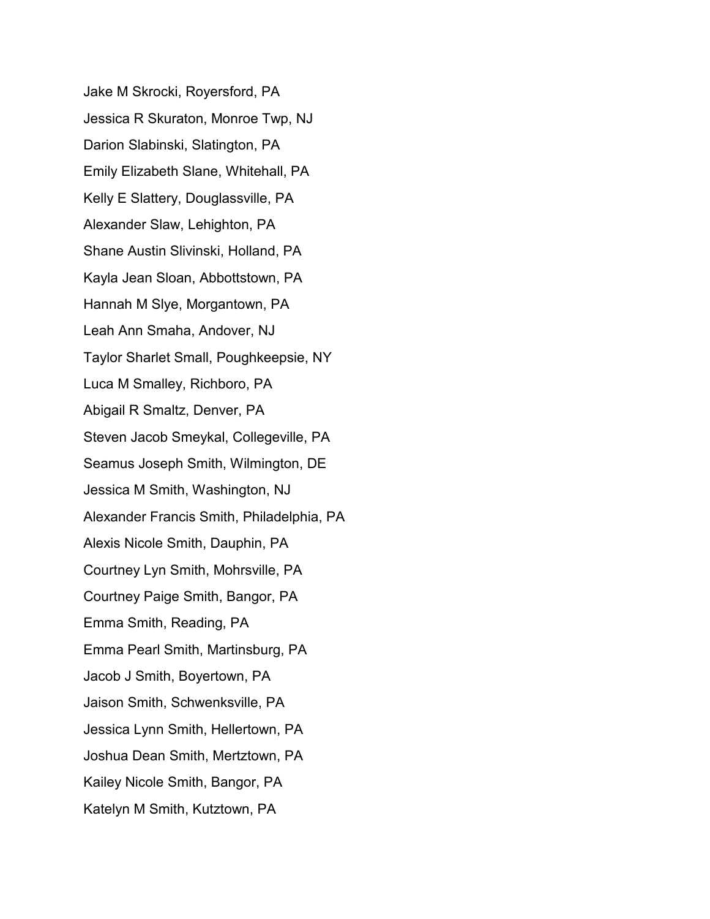Jake M Skrocki, Royersford, PA Jessica R Skuraton, Monroe Twp, NJ Darion Slabinski, Slatington, PA Emily Elizabeth Slane, Whitehall, PA Kelly E Slattery, Douglassville, PA Alexander Slaw, Lehighton, PA Shane Austin Slivinski, Holland, PA Kayla Jean Sloan, Abbottstown, PA Hannah M Slye, Morgantown, PA Leah Ann Smaha, Andover, NJ Taylor Sharlet Small, Poughkeepsie, NY Luca M Smalley, Richboro, PA Abigail R Smaltz, Denver, PA Steven Jacob Smeykal, Collegeville, PA Seamus Joseph Smith, Wilmington, DE Jessica M Smith, Washington, NJ Alexander Francis Smith, Philadelphia, PA Alexis Nicole Smith, Dauphin, PA Courtney Lyn Smith, Mohrsville, PA Courtney Paige Smith, Bangor, PA Emma Smith, Reading, PA Emma Pearl Smith, Martinsburg, PA Jacob J Smith, Boyertown, PA Jaison Smith, Schwenksville, PA Jessica Lynn Smith, Hellertown, PA Joshua Dean Smith, Mertztown, PA Kailey Nicole Smith, Bangor, PA Katelyn M Smith, Kutztown, PA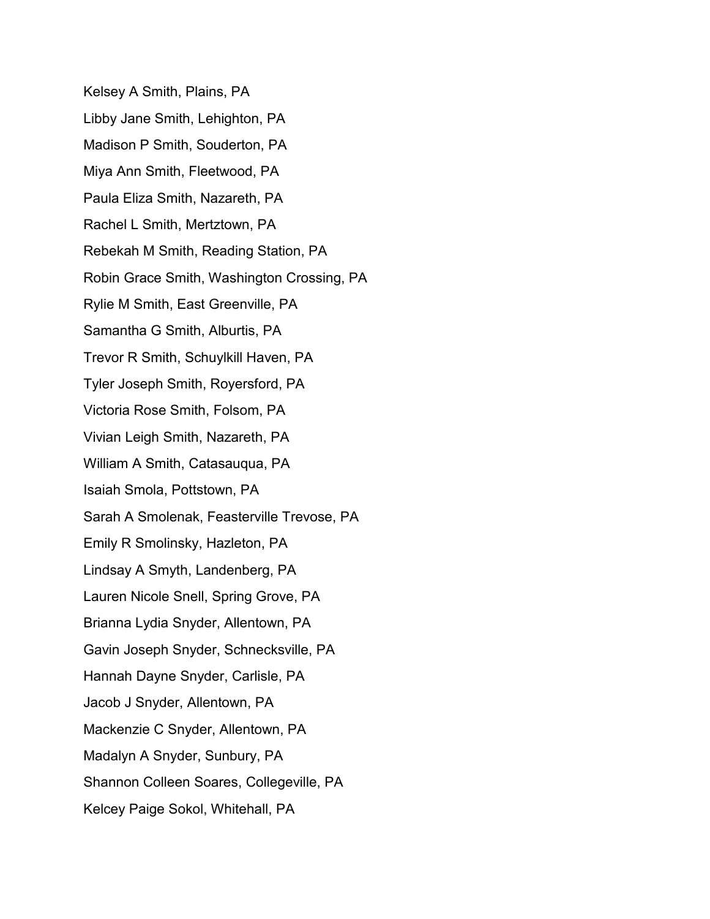Kelsey A Smith, Plains, PA Libby Jane Smith, Lehighton, PA Madison P Smith, Souderton, PA Miya Ann Smith, Fleetwood, PA Paula Eliza Smith, Nazareth, PA Rachel L Smith, Mertztown, PA Rebekah M Smith, Reading Station, PA Robin Grace Smith, Washington Crossing, PA Rylie M Smith, East Greenville, PA Samantha G Smith, Alburtis, PA Trevor R Smith, Schuylkill Haven, PA Tyler Joseph Smith, Royersford, PA Victoria Rose Smith, Folsom, PA Vivian Leigh Smith, Nazareth, PA William A Smith, Catasauqua, PA Isaiah Smola, Pottstown, PA Sarah A Smolenak, Feasterville Trevose, PA Emily R Smolinsky, Hazleton, PA Lindsay A Smyth, Landenberg, PA Lauren Nicole Snell, Spring Grove, PA Brianna Lydia Snyder, Allentown, PA Gavin Joseph Snyder, Schnecksville, PA Hannah Dayne Snyder, Carlisle, PA Jacob J Snyder, Allentown, PA Mackenzie C Snyder, Allentown, PA Madalyn A Snyder, Sunbury, PA Shannon Colleen Soares, Collegeville, PA Kelcey Paige Sokol, Whitehall, PA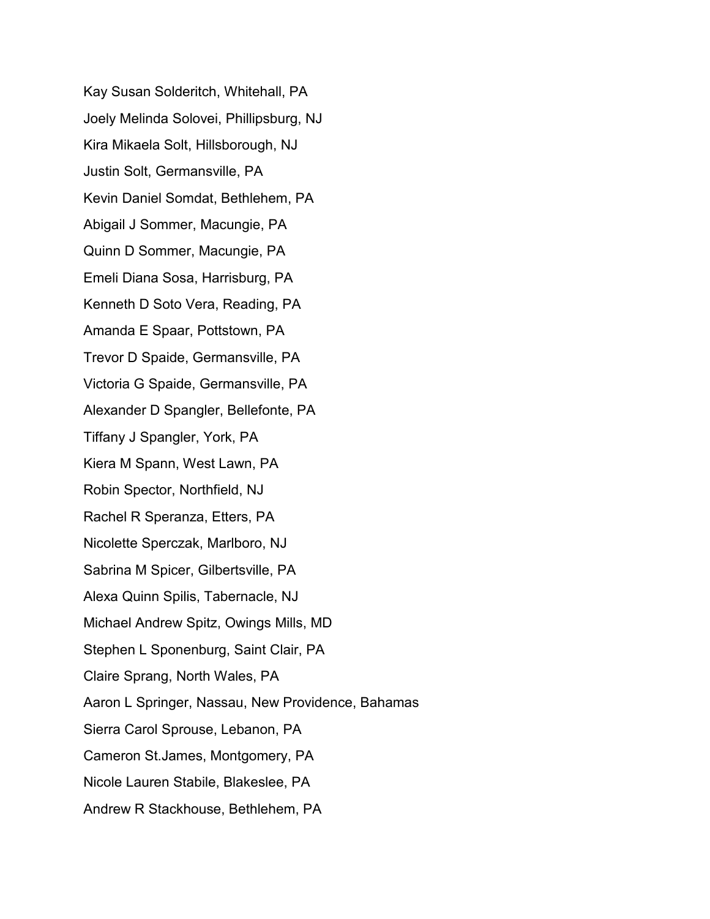Kay Susan Solderitch, Whitehall, PA Joely Melinda Solovei, Phillipsburg, NJ Kira Mikaela Solt, Hillsborough, NJ Justin Solt, Germansville, PA Kevin Daniel Somdat, Bethlehem, PA Abigail J Sommer, Macungie, PA Quinn D Sommer, Macungie, PA Emeli Diana Sosa, Harrisburg, PA Kenneth D Soto Vera, Reading, PA Amanda E Spaar, Pottstown, PA Trevor D Spaide, Germansville, PA Victoria G Spaide, Germansville, PA Alexander D Spangler, Bellefonte, PA Tiffany J Spangler, York, PA Kiera M Spann, West Lawn, PA Robin Spector, Northfield, NJ Rachel R Speranza, Etters, PA Nicolette Sperczak, Marlboro, NJ Sabrina M Spicer, Gilbertsville, PA Alexa Quinn Spilis, Tabernacle, NJ Michael Andrew Spitz, Owings Mills, MD Stephen L Sponenburg, Saint Clair, PA Claire Sprang, North Wales, PA Aaron L Springer, Nassau, New Providence, Bahamas Sierra Carol Sprouse, Lebanon, PA Cameron St.James, Montgomery, PA Nicole Lauren Stabile, Blakeslee, PA Andrew R Stackhouse, Bethlehem, PA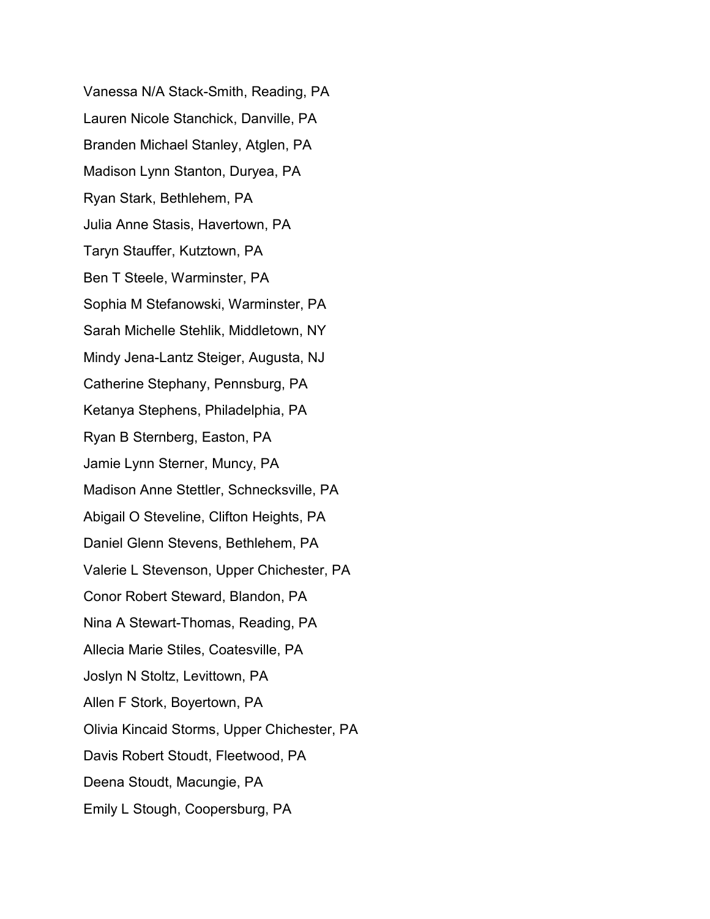Vanessa N/A Stack-Smith, Reading, PA Lauren Nicole Stanchick, Danville, PA Branden Michael Stanley, Atglen, PA Madison Lynn Stanton, Duryea, PA Ryan Stark, Bethlehem, PA Julia Anne Stasis, Havertown, PA Taryn Stauffer, Kutztown, PA Ben T Steele, Warminster, PA Sophia M Stefanowski, Warminster, PA Sarah Michelle Stehlik, Middletown, NY Mindy Jena-Lantz Steiger, Augusta, NJ Catherine Stephany, Pennsburg, PA Ketanya Stephens, Philadelphia, PA Ryan B Sternberg, Easton, PA Jamie Lynn Sterner, Muncy, PA Madison Anne Stettler, Schnecksville, PA Abigail O Steveline, Clifton Heights, PA Daniel Glenn Stevens, Bethlehem, PA Valerie L Stevenson, Upper Chichester, PA Conor Robert Steward, Blandon, PA Nina A Stewart-Thomas, Reading, PA Allecia Marie Stiles, Coatesville, PA Joslyn N Stoltz, Levittown, PA Allen F Stork, Boyertown, PA Olivia Kincaid Storms, Upper Chichester, PA Davis Robert Stoudt, Fleetwood, PA Deena Stoudt, Macungie, PA Emily L Stough, Coopersburg, PA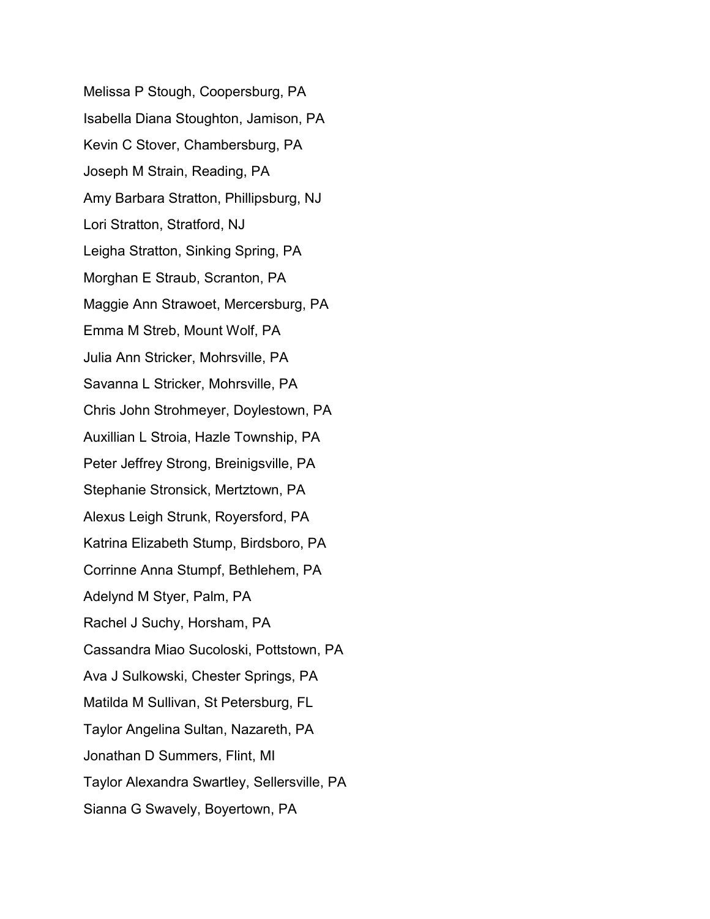Melissa P Stough, Coopersburg, PA Isabella Diana Stoughton, Jamison, PA Kevin C Stover, Chambersburg, PA Joseph M Strain, Reading, PA Amy Barbara Stratton, Phillipsburg, NJ Lori Stratton, Stratford, NJ Leigha Stratton, Sinking Spring, PA Morghan E Straub, Scranton, PA Maggie Ann Strawoet, Mercersburg, PA Emma M Streb, Mount Wolf, PA Julia Ann Stricker, Mohrsville, PA Savanna L Stricker, Mohrsville, PA Chris John Strohmeyer, Doylestown, PA Auxillian L Stroia, Hazle Township, PA Peter Jeffrey Strong, Breinigsville, PA Stephanie Stronsick, Mertztown, PA Alexus Leigh Strunk, Royersford, PA Katrina Elizabeth Stump, Birdsboro, PA Corrinne Anna Stumpf, Bethlehem, PA Adelynd M Styer, Palm, PA Rachel J Suchy, Horsham, PA Cassandra Miao Sucoloski, Pottstown, PA Ava J Sulkowski, Chester Springs, PA Matilda M Sullivan, St Petersburg, FL Taylor Angelina Sultan, Nazareth, PA Jonathan D Summers, Flint, MI Taylor Alexandra Swartley, Sellersville, PA Sianna G Swavely, Boyertown, PA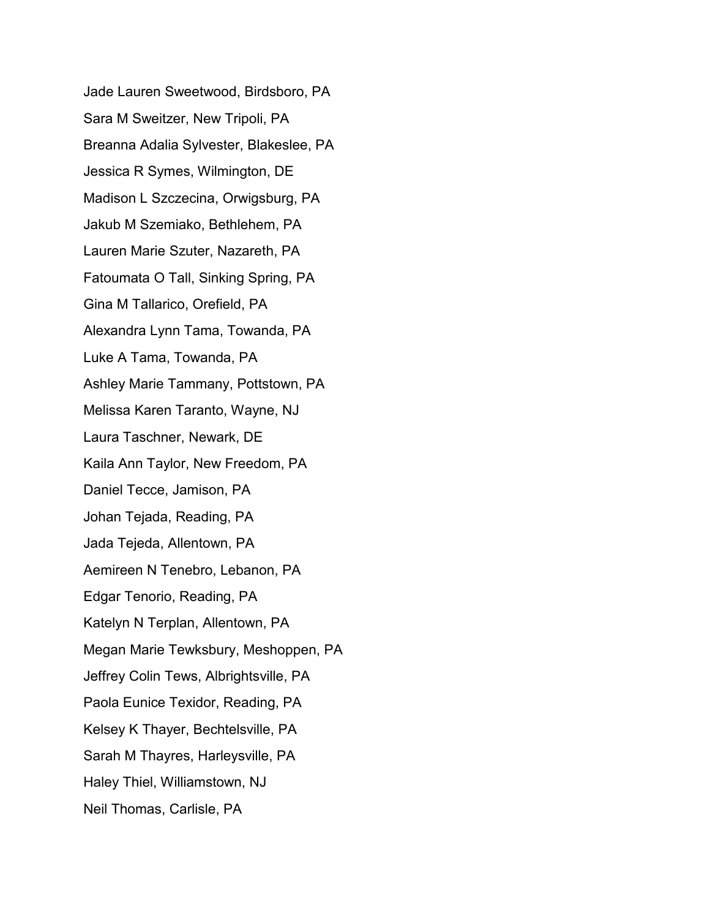Jade Lauren Sweetwood, Birdsboro, PA Sara M Sweitzer, New Tripoli, PA Breanna Adalia Sylvester, Blakeslee, PA Jessica R Symes, Wilmington, DE Madison L Szczecina, Orwigsburg, PA Jakub M Szemiako, Bethlehem, PA Lauren Marie Szuter, Nazareth, PA Fatoumata O Tall, Sinking Spring, PA Gina M Tallarico, Orefield, PA Alexandra Lynn Tama, Towanda, PA Luke A Tama, Towanda, PA Ashley Marie Tammany, Pottstown, PA Melissa Karen Taranto, Wayne, NJ Laura Taschner, Newark, DE Kaila Ann Taylor, New Freedom, PA Daniel Tecce, Jamison, PA Johan Tejada, Reading, PA Jada Tejeda, Allentown, PA Aemireen N Tenebro, Lebanon, PA Edgar Tenorio, Reading, PA Katelyn N Terplan, Allentown, PA Megan Marie Tewksbury, Meshoppen, PA Jeffrey Colin Tews, Albrightsville, PA Paola Eunice Texidor, Reading, PA Kelsey K Thayer, Bechtelsville, PA Sarah M Thayres, Harleysville, PA Haley Thiel, Williamstown, NJ Neil Thomas, Carlisle, PA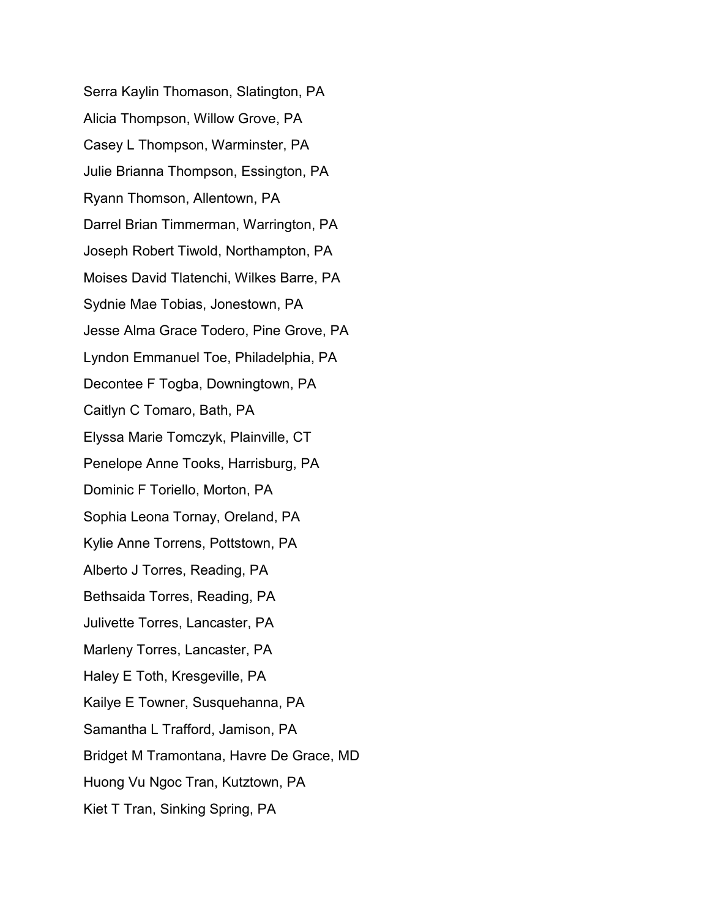Serra Kaylin Thomason, Slatington, PA Alicia Thompson, Willow Grove, PA Casey L Thompson, Warminster, PA Julie Brianna Thompson, Essington, PA Ryann Thomson, Allentown, PA Darrel Brian Timmerman, Warrington, PA Joseph Robert Tiwold, Northampton, PA Moises David Tlatenchi, Wilkes Barre, PA Sydnie Mae Tobias, Jonestown, PA Jesse Alma Grace Todero, Pine Grove, PA Lyndon Emmanuel Toe, Philadelphia, PA Decontee F Togba, Downingtown, PA Caitlyn C Tomaro, Bath, PA Elyssa Marie Tomczyk, Plainville, CT Penelope Anne Tooks, Harrisburg, PA Dominic F Toriello, Morton, PA Sophia Leona Tornay, Oreland, PA Kylie Anne Torrens, Pottstown, PA Alberto J Torres, Reading, PA Bethsaida Torres, Reading, PA Julivette Torres, Lancaster, PA Marleny Torres, Lancaster, PA Haley E Toth, Kresgeville, PA Kailye E Towner, Susquehanna, PA Samantha L Trafford, Jamison, PA Bridget M Tramontana, Havre De Grace, MD Huong Vu Ngoc Tran, Kutztown, PA Kiet T Tran, Sinking Spring, PA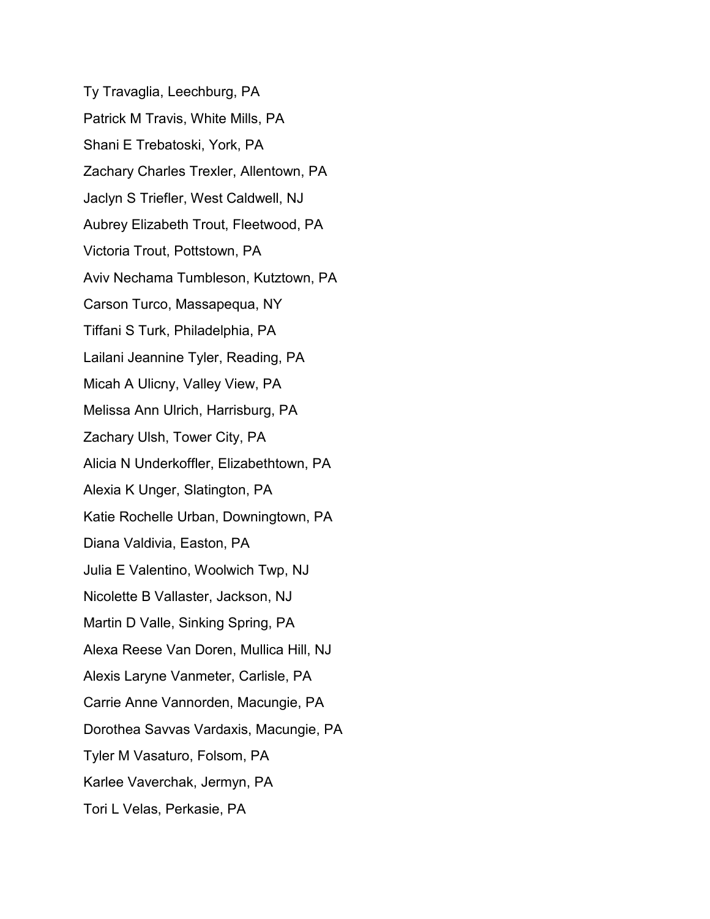Ty Travaglia, Leechburg, PA Patrick M Travis, White Mills, PA Shani E Trebatoski, York, PA Zachary Charles Trexler, Allentown, PA Jaclyn S Triefler, West Caldwell, NJ Aubrey Elizabeth Trout, Fleetwood, PA Victoria Trout, Pottstown, PA Aviv Nechama Tumbleson, Kutztown, PA Carson Turco, Massapequa, NY Tiffani S Turk, Philadelphia, PA Lailani Jeannine Tyler, Reading, PA Micah A Ulicny, Valley View, PA Melissa Ann Ulrich, Harrisburg, PA Zachary Ulsh, Tower City, PA Alicia N Underkoffler, Elizabethtown, PA Alexia K Unger, Slatington, PA Katie Rochelle Urban, Downingtown, PA Diana Valdivia, Easton, PA Julia E Valentino, Woolwich Twp, NJ Nicolette B Vallaster, Jackson, NJ Martin D Valle, Sinking Spring, PA Alexa Reese Van Doren, Mullica Hill, NJ Alexis Laryne Vanmeter, Carlisle, PA Carrie Anne Vannorden, Macungie, PA Dorothea Savvas Vardaxis, Macungie, PA Tyler M Vasaturo, Folsom, PA Karlee Vaverchak, Jermyn, PA Tori L Velas, Perkasie, PA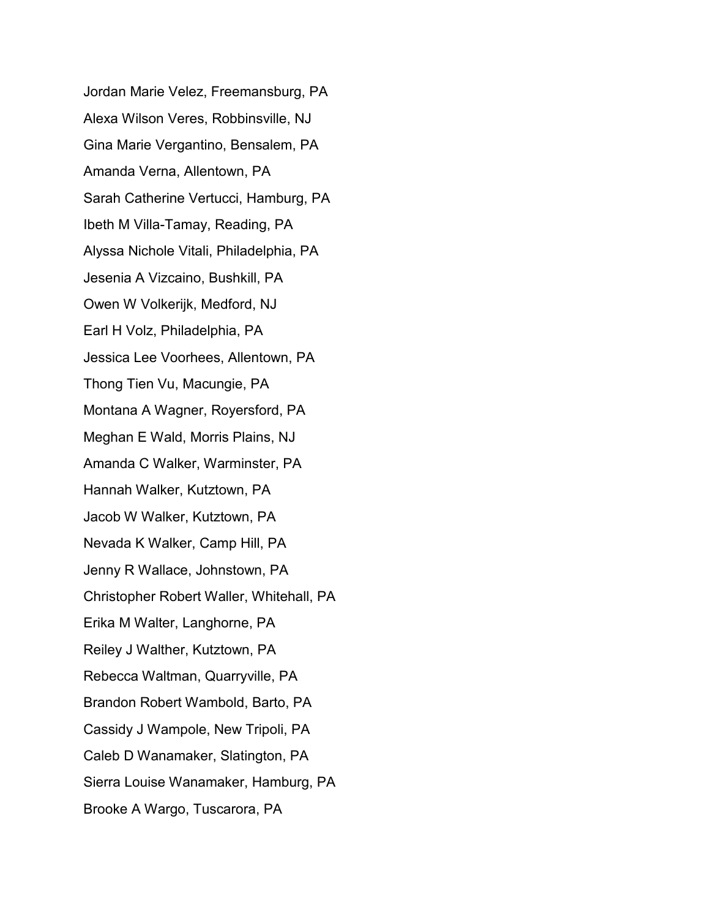Jordan Marie Velez, Freemansburg, PA Alexa Wilson Veres, Robbinsville, NJ Gina Marie Vergantino, Bensalem, PA Amanda Verna, Allentown, PA Sarah Catherine Vertucci, Hamburg, PA Ibeth M Villa-Tamay, Reading, PA Alyssa Nichole Vitali, Philadelphia, PA Jesenia A Vizcaino, Bushkill, PA Owen W Volkerijk, Medford, NJ Earl H Volz, Philadelphia, PA Jessica Lee Voorhees, Allentown, PA Thong Tien Vu, Macungie, PA Montana A Wagner, Royersford, PA Meghan E Wald, Morris Plains, NJ Amanda C Walker, Warminster, PA Hannah Walker, Kutztown, PA Jacob W Walker, Kutztown, PA Nevada K Walker, Camp Hill, PA Jenny R Wallace, Johnstown, PA Christopher Robert Waller, Whitehall, PA Erika M Walter, Langhorne, PA Reiley J Walther, Kutztown, PA Rebecca Waltman, Quarryville, PA Brandon Robert Wambold, Barto, PA Cassidy J Wampole, New Tripoli, PA Caleb D Wanamaker, Slatington, PA Sierra Louise Wanamaker, Hamburg, PA Brooke A Wargo, Tuscarora, PA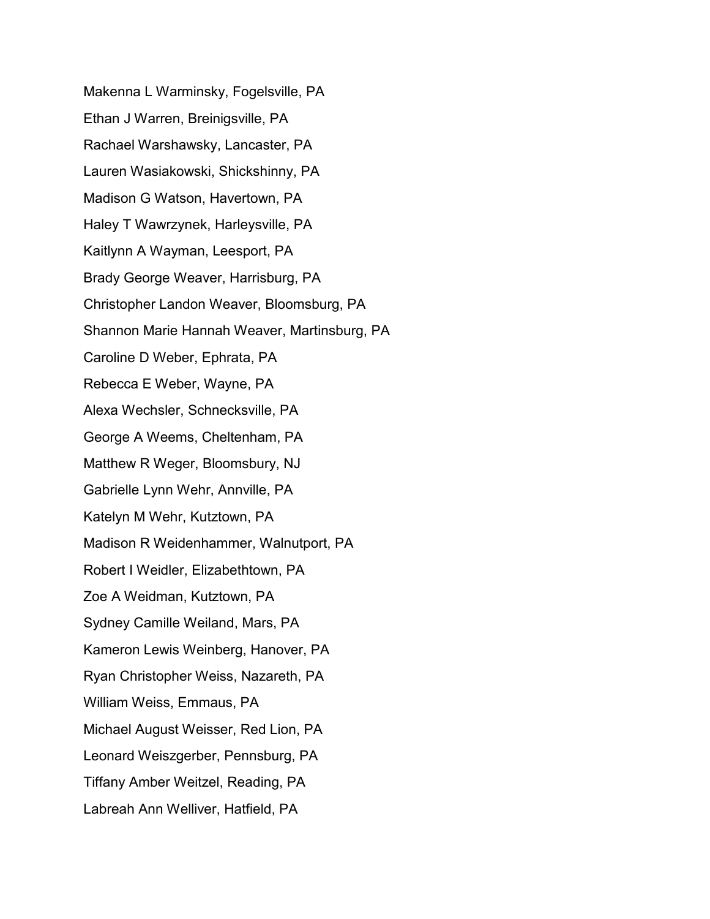Makenna L Warminsky, Fogelsville, PA Ethan J Warren, Breinigsville, PA Rachael Warshawsky, Lancaster, PA Lauren Wasiakowski, Shickshinny, PA Madison G Watson, Havertown, PA Haley T Wawrzynek, Harleysville, PA Kaitlynn A Wayman, Leesport, PA Brady George Weaver, Harrisburg, PA Christopher Landon Weaver, Bloomsburg, PA Shannon Marie Hannah Weaver, Martinsburg, PA Caroline D Weber, Ephrata, PA Rebecca E Weber, Wayne, PA Alexa Wechsler, Schnecksville, PA George A Weems, Cheltenham, PA Matthew R Weger, Bloomsbury, NJ Gabrielle Lynn Wehr, Annville, PA Katelyn M Wehr, Kutztown, PA Madison R Weidenhammer, Walnutport, PA Robert I Weidler, Elizabethtown, PA Zoe A Weidman, Kutztown, PA Sydney Camille Weiland, Mars, PA Kameron Lewis Weinberg, Hanover, PA Ryan Christopher Weiss, Nazareth, PA William Weiss, Emmaus, PA Michael August Weisser, Red Lion, PA Leonard Weiszgerber, Pennsburg, PA Tiffany Amber Weitzel, Reading, PA Labreah Ann Welliver, Hatfield, PA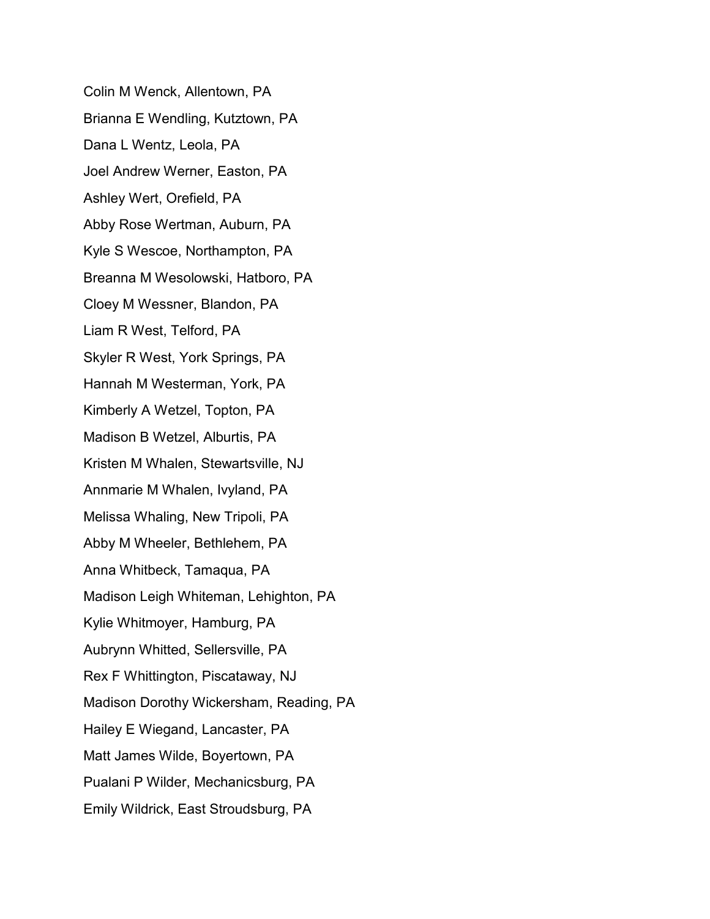Colin M Wenck, Allentown, PA Brianna E Wendling, Kutztown, PA Dana L Wentz, Leola, PA Joel Andrew Werner, Easton, PA Ashley Wert, Orefield, PA Abby Rose Wertman, Auburn, PA Kyle S Wescoe, Northampton, PA Breanna M Wesolowski, Hatboro, PA Cloey M Wessner, Blandon, PA Liam R West, Telford, PA Skyler R West, York Springs, PA Hannah M Westerman, York, PA Kimberly A Wetzel, Topton, PA Madison B Wetzel, Alburtis, PA Kristen M Whalen, Stewartsville, NJ Annmarie M Whalen, Ivyland, PA Melissa Whaling, New Tripoli, PA Abby M Wheeler, Bethlehem, PA Anna Whitbeck, Tamaqua, PA Madison Leigh Whiteman, Lehighton, PA Kylie Whitmoyer, Hamburg, PA Aubrynn Whitted, Sellersville, PA Rex F Whittington, Piscataway, NJ Madison Dorothy Wickersham, Reading, PA Hailey E Wiegand, Lancaster, PA Matt James Wilde, Boyertown, PA Pualani P Wilder, Mechanicsburg, PA Emily Wildrick, East Stroudsburg, PA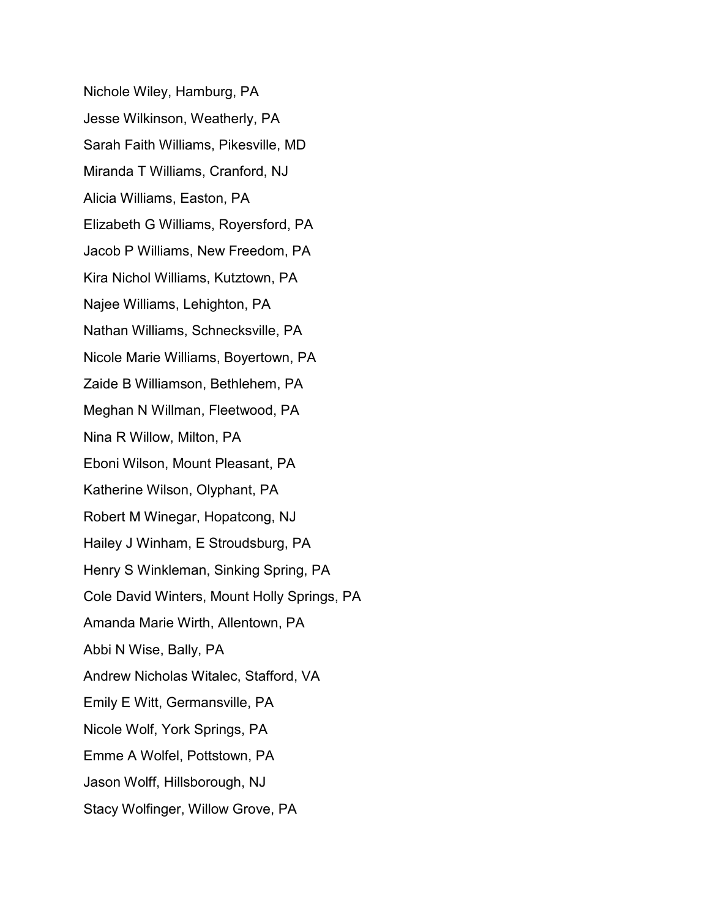Nichole Wiley, Hamburg, PA Jesse Wilkinson, Weatherly, PA Sarah Faith Williams, Pikesville, MD Miranda T Williams, Cranford, NJ Alicia Williams, Easton, PA Elizabeth G Williams, Royersford, PA Jacob P Williams, New Freedom, PA Kira Nichol Williams, Kutztown, PA Najee Williams, Lehighton, PA Nathan Williams, Schnecksville, PA Nicole Marie Williams, Boyertown, PA Zaide B Williamson, Bethlehem, PA Meghan N Willman, Fleetwood, PA Nina R Willow, Milton, PA Eboni Wilson, Mount Pleasant, PA Katherine Wilson, Olyphant, PA Robert M Winegar, Hopatcong, NJ Hailey J Winham, E Stroudsburg, PA Henry S Winkleman, Sinking Spring, PA Cole David Winters, Mount Holly Springs, PA Amanda Marie Wirth, Allentown, PA Abbi N Wise, Bally, PA Andrew Nicholas Witalec, Stafford, VA Emily E Witt, Germansville, PA Nicole Wolf, York Springs, PA Emme A Wolfel, Pottstown, PA Jason Wolff, Hillsborough, NJ Stacy Wolfinger, Willow Grove, PA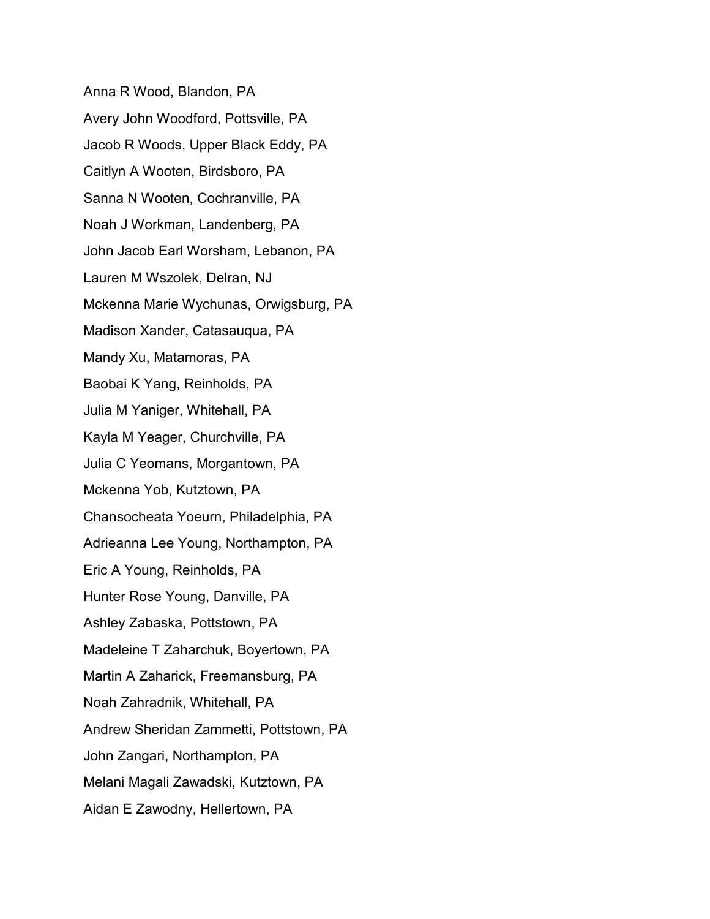Anna R Wood, Blandon, PA Avery John Woodford, Pottsville, PA Jacob R Woods, Upper Black Eddy, PA Caitlyn A Wooten, Birdsboro, PA Sanna N Wooten, Cochranville, PA Noah J Workman, Landenberg, PA John Jacob Earl Worsham, Lebanon, PA Lauren M Wszolek, Delran, NJ Mckenna Marie Wychunas, Orwigsburg, PA Madison Xander, Catasauqua, PA Mandy Xu, Matamoras, PA Baobai K Yang, Reinholds, PA Julia M Yaniger, Whitehall, PA Kayla M Yeager, Churchville, PA Julia C Yeomans, Morgantown, PA Mckenna Yob, Kutztown, PA Chansocheata Yoeurn, Philadelphia, PA Adrieanna Lee Young, Northampton, PA Eric A Young, Reinholds, PA Hunter Rose Young, Danville, PA Ashley Zabaska, Pottstown, PA Madeleine T Zaharchuk, Boyertown, PA Martin A Zaharick, Freemansburg, PA Noah Zahradnik, Whitehall, PA Andrew Sheridan Zammetti, Pottstown, PA John Zangari, Northampton, PA Melani Magali Zawadski, Kutztown, PA Aidan E Zawodny, Hellertown, PA